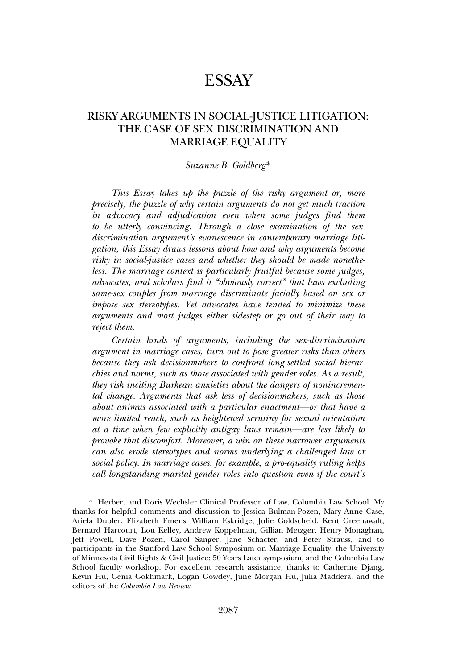# **ESSAY**

# RISKY ARGUMENTS IN SOCIAL-JUSTICE LITIGATION: THE CASE OF SEX DISCRIMINATION AND MARRIAGE EQUALITY

#### *Suzanne B. Goldberg*\*

*This Essay takes up the puzzle of the risky argument or, more precisely, the puzzle of why certain arguments do not get much traction in advocacy and adjudication even when some judges find them to be utterly convincing. Through a close examination of the sexdiscrimination argument's evanescence in contemporary marriage litigation, this Essay draws lessons about how and why arguments become risky in social-justice cases and whether they should be made nonetheless. The marriage context is particularly fruitful because some judges, advocates, and scholars find it "obviously correct" that laws excluding same-sex couples from marriage discriminate facially based on sex or impose sex stereotypes. Yet advocates have tended to minimize these arguments and most judges either sidestep or go out of their way to reject them.*

*Certain kinds of arguments, including the sex-discrimination argument in marriage cases, turn out to pose greater risks than others because they ask decisionmakers to confront long-settled social hierarchies and norms, such as those associated with gender roles. As a result, they risk inciting Burkean anxieties about the dangers of nonincremental change. Arguments that ask less of decisionmakers, such as those about animus associated with a particular enactment—or that have a more limited reach, such as heightened scrutiny for sexual orientation at a time when few explicitly antigay laws remain—are less likely to provoke that discomfort. Moreover, a win on these narrower arguments can also erode stereotypes and norms underlying a challenged law or social policy. In marriage cases, for example, a pro-equality ruling helps call longstanding marital gender roles into question even if the court's*

<sup>\*</sup> Herbert and Doris Wechsler Clinical Professor of Law, Columbia Law School. My thanks for helpful comments and discussion to Jessica Bulman-Pozen, Mary Anne Case, Ariela Dubler, Elizabeth Emens, William Eskridge, Julie Goldscheid, Kent Greenawalt, Bernard Harcourt, Lou Kelley, Andrew Koppelman, Gillian Metzger, Henry Monaghan, Jeff Powell, Dave Pozen, Carol Sanger, Jane Schacter, and Peter Strauss, and to participants in the Stanford Law School Symposium on Marriage Equality, the University of Minnesota Civil Rights & Civil Justice: 50 Years Later symposium, and the Columbia Law School faculty workshop. For excellent research assistance, thanks to Catherine Djang, Kevin Hu, Genia Gokhmark, Logan Gowdey, June Morgan Hu, Julia Maddera, and the editors of the *Columbia Law Review*.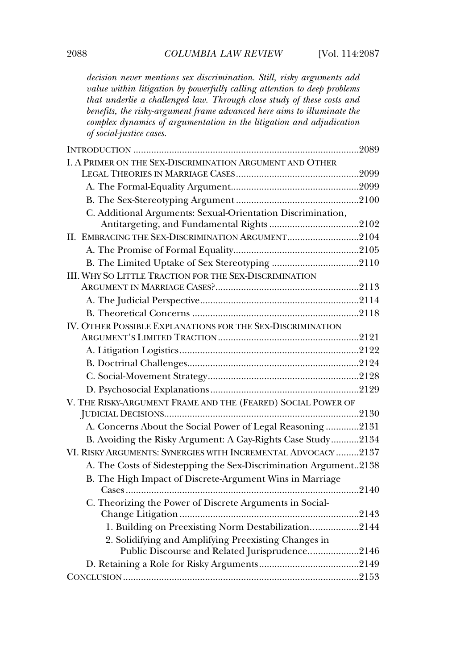*decision never mentions sex discrimination. Still, risky arguments add value within litigation by powerfully calling attention to deep problems that underlie a challenged law. Through close study of these costs and benefits, the risky-argument frame advanced here aims to illuminate the complex dynamics of argumentation in the litigation and adjudication of social-justice cases.*

| I. A PRIMER ON THE SEX-DISCRIMINATION ARGUMENT AND OTHER         |      |
|------------------------------------------------------------------|------|
|                                                                  |      |
|                                                                  |      |
|                                                                  |      |
| C. Additional Arguments: Sexual-Orientation Discrimination,      |      |
|                                                                  |      |
| II. EMBRACING THE SEX-DISCRIMINATION ARGUMENT2104                |      |
|                                                                  |      |
|                                                                  |      |
| <b>III. WHY SO LITTLE TRACTION FOR THE SEX-DISCRIMINATION</b>    |      |
|                                                                  |      |
|                                                                  |      |
|                                                                  |      |
| IV. OTHER POSSIBLE EXPLANATIONS FOR THE SEX-DISCRIMINATION       |      |
|                                                                  |      |
|                                                                  |      |
|                                                                  |      |
|                                                                  |      |
|                                                                  |      |
| V. THE RISKY-ARGUMENT FRAME AND THE (FEARED) SOCIAL POWER OF     |      |
|                                                                  |      |
| A. Concerns About the Social Power of Legal Reasoning 2131       |      |
| B. Avoiding the Risky Argument: A Gay-Rights Case Study2134      |      |
| VI. RISKY ARGUMENTS: SYNERGIES WITH INCREMENTAL ADVOCACY 2137    |      |
| A. The Costs of Sidestepping the Sex-Discrimination Argument2138 |      |
| B. The High Impact of Discrete-Argument Wins in Marriage         |      |
|                                                                  | 2140 |
| C. Theorizing the Power of Discrete Arguments in Social-         |      |
|                                                                  |      |
| 1. Building on Preexisting Norm Destabilization2144              |      |
| 2. Solidifying and Amplifying Preexisting Changes in             |      |
| Public Discourse and Related Jurisprudence2146                   |      |
|                                                                  |      |
|                                                                  |      |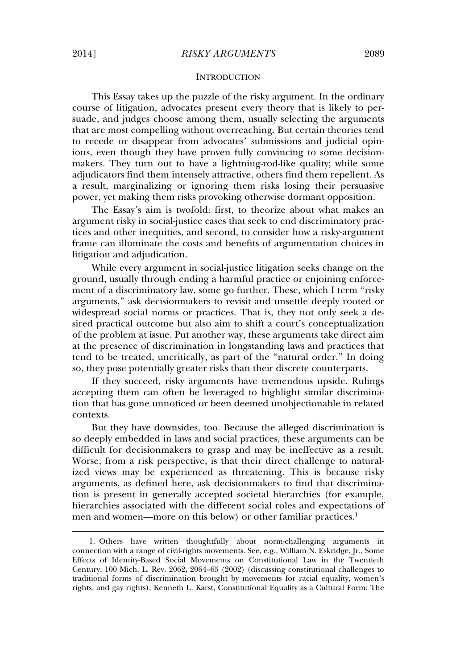## **INTRODUCTION**

This Essay takes up the puzzle of the risky argument. In the ordinary course of litigation, advocates present every theory that is likely to persuade, and judges choose among them, usually selecting the arguments that are most compelling without overreaching. But certain theories tend to recede or disappear from advocates' submissions and judicial opinions, even though they have proven fully convincing to some decisionmakers. They turn out to have a lightning-rod**-**like quality; while some adjudicators find them intensely attractive, others find them repellent. As a result, marginalizing or ignoring them risks losing their persuasive power, yet making them risks provoking otherwise dormant opposition.

The Essay's aim is twofold: first, to theorize about what makes an argument risky in social-justice cases that seek to end discriminatory practices and other inequities, and second, to consider how a risky-argument frame can illuminate the costs and benefits of argumentation choices in litigation and adjudication.

While every argument in social-justice litigation seeks change on the ground, usually through ending a harmful practice or enjoining enforcement of a discriminatory law, some go further. These, which I term "risky arguments," ask decisionmakers to revisit and unsettle deeply rooted or widespread social norms or practices. That is, they not only seek a desired practical outcome but also aim to shift a court's conceptualization of the problem at issue. Put another way, these arguments take direct aim at the presence of discrimination in longstanding laws and practices that tend to be treated, uncritically, as part of the "natural order." In doing so, they pose potentially greater risks than their discrete counterparts.

If they succeed, risky arguments have tremendous upside. Rulings accepting them can often be leveraged to highlight similar discrimination that has gone unnoticed or been deemed unobjectionable in related contexts.

But they have downsides, too. Because the alleged discrimination is so deeply embedded in laws and social practices, these arguments can be difficult for decisionmakers to grasp and may be ineffective as a result. Worse, from a risk perspective, is that their direct challenge to naturalized views may be experienced as threatening. This is because risky arguments, as defined here, ask decisionmakers to find that discrimination is present in generally accepted societal hierarchies (for example, hierarchies associated with the different social roles and expectations of men and women—more on this below) or other familiar practices.<sup>1</sup>

<sup>1.</sup> Others have written thoughtfully about norm-challenging arguments in connection with a range of civil-rights movements. See, e.g., William N. Eskridge, Jr., Some Effects of Identity-Based Social Movements on Constitutional Law in the Twentieth Century, 100 Mich. L. Rev. 2062, 2064–65 (2002) (discussing constitutional challenges to traditional forms of discrimination brought by movements for racial equality, women's rights, and gay rights); Kenneth L. Karst, Constitutional Equality as a Cultural Form: The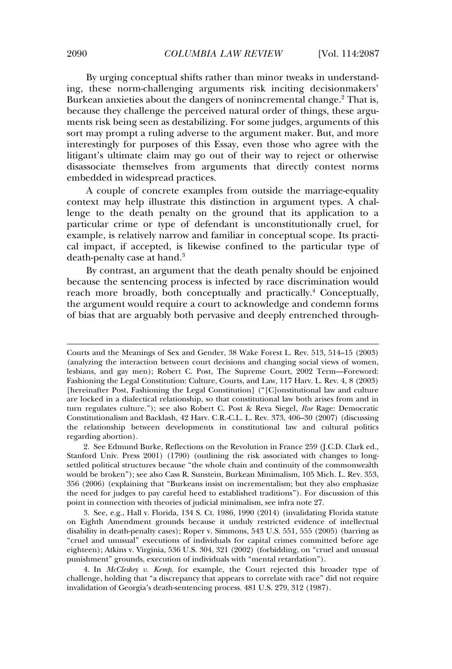By urging conceptual shifts rather than minor tweaks in understanding, these norm-challenging arguments risk inciting decisionmakers' Burkean anxieties about the dangers of nonincremental change.<sup>2</sup> That is, because they challenge the perceived natural order of things, these arguments risk being seen as destabilizing. For some judges, arguments of this sort may prompt a ruling adverse to the argument maker. But, and more interestingly for purposes of this Essay, even those who agree with the litigant's ultimate claim may go out of their way to reject or otherwise disassociate themselves from arguments that directly contest norms embedded in widespread practices.

A couple of concrete examples from outside the marriage-equality context may help illustrate this distinction in argument types. A challenge to the death penalty on the ground that its application to a particular crime or type of defendant is unconstitutionally cruel, for example, is relatively narrow and familiar in conceptual scope. Its practical impact, if accepted, is likewise confined to the particular type of death-penalty case at hand.<sup>3</sup>

By contrast, an argument that the death penalty should be enjoined because the sentencing process is infected by race discrimination would reach more broadly, both conceptually and practically.<sup>4</sup> Conceptually, the argument would require a court to acknowledge and condemn forms of bias that are arguably both pervasive and deeply entrenched through-

4. In *McCleskey v. Kemp*, for example, the Court rejected this broader type of challenge, holding that "a discrepancy that appears to correlate with race" did not require invalidation of Georgia's death-sentencing process. 481 U.S. 279, 312 (1987).

Courts and the Meanings of Sex and Gender, 38 Wake Forest L. Rev. 513, 514–15 (2003) (analyzing the interaction between court decisions and changing social views of women, lesbians, and gay men); Robert C. Post, The Supreme Court, 2002 Term—Foreword: Fashioning the Legal Constitution: Culture, Courts, and Law, 117 Harv. L. Rev. 4, 8 (2003) [hereinafter Post, Fashioning the Legal Constitution] ("[C]onstitutional law and culture are locked in a dialectical relationship, so that constitutional law both arises from and in turn regulates culture."); see also Robert C. Post & Reva Siegel, *Roe* Rage: Democratic Constitutionalism and Backlash, 42 Harv. C.R.-C.L. L. Rev. 373, 406–30 (2007) (discussing the relationship between developments in constitutional law and cultural politics regarding abortion).

<sup>2.</sup> See Edmund Burke, Reflections on the Revolution in France 259 (J.C.D. Clark ed., Stanford Univ. Press 2001) (1790) (outlining the risk associated with changes to longsettled political structures because "the whole chain and continuity of the commonwealth would be broken"); see also Cass R. Sunstein, Burkean Minimalism, 105 Mich. L. Rev. 353, 356 (2006) (explaining that "Burkeans insist on incrementalism; but they also emphasize the need for judges to pay careful heed to established traditions"). For discussion of this point in connection with theories of judicial minimalism, see infra note 27.

<sup>3.</sup> See, e.g., Hall v. Florida, 134 S. Ct. 1986, 1990 (2014) (invalidating Florida statute on Eighth Amendment grounds because it unduly restricted evidence of intellectual disability in death-penalty cases); Roper v. Simmons, 543 U.S. 551, 555 (2005) (barring as "cruel and unusual" executions of individuals for capital crimes committed before age eighteen); Atkins v. Virginia, 536 U.S. 304, 321 (2002) (forbidding, on "cruel and unusual punishment" grounds, execution of individuals with "mental retardation").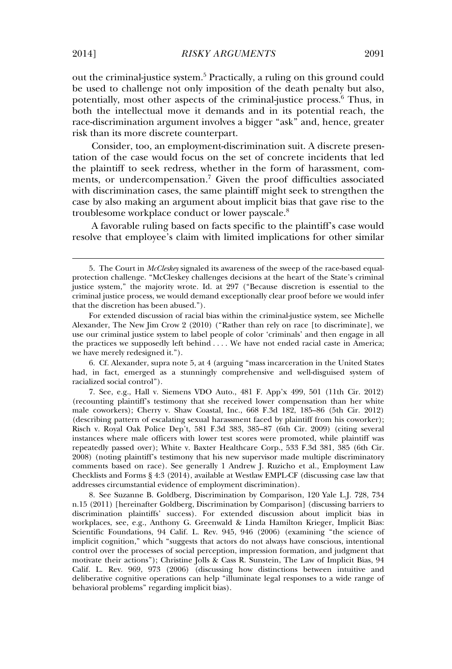out the criminal-justice system.<sup>5</sup> Practically, a ruling on this ground could be used to challenge not only imposition of the death penalty but also, potentially, most other aspects of the criminal-justice process.<sup>6</sup> Thus, in both the intellectual move it demands and in its potential reach, the race-discrimination argument involves a bigger "ask" and, hence, greater risk than its more discrete counterpart.

Consider, too, an employment-discrimination suit. A discrete presentation of the case would focus on the set of concrete incidents that led the plaintiff to seek redress, whether in the form of harassment, comments, or undercompensation.<sup>7</sup> Given the proof difficulties associated with discrimination cases, the same plaintiff might seek to strengthen the case by also making an argument about implicit bias that gave rise to the troublesome workplace conduct or lower payscale.<sup>8</sup>

A favorable ruling based on facts specific to the plaintiff's case would resolve that employee's claim with limited implications for other similar

<sup>5.</sup> The Court in *McCleskey* signaled its awareness of the sweep of the race-based equalprotection challenge. "McCleskey challenges decisions at the heart of the State's criminal justice system," the majority wrote. Id. at 297 ("Because discretion is essential to the criminal justice process, we would demand exceptionally clear proof before we would infer that the discretion has been abused.").

For extended discussion of racial bias within the criminal-justice system, see Michelle Alexander, The New Jim Crow 2 (2010) ("Rather than rely on race [to discriminate], we use our criminal justice system to label people of color 'criminals' and then engage in all the practices we supposedly left behind . . . . We have not ended racial caste in America; we have merely redesigned it.").

<sup>6.</sup> Cf. Alexander, supra note 5, at 4 (arguing "mass incarceration in the United States had, in fact, emerged as a stunningly comprehensive and well-disguised system of racialized social control").

<sup>7.</sup> See, e.g., Hall v. Siemens VDO Auto., 481 F. App'x 499, 501 (11th Cir. 2012) (recounting plaintiff's testimony that she received lower compensation than her white male coworkers); Cherry v. Shaw Coastal, Inc., 668 F.3d 182, 185–86 (5th Cir. 2012) (describing pattern of escalating sexual harassment faced by plaintiff from his coworker); Risch v. Royal Oak Police Dep't*,* 581 F.3d 383, 385–87 (6th Cir. 2009) (citing several instances where male officers with lower test scores were promoted, while plaintiff was repeatedly passed over); White v. Baxter Healthcare Corp., 533 F.3d 381, 385 (6th Cir. 2008) (noting plaintiff's testimony that his new supervisor made multiple discriminatory comments based on race). See generally 1 Andrew J. Ruzicho et al., Employment Law Checklists and Forms § 4:3 (2014), available at Westlaw EMPL-CF (discussing case law that addresses circumstantial evidence of employment discrimination).

<sup>8.</sup> See Suzanne B. Goldberg, Discrimination by Comparison, 120 Yale L.J. 728, 734 n.15 (2011) [hereinafter Goldberg, Discrimination by Comparison] (discussing barriers to discrimination plaintiffs' success). For extended discussion about implicit bias in workplaces, see, e.g., Anthony G. Greenwald & Linda Hamilton Krieger, Implicit Bias: Scientific Foundations, 94 Calif. L. Rev. 945, 946 (2006) (examining "the science of implicit cognition," which "suggests that actors do not always have conscious, intentional control over the processes of social perception, impression formation, and judgment that motivate their actions"); Christine Jolls & Cass R. Sunstein, The Law of Implicit Bias, 94 Calif. L. Rev. 969, 973 (2006) (discussing how distinctions between intuitive and deliberative cognitive operations can help "illuminate legal responses to a wide range of behavioral problems" regarding implicit bias).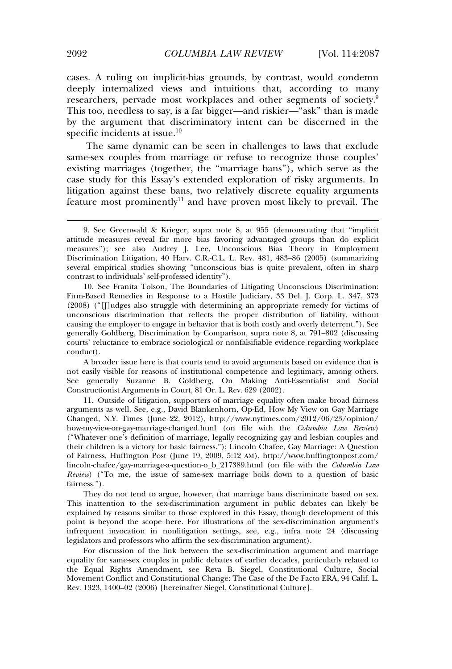cases. A ruling on implicit-bias grounds, by contrast, would condemn deeply internalized views and intuitions that, according to many researchers, pervade most workplaces and other segments of society.<sup>9</sup> This too, needless to say, is a far bigger—and riskier—"ask" than is made by the argument that discriminatory intent can be discerned in the specific incidents at issue.<sup>10</sup>

The same dynamic can be seen in challenges to laws that exclude same-sex couples from marriage or refuse to recognize those couples' existing marriages (together, the "marriage bans"), which serve as the case study for this Essay's extended exploration of risky arguments. In litigation against these bans, two relatively discrete equality arguments feature most prominently<sup>11</sup> and have proven most likely to prevail. The

A broader issue here is that courts tend to avoid arguments based on evidence that is not easily visible for reasons of institutional competence and legitimacy, among others. See generally Suzanne B. Goldberg, On Making Anti-Essentialist and Social Constructionist Arguments in Court, 81 Or. L. Rev. 629 (2002).

11. Outside of litigation, supporters of marriage equality often make broad fairness arguments as well. See, e.g., David Blankenhorn, Op-Ed, How My View on Gay Marriage Changed, N.Y. Times (June 22, 2012), http://www.nytimes.com/2012/06/23/opinion/ how-my-view-on-gay-marriage-changed.html (on file with the *Columbia Law Review*) ("Whatever one's definition of marriage, legally recognizing gay and lesbian couples and their children is a victory for basic fairness."); Lincoln Chafee, Gay Marriage: A Question of Fairness, Huffington Post (June 19, 2009, 5:12 AM), http://www.huffingtonpost.com/ lincoln-chafee/gay-marriage-a-question-o\_b\_217389.html (on file with the *Columbia Law Review*) ("To me, the issue of same-sex marriage boils down to a question of basic fairness.").

They do not tend to argue, however, that marriage bans discriminate based on sex. This inattention to the sex-discrimination argument in public debates can likely be explained by reasons similar to those explored in this Essay, though development of this point is beyond the scope here. For illustrations of the sex-discrimination argument's infrequent invocation in nonlitigation settings, see, e.g., infra note 24 (discussing legislators and professors who affirm the sex-discrimination argument).

For discussion of the link between the sex-discrimination argument and marriage equality for same-sex couples in public debates of earlier decades, particularly related to the Equal Rights Amendment, see Reva B. Siegel, Constitutional Culture, Social Movement Conflict and Constitutional Change: The Case of the De Facto ERA, 94 Calif. L. Rev. 1323, 1400–02 (2006) [hereinafter Siegel, Constitutional Culture].

<sup>9.</sup> See Greenwald & Krieger, supra note 8, at 955 (demonstrating that "implicit attitude measures reveal far more bias favoring advantaged groups than do explicit measures"); see also Audrey J. Lee, Unconscious Bias Theory in Employment Discrimination Litigation, 40 Harv. C.R.-C.L. L. Rev. 481, 483–86 (2005) (summarizing several empirical studies showing "unconscious bias is quite prevalent, often in sharp contrast to individuals' self-professed identity").

<sup>10.</sup> See Franita Tolson, The Boundaries of Litigating Unconscious Discrimination: Firm-Based Remedies in Response to a Hostile Judiciary, 33 Del. J. Corp. L. 347, 373 (2008) ("[J]udges also struggle with determining an appropriate remedy for victims of unconscious discrimination that reflects the proper distribution of liability, without causing the employer to engage in behavior that is both costly and overly deterrent."). See generally Goldberg, Discrimination by Comparison, supra note 8, at 791–802 (discussing courts' reluctance to embrace sociological or nonfalsifiable evidence regarding workplace conduct).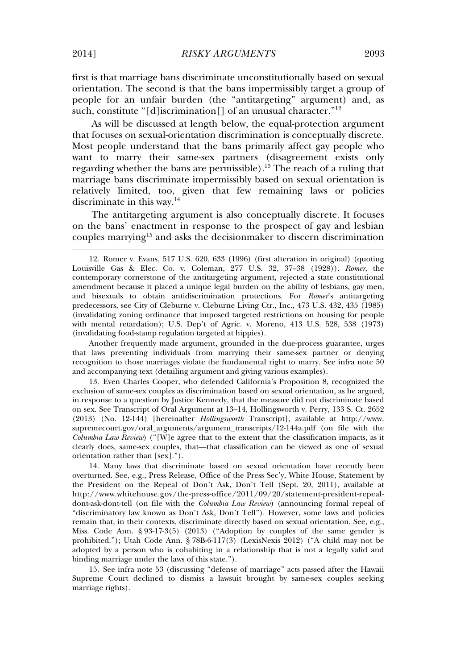first is that marriage bans discriminate unconstitutionally based on sexual orientation. The second is that the bans impermissibly target a group of people for an unfair burden (the "antitargeting" argument) and, as such, constitute "[d]iscrimination[] of an unusual character." 12

As will be discussed at length below, the equal-protection argument that focuses on sexual-orientation discrimination is conceptually discrete. Most people understand that the bans primarily affect gay people who want to marry their same-sex partners (disagreement exists only regarding whether the bans are permissible).<sup>13</sup> The reach of a ruling that marriage bans discriminate impermissibly based on sexual orientation is relatively limited, too, given that few remaining laws or policies discriminate in this way.<sup>14</sup>

The antitargeting argument is also conceptually discrete. It focuses on the bans' enactment in response to the prospect of gay and lesbian couples marrying<sup>15</sup> and asks the decisionmaker to discern discrimination

12. Romer v. Evans, 517 U.S. 620, 633 (1996) (first alteration in original) (quoting Louisville Gas & Elec. Co. v. Coleman, 277 U.S. 32, 37–38 (1928)). *Romer*, the contemporary cornerstone of the antitargeting argument, rejected a state constitutional amendment because it placed a unique legal burden on the ability of lesbians, gay men, and bisexuals to obtain antidiscrimination protections. For *Romer*'s antitargeting predecessors, see City of Cleburne v. Cleburne Living Ctr., Inc., 473 U.S. 432, 435 (1985) (invalidating zoning ordinance that imposed targeted restrictions on housing for people with mental retardation); U.S. Dep't of Agric. v. Moreno, 413 U.S. 528, 538 (1973) (invalidating food-stamp regulation targeted at hippies).

Another frequently made argument, grounded in the due-process guarantee, urges that laws preventing individuals from marrying their same-sex partner or denying recognition to those marriages violate the fundamental right to marry. See infra note 50 and accompanying text (detailing argument and giving various examples).

13. Even Charles Cooper, who defended California's Proposition 8, recognized the exclusion of same-sex couples as discrimination based on sexual orientation, as he argued, in response to a question by Justice Kennedy, that the measure did not discriminate based on sex. See Transcript of Oral Argument at 13–14, Hollingsworth v. Perry, 133 S. Ct. 2652 (2013) (No. 12-144) [hereinafter *Hollingsworth* Transcript], available at http://www. supremecourt.gov/oral\_arguments/argument\_transcripts/12-144a.pdf (on file with the *Columbia Law Review*) ("[W]e agree that to the extent that the classification impacts, as it clearly does, same-sex couples, that—that classification can be viewed as one of sexual orientation rather than [sex].").

14. Many laws that discriminate based on sexual orientation have recently been overturned. See, e.g., Press Release, Office of the Press Sec'y, White House, Statement by the President on the Repeal of Don't Ask, Don't Tell (Sept. 20, 2011), available at http://www.whitehouse.gov/the-press-office/2011/09/20/statement-president-repealdont-ask-dont-tell (on file with the *Columbia Law Review*) (announcing formal repeal of "discriminatory law known as Don't Ask, Don't Tell"). However, some laws and policies remain that, in their contexts, discriminate directly based on sexual orientation. See, e.g., Miss. Code Ann. § 93-17-3(5) (2013) ("Adoption by couples of the same gender is prohibited."); Utah Code Ann. § 78B-6-117(3) (LexisNexis 2012) ("A child may not be adopted by a person who is cohabiting in a relationship that is not a legally valid and binding marriage under the laws of this state.").

15. See infra note 53 (discussing "defense of marriage" acts passed after the Hawaii Supreme Court declined to dismiss a lawsuit brought by same-sex couples seeking marriage rights).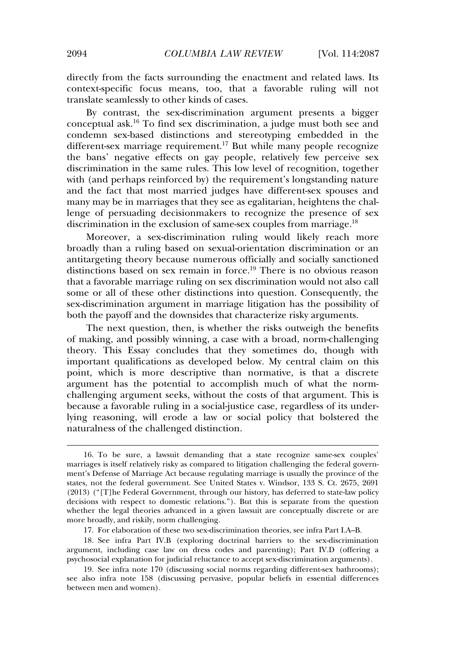directly from the facts surrounding the enactment and related laws. Its context-specific focus means, too, that a favorable ruling will not translate seamlessly to other kinds of cases.

By contrast, the sex-discrimination argument presents a bigger conceptual ask.<sup>16</sup> To find sex discrimination, a judge must both see and condemn sex-based distinctions and stereotyping embedded in the different-sex marriage requirement.<sup>17</sup> But while many people recognize the bans' negative effects on gay people, relatively few perceive sex discrimination in the same rules. This low level of recognition, together with (and perhaps reinforced by) the requirement's longstanding nature and the fact that most married judges have different-sex spouses and many may be in marriages that they see as egalitarian, heightens the challenge of persuading decisionmakers to recognize the presence of sex discrimination in the exclusion of same-sex couples from marriage.<sup>18</sup>

Moreover, a sex-discrimination ruling would likely reach more broadly than a ruling based on sexual-orientation discrimination or an antitargeting theory because numerous officially and socially sanctioned distinctions based on sex remain in force.<sup>19</sup> There is no obvious reason that a favorable marriage ruling on sex discrimination would not also call some or all of these other distinctions into question. Consequently, the sex-discrimination argument in marriage litigation has the possibility of both the payoff and the downsides that characterize risky arguments.

The next question, then, is whether the risks outweigh the benefits of making, and possibly winning, a case with a broad, norm-challenging theory. This Essay concludes that they sometimes do, though with important qualifications as developed below. My central claim on this point, which is more descriptive than normative, is that a discrete argument has the potential to accomplish much of what the normchallenging argument seeks, without the costs of that argument. This is because a favorable ruling in a social-justice case, regardless of its underlying reasoning, will erode a law or social policy that bolstered the naturalness of the challenged distinction.

17. For elaboration of these two sex-discrimination theories, see infra Part I.A–B.

18. See infra Part IV.B (exploring doctrinal barriers to the sex-discrimination argument, including case law on dress codes and parenting); Part IV.D (offering a psychosocial explanation for judicial reluctance to accept sex-discrimination arguments).

<sup>16.</sup> To be sure, a lawsuit demanding that a state recognize same-sex couples' marriages is itself relatively risky as compared to litigation challenging the federal government's Defense of Marriage Act because regulating marriage is usually the province of the states, not the federal government. See United States v. Windsor, 133 S. Ct. 2675, 2691 (2013) ("[T]he Federal Government, through our history, has deferred to state-law policy decisions with respect to domestic relations."). But this is separate from the question whether the legal theories advanced in a given lawsuit are conceptually discrete or are more broadly, and riskily, norm challenging.

<sup>19.</sup> See infra note 170 (discussing social norms regarding different-sex bathrooms); see also infra note 158 (discussing pervasive, popular beliefs in essential differences between men and women).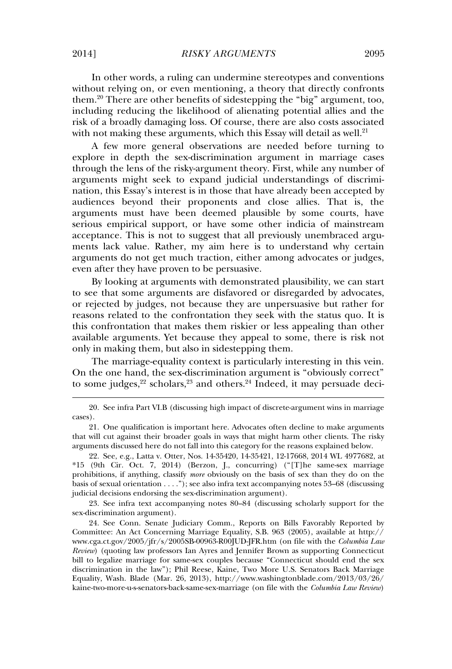In other words, a ruling can undermine stereotypes and conventions without relying on, or even mentioning, a theory that directly confronts them.<sup>20</sup> There are other benefits of sidestepping the "big" argument, too, including reducing the likelihood of alienating potential allies and the risk of a broadly damaging loss. Of course, there are also costs associated with not making these arguments, which this Essay will detail as well. $21$ 

A few more general observations are needed before turning to explore in depth the sex-discrimination argument in marriage cases through the lens of the risky-argument theory. First, while any number of arguments might seek to expand judicial understandings of discrimination, this Essay's interest is in those that have already been accepted by audiences beyond their proponents and close allies. That is, the arguments must have been deemed plausible by some courts, have serious empirical support, or have some other indicia of mainstream acceptance. This is not to suggest that all previously unembraced arguments lack value. Rather, my aim here is to understand why certain arguments do not get much traction, either among advocates or judges, even after they have proven to be persuasive.

By looking at arguments with demonstrated plausibility, we can start to see that some arguments are disfavored or disregarded by advocates, or rejected by judges, not because they are unpersuasive but rather for reasons related to the confrontation they seek with the status quo. It is this confrontation that makes them riskier or less appealing than other available arguments. Yet because they appeal to some, there is risk not only in making them, but also in sidestepping them.

The marriage-equality context is particularly interesting in this vein. On the one hand, the sex-discrimination argument is "obviously correct" to some judges,  $2^2$  scholars,  $2^3$  and others.  $2^4$  Indeed, it may persuade deci-

23. See infra text accompanying notes 80–84 (discussing scholarly support for the sex-discrimination argument).

24. See Conn. Senate Judiciary Comm., Reports on Bills Favorably Reported by Committee: An Act Concerning Marriage Equality, S.B. 963 (2005), available at http:// www.cga.ct.gov/2005/jfr/s/2005SB-00963-R00JUD-JFR.htm (on file with the *Columbia Law Review*) (quoting law professors Ian Ayres and Jennifer Brown as supporting Connecticut bill to legalize marriage for same-sex couples because "Connecticut should end the sex discrimination in the law"); Phil Reese, Kaine, Two More U.S. Senators Back Marriage Equality, Wash. Blade (Mar. 26, 2013), http://www.washingtonblade.com/2013/03/26/ kaine-two-more-u-s-senators-back-same-sex-marriage (on file with the *Columbia Law Review*)

<sup>20.</sup> See infra Part VI.B (discussing high impact of discrete-argument wins in marriage cases).

<sup>21.</sup> One qualification is important here. Advocates often decline to make arguments that will cut against their broader goals in ways that might harm other clients. The risky arguments discussed here do not fall into this category for the reasons explained below.

<sup>22.</sup> See, e.g., Latta v. Otter, Nos. 14-35420, 14-35421, 12-17668, 2014 WL 4977682, at \*15 (9th Cir. Oct. 7, 2014) (Berzon, J., concurring) ("[T]he same-sex marriage prohibitions, if anything, classify *more* obviously on the basis of sex than they do on the basis of sexual orientation . . . ."); see also infra text accompanying notes 53–68 (discussing judicial decisions endorsing the sex-discrimination argument).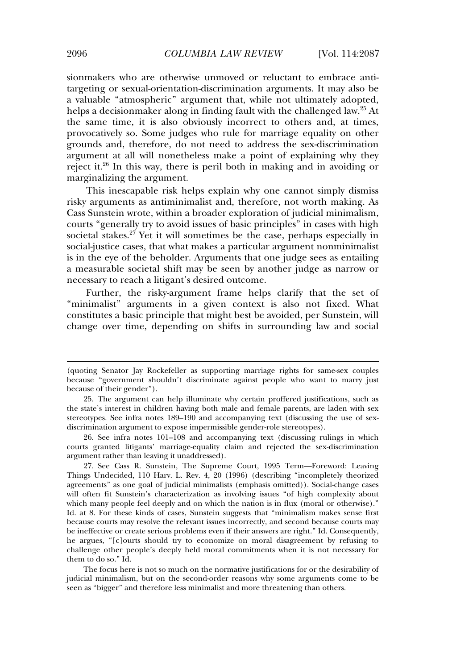sionmakers who are otherwise unmoved or reluctant to embrace antitargeting or sexual-orientation-discrimination arguments. It may also be a valuable "atmospheric" argument that, while not ultimately adopted, helps a decisionmaker along in finding fault with the challenged law.<sup>25</sup> At the same time, it is also obviously incorrect to others and, at times, provocatively so. Some judges who rule for marriage equality on other grounds and, therefore, do not need to address the sex-discrimination argument at all will nonetheless make a point of explaining why they reject it.<sup>26</sup> In this way, there is peril both in making and in avoiding or marginalizing the argument.

This inescapable risk helps explain why one cannot simply dismiss risky arguments as antiminimalist and, therefore, not worth making. As Cass Sunstein wrote, within a broader exploration of judicial minimalism, courts "generally try to avoid issues of basic principles" in cases with high societal stakes.<sup>27</sup> Yet it will sometimes be the case, perhaps especially in social-justice cases, that what makes a particular argument nonminimalist is in the eye of the beholder. Arguments that one judge sees as entailing a measurable societal shift may be seen by another judge as narrow or necessary to reach a litigant's desired outcome.

Further, the risky-argument frame helps clarify that the set of "minimalist" arguments in a given context is also not fixed. What constitutes a basic principle that might best be avoided, per Sunstein, will change over time, depending on shifts in surrounding law and social

The focus here is not so much on the normative justifications for or the desirability of judicial minimalism, but on the second-order reasons why some arguments come to be seen as "bigger" and therefore less minimalist and more threatening than others.

<sup>(</sup>quoting Senator Jay Rockefeller as supporting marriage rights for same-sex couples because "government shouldn't discriminate against people who want to marry just because of their gender").

<sup>25.</sup> The argument can help illuminate why certain proffered justifications, such as the state's interest in children having both male and female parents, are laden with sex stereotypes. See infra notes 189–190 and accompanying text (discussing the use of sexdiscrimination argument to expose impermissible gender-role stereotypes).

<sup>26.</sup> See infra notes 101–108 and accompanying text (discussing rulings in which courts granted litigants' marriage-equality claim and rejected the sex-discrimination argument rather than leaving it unaddressed).

<sup>27.</sup> See Cass R. Sunstein, The Supreme Court, 1995 Term—Foreword: Leaving Things Undecided, 110 Harv. L. Rev. 4, 20 (1996) (describing "incompletely theorized agreements" as one goal of judicial minimalists (emphasis omitted)). Social-change cases will often fit Sunstein's characterization as involving issues "of high complexity about which many people feel deeply and on which the nation is in flux (moral or otherwise)." Id. at 8. For these kinds of cases, Sunstein suggests that "minimalism makes sense first because courts may resolve the relevant issues incorrectly, and second because courts may be ineffective or create serious problems even if their answers are right." Id. Consequently, he argues, "[c]ourts should try to economize on moral disagreement by refusing to challenge other people's deeply held moral commitments when it is not necessary for them to do so." Id.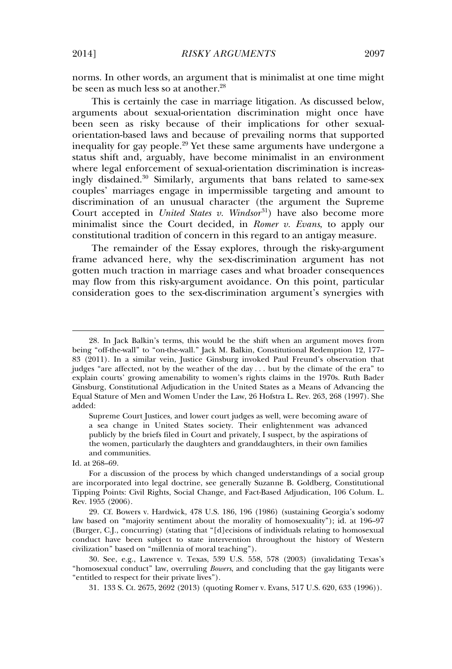norms. In other words, an argument that is minimalist at one time might be seen as much less so at another.<sup>28</sup>

This is certainly the case in marriage litigation. As discussed below, arguments about sexual-orientation discrimination might once have been seen as risky because of their implications for other sexualorientation-based laws and because of prevailing norms that supported inequality for gay people.<sup>29</sup> Yet these same arguments have undergone a status shift and, arguably, have become minimalist in an environment where legal enforcement of sexual-orientation discrimination is increasingly disdained.<sup>30</sup> Similarly, arguments that bans related to same-sex couples' marriages engage in impermissible targeting and amount to discrimination of an unusual character (the argument the Supreme Court accepted in *United States v. Windsor*<sup>31</sup>) have also become more minimalist since the Court decided, in *Romer v. Evans*, to apply our constitutional tradition of concern in this regard to an antigay measure.

The remainder of the Essay explores, through the risky-argument frame advanced here, why the sex-discrimination argument has not gotten much traction in marriage cases and what broader consequences may flow from this risky-argument avoidance. On this point, particular consideration goes to the sex-discrimination argument's synergies with

Supreme Court Justices, and lower court judges as well, were becoming aware of a sea change in United States society. Their enlightenment was advanced publicly by the briefs filed in Court and privately, I suspect, by the aspirations of the women, particularly the daughters and granddaughters, in their own families and communities.

<sup>28.</sup> In Jack Balkin's terms, this would be the shift when an argument moves from being "off-the-wall" to "on-the-wall." Jack M. Balkin, Constitutional Redemption 12, 177– 83 (2011). In a similar vein, Justice Ginsburg invoked Paul Freund's observation that judges "are affected, not by the weather of the day . . . but by the climate of the era" to explain courts' growing amenability to women's rights claims in the 1970s. Ruth Bader Ginsburg, Constitutional Adjudication in the United States as a Means of Advancing the Equal Stature of Men and Women Under the Law, 26 Hofstra L. Rev. 263, 268 (1997). She added:

Id. at 268–69.

For a discussion of the process by which changed understandings of a social group are incorporated into legal doctrine, see generally Suzanne B. Goldberg, Constitutional Tipping Points: Civil Rights, Social Change, and Fact-Based Adjudication, 106 Colum. L. Rev. 1955 (2006).

<sup>29.</sup> Cf. Bowers v. Hardwick, 478 U.S. 186, 196 (1986) (sustaining Georgia's sodomy law based on "majority sentiment about the morality of homosexuality"); id. at 196–97 (Burger, C.J., concurring) (stating that "[d]ecisions of individuals relating to homosexual conduct have been subject to state intervention throughout the history of Western civilization" based on "millennia of moral teaching").

<sup>30.</sup> See, e.g., Lawrence v. Texas, 539 U.S. 558, 578 (2003) (invalidating Texas's "homosexual conduct" law, overruling *Bowers*, and concluding that the gay litigants were "entitled to respect for their private lives").

<sup>31. 133</sup> S. Ct. 2675, 2692 (2013) (quoting Romer v. Evans, 517 U.S. 620, 633 (1996)).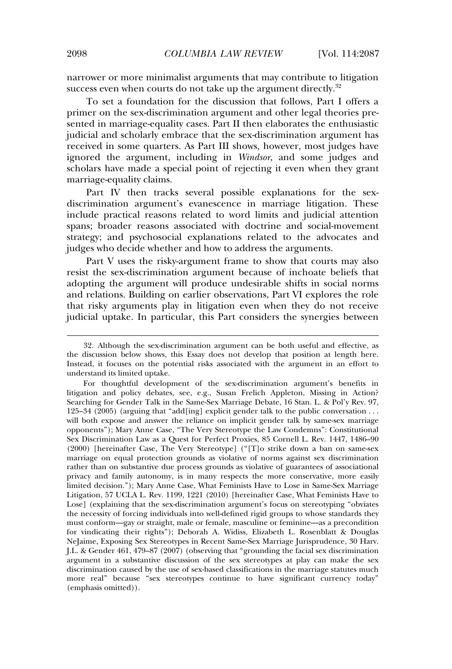narrower or more minimalist arguments that may contribute to litigation success even when courts do not take up the argument directly.<sup>32</sup>

To set a foundation for the discussion that follows, Part I offers a primer on the sex-discrimination argument and other legal theories presented in marriage-equality cases. Part II then elaborates the enthusiastic judicial and scholarly embrace that the sex-discrimination argument has received in some quarters. As Part III shows, however, most judges have ignored the argument, including in *Windsor*, and some judges and scholars have made a special point of rejecting it even when they grant marriage-equality claims.

Part IV then tracks several possible explanations for the sexdiscrimination argument's evanescence in marriage litigation. These include practical reasons related to word limits and judicial attention spans; broader reasons associated with doctrine and social-movement strategy; and psychosocial explanations related to the advocates and judges who decide whether and how to address the arguments.

Part V uses the risky-argument frame to show that courts may also resist the sex-discrimination argument because of inchoate beliefs that adopting the argument will produce undesirable shifts in social norms and relations. Building on earlier observations, Part VI explores the role that risky arguments play in litigation even when they do not receive judicial uptake. In particular, this Part considers the synergies between

<sup>32.</sup> Although the sex-discrimination argument can be both useful and effective, as the discussion below shows, this Essay does not develop that position at length here. Instead, it focuses on the potential risks associated with the argument in an effort to understand its limited uptake.

For thoughtful development of the sex-discrimination argument's benefits in litigation and policy debates, see, e.g., Susan Frelich Appleton, Missing in Action? Searching for Gender Talk in the Same-Sex Marriage Debate, 16 Stan. L. & Pol'y Rev. 97, 125–34 (2005) (arguing that "add[ing] explicit gender talk to the public conversation . . . will both expose and answer the reliance on implicit gender talk by same-sex marriage opponents"); Mary Anne Case, "The Very Stereotype the Law Condemns": Constitutional Sex Discrimination Law as a Quest for Perfect Proxies, 85 Cornell L. Rev. 1447, 1486–90 (2000) [hereinafter Case, The Very Stereotype] ("[T]o strike down a ban on same-sex marriage on equal protection grounds as violative of norms against sex discrimination rather than on substantive due process grounds as violative of guarantees of associational privacy and family autonomy, is in many respects the more conservative, more easily limited decision."); Mary Anne Case, What Feminists Have to Lose in Same-Sex Marriage Litigation, 57 UCLA L. Rev. 1199, 1221 (2010) [hereinafter Case, What Feminists Have to Lose] (explaining that the sex-discrimination argument's focus on stereotyping "obviates the necessity of forcing individuals into well-defined rigid groups to whose standards they must conform—gay or straight, male or female, masculine or feminine—as a precondition for vindicating their rights"); Deborah A. Widiss, Elizabeth L. Rosenblatt & Douglas NeJaime, Exposing Sex Stereotypes in Recent Same-Sex Marriage Jurisprudence, 30 Harv. J.L. & Gender 461, 479–87 (2007) (observing that "grounding the facial sex discrimination argument in a substantive discussion of the sex stereotypes at play can make the sex discrimination caused by the use of sex-based classifications in the marriage statutes much more real" because "sex stereotypes continue to have significant currency today" (emphasis omitted)).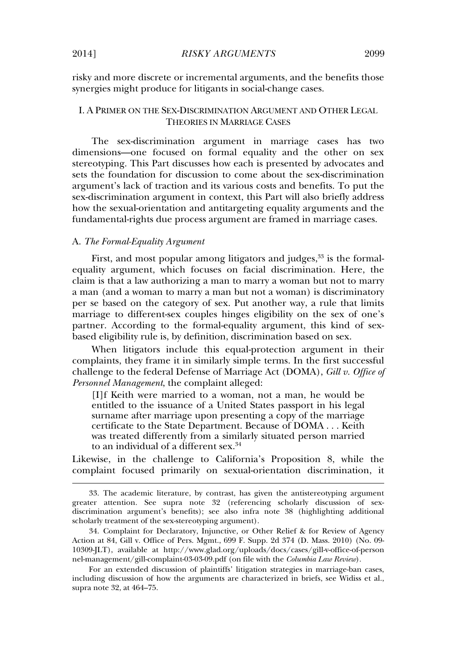risky and more discrete or incremental arguments, and the benefits those synergies might produce for litigants in social-change cases.

# I. A PRIMER ON THE SEX-DISCRIMINATION ARGUMENT AND OTHER LEGAL THEORIES IN MARRIAGE CASES

The sex-discrimination argument in marriage cases has two dimensions—one focused on formal equality and the other on sex stereotyping. This Part discusses how each is presented by advocates and sets the foundation for discussion to come about the sex-discrimination argument's lack of traction and its various costs and benefits. To put the sex-discrimination argument in context, this Part will also briefly address how the sexual-orientation and antitargeting equality arguments and the fundamental-rights due process argument are framed in marriage cases.

### A. *The Formal-Equality Argument*

First, and most popular among litigators and judges,  $33$  is the formalequality argument, which focuses on facial discrimination. Here, the claim is that a law authorizing a man to marry a woman but not to marry a man (and a woman to marry a man but not a woman) is discriminatory per se based on the category of sex. Put another way, a rule that limits marriage to different-sex couples hinges eligibility on the sex of one's partner. According to the formal-equality argument, this kind of sexbased eligibility rule is, by definition, discrimination based on sex.

When litigators include this equal-protection argument in their complaints, they frame it in similarly simple terms. In the first successful challenge to the federal Defense of Marriage Act (DOMA), *Gill v. Office of Personnel Management*, the complaint alleged:

[I]f Keith were married to a woman, not a man, he would be entitled to the issuance of a United States passport in his legal surname after marriage upon presenting a copy of the marriage certificate to the State Department. Because of DOMA . . . Keith was treated differently from a similarly situated person married to an individual of a different sex.<sup>34</sup>

Likewise, in the challenge to California's Proposition 8, while the complaint focused primarily on sexual-orientation discrimination, it

<sup>33.</sup> The academic literature, by contrast, has given the antistereotyping argument greater attention. See supra note 32 (referencing scholarly discussion of sexdiscrimination argument's benefits); see also infra note 38 (highlighting additional scholarly treatment of the sex-stereotyping argument).

<sup>34.</sup> Complaint for Declaratory, Injunctive, or Other Relief & for Review of Agency Action at 84, Gill v. Office of Pers. Mgmt., 699 F. Supp. 2d 374 (D. Mass. 2010) (No. 09- 10309-JLT), available at http://www.glad.org/uploads/docs/cases/gill-v-office-of-person nel-management/gill-complaint-03-03-09.pdf (on file with the *Columbia Law Review*).

For an extended discussion of plaintiffs' litigation strategies in marriage-ban cases, including discussion of how the arguments are characterized in briefs, see Widiss et al., supra note 32, at 464–75.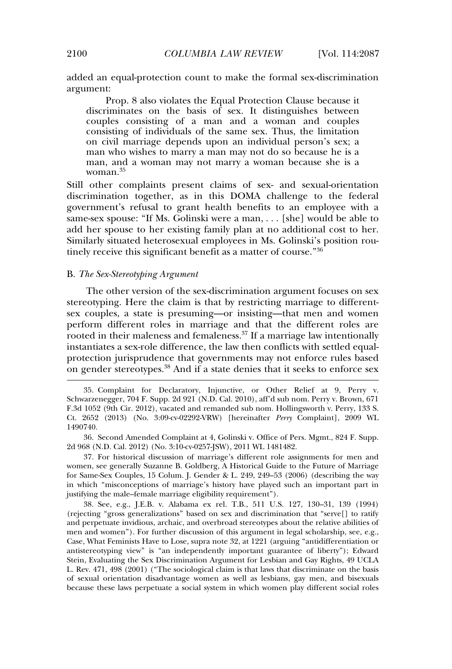added an equal-protection count to make the formal sex-discrimination argument:

Prop. 8 also violates the Equal Protection Clause because it discriminates on the basis of sex. It distinguishes between couples consisting of a man and a woman and couples consisting of individuals of the same sex. Thus, the limitation on civil marriage depends upon an individual person's sex; a man who wishes to marry a man may not do so because he is a man, and a woman may not marry a woman because she is a woman.<sup>35</sup>

Still other complaints present claims of sex- and sexual-orientation discrimination together, as in this DOMA challenge to the federal government's refusal to grant health benefits to an employee with a same-sex spouse: "If Ms. Golinski were a man, . . . [she] would be able to add her spouse to her existing family plan at no additional cost to her. Similarly situated heterosexual employees in Ms. Golinski's position routinely receive this significant benefit as a matter of course." 36

#### B. *The Sex-Stereotyping Argument*

The other version of the sex-discrimination argument focuses on sex stereotyping. Here the claim is that by restricting marriage to differentsex couples, a state is presuming—or insisting—that men and women perform different roles in marriage and that the different roles are rooted in their maleness and femaleness.<sup>37</sup> If a marriage law intentionally instantiates a sex-role difference, the law then conflicts with settled equalprotection jurisprudence that governments may not enforce rules based on gender stereotypes.<sup>38</sup> And if a state denies that it seeks to enforce sex

36. Second Amended Complaint at 4, Golinski v. Office of Pers. Mgmt., 824 F. Supp. 2d 968 (N.D. Cal. 2012) (No. 3:10-cv-0257-JSW), 2011 WL 1481482.

37. For historical discussion of marriage's different role assignments for men and women, see generally Suzanne B. Goldberg, A Historical Guide to the Future of Marriage for Same-Sex Couples, 15 Colum. J. Gender & L. 249, 249–53 (2006) (describing the way in which "misconceptions of marriage's history have played such an important part in justifying the male–female marriage eligibility requirement").

38. See, e.g., J.E.B. v. Alabama ex rel. T.B., 511 U.S. 127, 130–31, 139 (1994) (rejecting "gross generalizations" based on sex and discrimination that "serve[] to ratify and perpetuate invidious, archaic, and overbroad stereotypes about the relative abilities of men and women"). For further discussion of this argument in legal scholarship, see, e.g., Case, What Feminists Have to Lose, supra note 32, at 1221 (arguing "antidifferentiation or antistereotyping view" is "an independently important guarantee of liberty"); Edward Stein, Evaluating the Sex Discrimination Argument for Lesbian and Gay Rights, 49 UCLA L. Rev. 471, 498 (2001) ("The sociological claim is that laws that discriminate on the basis of sexual orientation disadvantage women as well as lesbians, gay men, and bisexuals because these laws perpetuate a social system in which women play different social roles

<sup>35.</sup> Complaint for Declaratory, Injunctive, or Other Relief at 9, Perry v. Schwarzenegger, 704 F. Supp. 2d 921 (N.D. Cal. 2010), aff'd sub nom. Perry v. Brown, 671 F.3d 1052 (9th Cir. 2012), vacated and remanded sub nom. Hollingsworth v. Perry, 133 S. Ct. 2652 (2013) (No. 3:09-cv-02292-VRW) [hereinafter *Perry* Complaint], 2009 WL 1490740.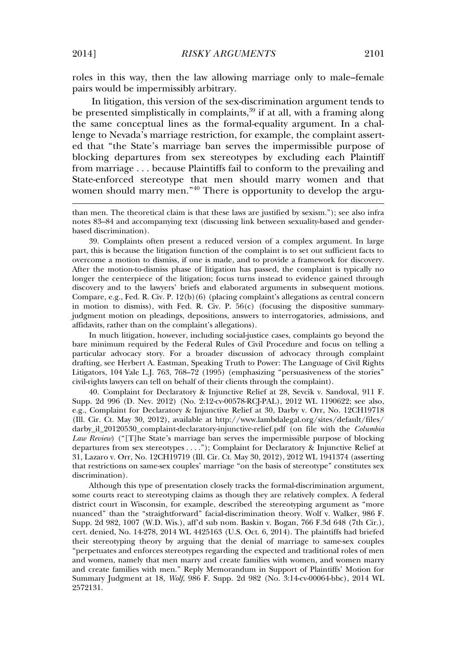roles in this way, then the law allowing marriage only to male–female pairs would be impermissibly arbitrary.

In litigation, this version of the sex-discrimination argument tends to be presented simplistically in complaints, $39$  if at all, with a framing along the same conceptual lines as the formal-equality argument. In a challenge to Nevada's marriage restriction, for example, the complaint asserted that "the State's marriage ban serves the impermissible purpose of blocking departures from sex stereotypes by excluding each Plaintiff from marriage . . . because Plaintiffs fail to conform to the prevailing and State-enforced stereotype that men should marry women and that women should marry men." <sup>40</sup> There is opportunity to develop the argu-

39. Complaints often present a reduced version of a complex argument. In large part, this is because the litigation function of the complaint is to set out sufficient facts to overcome a motion to dismiss, if one is made, and to provide a framework for discovery. After the motion-to-dismiss phase of litigation has passed, the complaint is typically no longer the centerpiece of the litigation; focus turns instead to evidence gained through discovery and to the lawyers' briefs and elaborated arguments in subsequent motions. Compare, e.g., Fed. R. Civ. P. 12(b)(6) (placing complaint's allegations as central concern in motion to dismiss), with Fed. R. Civ. P.  $56(c)$  (focusing the dispositive summaryjudgment motion on pleadings, depositions, answers to interrogatories, admissions, and affidavits, rather than on the complaint's allegations).

In much litigation, however, including social-justice cases, complaints go beyond the bare minimum required by the Federal Rules of Civil Procedure and focus on telling a particular advocacy story. For a broader discussion of advocacy through complaint drafting, see Herbert A. Eastman, Speaking Truth to Power: The Language of Civil Rights Litigators, 104 Yale L.J. 763, 768–72 (1995) (emphasizing "persuasiveness of the stories" civil-rights lawyers can tell on behalf of their clients through the complaint).

40. Complaint for Declaratory & Injunctive Relief at 28, Sevcik v. Sandoval, 911 F. Supp. 2d 996 (D. Nev. 2012) (No. 2:12-cv-00578-RCJ-PAL), 2012 WL 1190622; see also, e.g., Complaint for Declaratory & Injunctive Relief at 30, Darby v. Orr, No. 12CH19718 (Ill. Cir. Ct. May 30, 2012), available at http://www.lambdalegal.org/sites/default/files/ darby\_il\_20120530\_complaint-declaratory-injunctive-relief.pdf (on file with the *Columbia Law Review*) ("[T]he State's marriage ban serves the impermissible purpose of blocking departures from sex stereotypes . . . ."); Complaint for Declaratory & Injunctive Relief at 31, Lazaro v. Orr, No. 12CH19719 (Ill. Cir. Ct. May 30, 2012), 2012 WL 1941374 (asserting that restrictions on same-sex couples' marriage "on the basis of stereotype" constitutes sex discrimination).

Although this type of presentation closely tracks the formal-discrimination argument, some courts react to stereotyping claims as though they are relatively complex. A federal district court in Wisconsin, for example, described the stereotyping argument as "more nuanced" than the "straightforward" facial-discrimination theory. Wolf v. Walker, 986 F. Supp. 2d 982, 1007 (W.D. Wis.), aff'd sub nom. Baskin v. Bogan, 766 F.3d 648 (7th Cir.), cert. denied, No. 14-278, 2014 WL 4425163 (U.S. Oct. 6, 2014). The plaintiffs had briefed their stereotyping theory by arguing that the denial of marriage to same-sex couples "perpetuates and enforces stereotypes regarding the expected and traditional roles of men and women, namely that men marry and create families with women, and women marry and create families with men." Reply Memorandum in Support of Plaintiffs' Motion for Summary Judgment at 18, *Wolf*, 986 F. Supp. 2d 982 (No. 3:14-cv-00064-bbc), 2014 WL 2572131.

than men. The theoretical claim is that these laws are justified by sexism."); see also infra notes 83–84 and accompanying text (discussing link between sexuality-based and genderbased discrimination).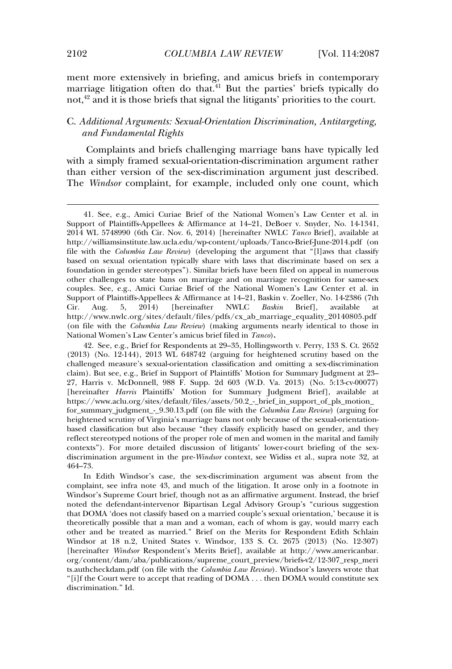ment more extensively in briefing, and amicus briefs in contemporary marriage litigation often do that.<sup>41</sup> But the parties' briefs typically do not,<sup>42</sup> and it is those briefs that signal the litigants' priorities to the court.

# C. *Additional Arguments: Sexual-Orientation Discrimination, Antitargeting, and Fundamental Rights*

Complaints and briefs challenging marriage bans have typically led with a simply framed sexual-orientation-discrimination argument rather than either version of the sex-discrimination argument just described. The *Windsor* complaint, for example, included only one count, which

In Edith Windsor's case, the sex-discrimination argument was absent from the complaint, see infra note 43, and much of the litigation. It arose only in a footnote in Windsor's Supreme Court brief, though not as an affirmative argument. Instead, the brief noted the defendant-intervenor Bipartisan Legal Advisory Group's "curious suggestion that DOMA 'does not classify based on a married couple's sexual orientation,' because it is theoretically possible that a man and a woman, each of whom is gay, would marry each other and be treated as married." Brief on the Merits for Respondent Edith Schlain Windsor at 18 n.2, United States v. Windsor, 133 S. Ct. 2675 (2013) (No. 12-307) [hereinafter *Windsor* Respondent's Merits Brief], available at http://www.americanbar. org/content/dam/aba/publications/supreme\_court\_preview/briefs-v2/12-307\_resp\_meri ts.authcheckdam.pdf (on file with the *Columbia Law Review*). Windsor's lawyers wrote that "[i]f the Court were to accept that reading of DOMA . . . then DOMA would constitute sex discrimination." Id.

<sup>41.</sup> See, e.g., Amici Curiae Brief of the National Women's Law Center et al. in Support of Plaintiffs-Appellees & Affirmance at 14–21, DeBoer v. Snyder, No. 14-1341, 2014 WL 5748990 (6th Cir. Nov. 6, 2014) [hereinafter NWLC *Tanco* Brief], available at http://williamsinstitute.law.ucla.edu/wp-content/uploads/Tanco-Brief-June-2014.pdf (on file with the *Columbia Law Review*) (developing the argument that "[l]aws that classify based on sexual orientation typically share with laws that discriminate based on sex a foundation in gender stereotypes"). Similar briefs have been filed on appeal in numerous other challenges to state bans on marriage and on marriage recognition for same-sex couples. See, e.g., Amici Curiae Brief of the National Women's Law Center et al. in Support of Plaintiffs-Appellees & Affirmance at 14–21, Baskin v. Zoeller, No. 14-2386 (7th Cir. Aug. 5, 2014) [hereinafter NWLC *Baskin* Brief], available http://www.nwlc.org/sites/default/files/pdfs/cx\_ab\_marriage\_equality\_20140805.pdf (on file with the *Columbia Law Review*) (making arguments nearly identical to those in National Women's Law Center's amicus brief filed in *Tanco*)**.**

<sup>42.</sup> See, e.g., Brief for Respondents at 29–35, Hollingsworth v. Perry, 133 S. Ct. 2652 (2013) (No. 12-144), 2013 WL 648742 (arguing for heightened scrutiny based on the challenged measure's sexual-orientation classification and omitting a sex-discrimination claim). But see, e.g., Brief in Support of Plaintiffs' Motion for Summary Judgment at 23– 27, Harris v. McDonnell, 988 F. Supp. 2d 603 (W.D. Va. 2013) (No. 5:13-cv-00077) [hereinafter *Harris* Plaintiffs' Motion for Summary Judgment Brief], available at https://www.aclu.org/sites/default/files/assets/50.2\_-\_brief\_in\_support\_of\_pls\_motion\_ for\_summary\_judgment\_-\_9.30.13.pdf (on file with the *Columbia Law Review*) (arguing for heightened scrutiny of Virginia's marriage bans not only because of the sexual-orientationbased classification but also because "they classify explicitly based on gender, and they reflect stereotyped notions of the proper role of men and women in the marital and family contexts"). For more detailed discussion of litigants' lower-court briefing of the sexdiscrimination argument in the pre-*Windsor* context, see Widiss et al., supra note 32, at 464–73.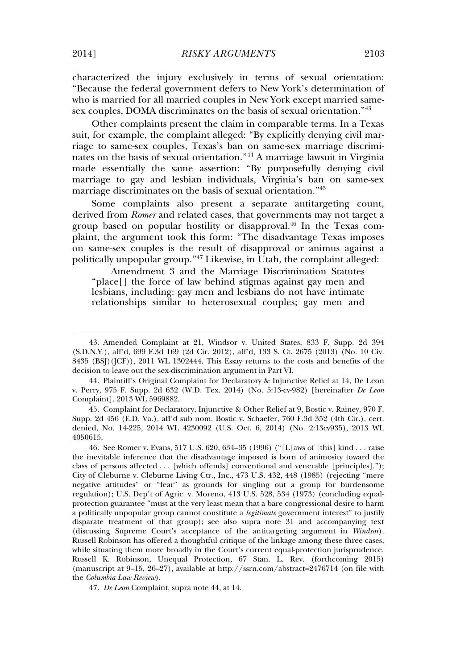characterized the injury exclusively in terms of sexual orientation: "Because the federal government defers to New York's determination of who is married for all married couples in New York except married samesex couples, DOMA discriminates on the basis of sexual orientation." 43

Other complaints present the claim in comparable terms. In a Texas suit, for example, the complaint alleged: "By explicitly denying civil marriage to same-sex couples, Texas's ban on same-sex marriage discriminates on the basis of sexual orientation." <sup>44</sup> A marriage lawsuit in Virginia made essentially the same assertion: "By purposefully denying civil marriage to gay and lesbian individuals, Virginia's ban on same-sex marriage discriminates on the basis of sexual orientation." 45

Some complaints also present a separate antitargeting count, derived from *Romer* and related cases, that governments may not target a group based on popular hostility or disapproval.<sup>46</sup> In the Texas complaint, the argument took this form: "The disadvantage Texas imposes on same-sex couples is the result of disapproval or animus against a politically unpopular group." <sup>47</sup> Likewise, in Utah, the complaint alleged:

Amendment 3 and the Marriage Discrimination Statutes "place[] the force of law behind stigmas against gay men and lesbians, including: gay men and lesbians do not have intimate relationships similar to heterosexual couples; gay men and

45. Complaint for Declaratory, Injunctive & Other Relief at 9, Bostic v. Rainey, 970 F. Supp. 2d 456 (E.D. Va.), aff'd sub nom. Bostic v. Schaefer, 760 F.3d 352 (4th Cir.), cert. denied, No. 14-225, 2014 WL 4230092 (U.S. Oct. 6, 2014) (No. 2:13cv935), 2013 WL 4050615.

46. See Romer v. Evans, 517 U.S. 620, 634–35 (1996) ("[L]aws of [this] kind . . . raise the inevitable inference that the disadvantage imposed is born of animosity toward the class of persons affected . . . [which offends] conventional and venerable [principles]."); City of Cleburne v. Cleburne Living Ctr., Inc., 473 U.S. 432, 448 (1985) (rejecting "mere negative attitudes" or "fear" as grounds for singling out a group for burdensome regulation); U.S. Dep't of Agric. v. Moreno, 413 U.S. 528, 534 (1973) (concluding equalprotection guarantee "must at the very least mean that a bare congressional desire to harm a politically unpopular group cannot constitute a *legitimate* government interest" to justify disparate treatment of that group); see also supra note 31 and accompanying text (discussing Supreme Court's acceptance of the antitargeting argument in *Windsor*). Russell Robinson has offered a thoughtful critique of the linkage among these three cases, while situating them more broadly in the Court's current equal-protection jurisprudence. Russell K. Robinson, Unequal Protection, 67 Stan. L. Rev. (forthcoming 2015) (manuscript at  $9-15$ ,  $26-27$ ), available at http://ssrn.com/abstract=2476714 (on file with the *Columbia Law Review*).

47*. De Leon* Complaint, supra note 44, at 14.

<sup>43.</sup> Amended Complaint at 21, Windsor v. United States, 833 F. Supp. 2d 394 (S.D.N.Y.), aff'd, 699 F.3d 169 (2d Cir. 2012), aff'd, 133 S. Ct. 2675 (2013) (No. 10 Civ. 8435 (BSJ)(JCF)), 2011 WL 1302444. This Essay returns to the costs and benefits of the decision to leave out the sex-discrimination argument in Part VI.

<sup>44.</sup> Plaintiff's Original Complaint for Declaratory & Injunctive Relief at 14, De Leon v. Perry, 975 F. Supp. 2d 632 (W.D. Tex. 2014) (No. 5:13-cv-982) [hereinafter *De Leon* Complaint], 2013 WL 5969882.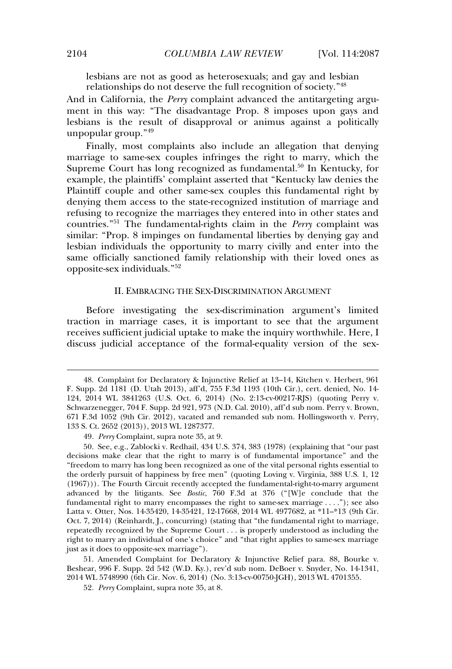lesbians are not as good as heterosexuals; and gay and lesbian relationships do not deserve the full recognition of society." 48

And in California, the *Perry* complaint advanced the antitargeting argument in this way: "The disadvantage Prop. 8 imposes upon gays and lesbians is the result of disapproval or animus against a politically unpopular group." 49

Finally, most complaints also include an allegation that denying marriage to same-sex couples infringes the right to marry, which the Supreme Court has long recognized as fundamental.<sup>50</sup> In Kentucky, for example, the plaintiffs' complaint asserted that "Kentucky law denies the Plaintiff couple and other same-sex couples this fundamental right by denying them access to the state-recognized institution of marriage and refusing to recognize the marriages they entered into in other states and countries." <sup>51</sup> The fundamental-rights claim in the *Perry* complaint was similar: "Prop. 8 impinges on fundamental liberties by denying gay and lesbian individuals the opportunity to marry civilly and enter into the same officially sanctioned family relationship with their loved ones as opposite-sex individuals." 52

#### II. EMBRACING THE SEX-DISCRIMINATION ARGUMENT

Before investigating the sex-discrimination argument's limited traction in marriage cases, it is important to see that the argument receives sufficient judicial uptake to make the inquiry worthwhile. Here, I discuss judicial acceptance of the formal-equality version of the sex-

51. Amended Complaint for Declaratory & Injunctive Relief para. 88, Bourke v. Beshear, 996 F. Supp. 2d 542 (W.D. Ky.), rev'd sub nom. DeBoer v. Snyder, No. 14-1341, 2014 WL 5748990 (6th Cir. Nov. 6, 2014) (No. 3:13-cv-00750-JGH), 2013 WL 4701355.

52*. Perry* Complaint, supra note 35, at 8.

<sup>48.</sup> Complaint for Declaratory & Injunctive Relief at 13–14, Kitchen v. Herbert, 961 F. Supp. 2d 1181 (D. Utah 2013), aff'd, 755 F.3d 1193 (10th Cir.), cert. denied, No. 14- 124, 2014 WL 3841263 (U.S. Oct. 6, 2014) (No. 2:13-cv-00217-RJS) (quoting Perry v. Schwarzenegger, 704 F. Supp. 2d 921, 973 (N.D. Cal. 2010), aff'd sub nom. Perry v. Brown, 671 F.3d 1052 (9th Cir. 2012), vacated and remanded sub nom. Hollingsworth v. Perry, 133 S. Ct. 2652 (2013)), 2013 WL 1287377.

<sup>49</sup>*. Perry* Complaint, supra note 35, at 9.

<sup>50.</sup> See, e.g., Zablocki v. Redhail, 434 U.S. 374, 383 (1978) (explaining that "our past decisions make clear that the right to marry is of fundamental importance" and the "freedom to marry has long been recognized as one of the vital personal rights essential to the orderly pursuit of happiness by free men" (quoting Loving v. Virginia, 388 U.S. 1, 12 (1967))). The Fourth Circuit recently accepted the fundamental-right-to-marry argument advanced by the litigants. See *Bostic*, 760 F.3d at 376 ("[W]e conclude that the fundamental right to marry encompasses the right to same-sex marriage . . . ."); see also Latta v. Otter, Nos. 14-35420, 14-35421, 12-17668, 2014 WL 4977682, at \*11–\*13 (9th Cir. Oct. 7, 2014) (Reinhardt, J., concurring) (stating that "the fundamental right to marriage, repeatedly recognized by the Supreme Court . . . is properly understood as including the right to marry an individual of one's choice" and "that right applies to same-sex marriage just as it does to opposite-sex marriage").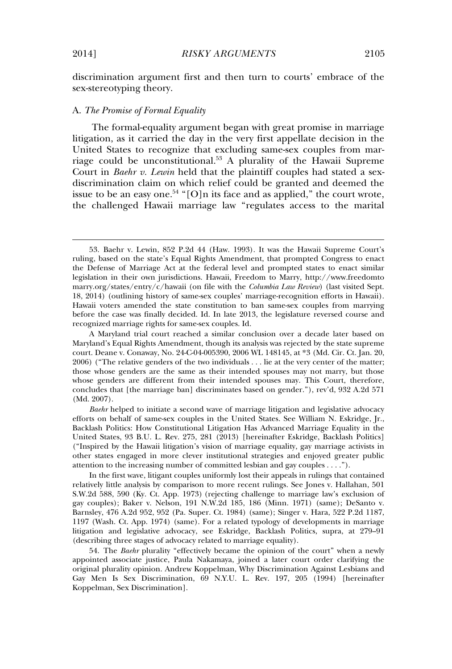#### A. *The Promise of Formal Equality*

The formal-equality argument began with great promise in marriage litigation, as it carried the day in the very first appellate decision in the United States to recognize that excluding same-sex couples from marriage could be unconstitutional.<sup>53</sup> A plurality of the Hawaii Supreme Court in *Baehr v. Lewin* held that the plaintiff couples had stated a sexdiscrimination claim on which relief could be granted and deemed the issue to be an easy one.<sup>54</sup> "[O]n its face and as applied," the court wrote, the challenged Hawaii marriage law "regulates access to the marital

<sup>53.</sup> Baehr v. Lewin, 852 P.2d 44 (Haw. 1993). It was the Hawaii Supreme Court's ruling, based on the state's Equal Rights Amendment, that prompted Congress to enact the Defense of Marriage Act at the federal level and prompted states to enact similar legislation in their own jurisdictions. Hawaii, Freedom to Marry, http://www.freedomto marry.org/states/entry/c/hawaii (on file with the *Columbia Law Review*) (last visited Sept. 18, 2014) (outlining history of same-sex couples' marriage-recognition efforts in Hawaii). Hawaii voters amended the state constitution to ban same-sex couples from marrying before the case was finally decided. Id. In late 2013, the legislature reversed course and recognized marriage rights for same-sex couples. Id.

A Maryland trial court reached a similar conclusion over a decade later based on Maryland's Equal Rights Amendment, though its analysis was rejected by the state supreme court. Deane v. Conaway, No. 24-C-04-005390, 2006 WL 148145, at \*3 (Md. Cir. Ct. Jan. 20, 2006) ("The relative genders of the two individuals . . . lie at the very center of the matter; those whose genders are the same as their intended spouses may not marry, but those whose genders are different from their intended spouses may. This Court, therefore, concludes that [the marriage ban] discriminates based on gender."), rev'd, 932 A.2d 571 (Md. 2007).

*Baehr* helped to initiate a second wave of marriage litigation and legislative advocacy efforts on behalf of same-sex couples in the United States. See William N. Eskridge, Jr., Backlash Politics: How Constitutional Litigation Has Advanced Marriage Equality in the United States, 93 B.U. L. Rev. 275, 281 (2013) [hereinafter Eskridge, Backlash Politics] ("Inspired by the Hawaii litigation's vision of marriage equality, gay marriage activists in other states engaged in more clever institutional strategies and enjoyed greater public attention to the increasing number of committed lesbian and gay couples . . . .").

In the first wave, litigant couples uniformly lost their appeals in rulings that contained relatively little analysis by comparison to more recent rulings. See Jones v. Hallahan, 501 S.W.2d 588, 590 (Ky. Ct. App. 1973) (rejecting challenge to marriage law's exclusion of gay couples); Baker v. Nelson, 191 N.W.2d 185, 186 (Minn. 1971) (same); DeSanto v. Barnsley, 476 A.2d 952, 952 (Pa. Super. Ct. 1984) (same); Singer v. Hara, 522 P.2d 1187, 1197 (Wash. Ct. App. 1974) (same). For a related typology of developments in marriage litigation and legislative advocacy, see Eskridge, Backlash Politics, supra, at 279–91 (describing three stages of advocacy related to marriage equality).

<sup>54.</sup> The *Baehr* plurality "effectively became the opinion of the court" when a newly appointed associate justice, Paula Nakamaya, joined a later court order clarifying the original plurality opinion. Andrew Koppelman, Why Discrimination Against Lesbians and Gay Men Is Sex Discrimination, 69 N.Y.U. L. Rev. 197, 205 (1994) [hereinafter Koppelman, Sex Discrimination].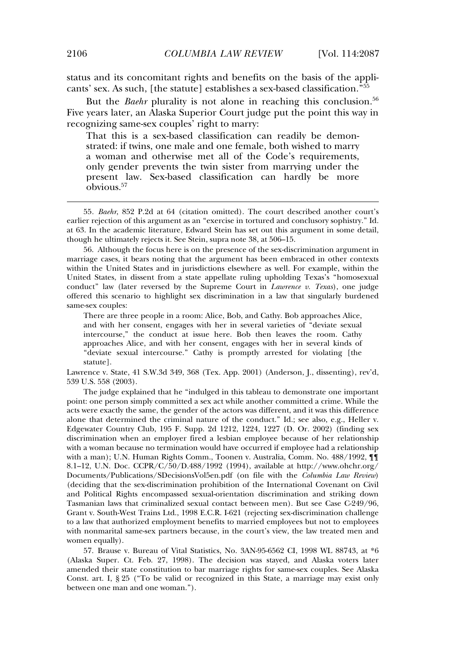status and its concomitant rights and benefits on the basis of the applicants' sex. As such, [the statute] establishes a sex-based classification." 55

But the *Baehr* plurality is not alone in reaching this conclusion.<sup>56</sup> Five years later, an Alaska Superior Court judge put the point this way in recognizing same-sex couples' right to marry:

That this is a sex-based classification can readily be demonstrated: if twins, one male and one female, both wished to marry a woman and otherwise met all of the Code's requirements, only gender prevents the twin sister from marrying under the present law. Sex-based classification can hardly be more obvious.<sup>57</sup>

56. Although the focus here is on the presence of the sex-discrimination argument in marriage cases, it bears noting that the argument has been embraced in other contexts within the United States and in jurisdictions elsewhere as well. For example, within the United States, in dissent from a state appellate ruling upholding Texas's "homosexual conduct" law (later reversed by the Supreme Court in *Lawrence v. Texas*), one judge offered this scenario to highlight sex discrimination in a law that singularly burdened same-sex couples:

There are three people in a room: Alice, Bob, and Cathy. Bob approaches Alice, and with her consent, engages with her in several varieties of "deviate sexual intercourse," the conduct at issue here. Bob then leaves the room. Cathy approaches Alice, and with her consent, engages with her in several kinds of "deviate sexual intercourse." Cathy is promptly arrested for violating [the statute].

Lawrence v. State, 41 S.W.3d 349, 368 (Tex. App. 2001) (Anderson, J., dissenting), rev'd, 539 U.S. 558 (2003).

The judge explained that he "indulged in this tableau to demonstrate one important point: one person simply committed a sex act while another committed a crime. While the acts were exactly the same, the gender of the actors was different, and it was this difference alone that determined the criminal nature of the conduct." Id.; see also, e.g., Heller v. Edgewater Country Club, 195 F. Supp. 2d 1212, 1224, 1227 (D. Or. 2002) (finding sex discrimination when an employer fired a lesbian employee because of her relationship with a woman because no termination would have occurred if employee had a relationship with a man); U.N. Human Rights Comm., Toonen v. Australia, Comm. No. 488/1992,  $\P\P$ 8.1–12, U.N. Doc. CCPR/C/50/D.488/1992 (1994), available at http://www.ohchr.org/ Documents/Publications/SDecisionsVol5en.pdf (on file with the *Columbia Law Review*) (deciding that the sex-discrimination prohibition of the International Covenant on Civil and Political Rights encompassed sexual-orientation discrimination and striking down Tasmanian laws that criminalized sexual contact between men). But see Case C-249/96, Grant v. South-West Trains Ltd., 1998 E.C.R. I-621 (rejecting sex-discrimination challenge to a law that authorized employment benefits to married employees but not to employees with nonmarital same-sex partners because, in the court's view, the law treated men and women equally).

57. Brause v. Bureau of Vital Statistics, No. 3AN-95-6562 CI, 1998 WL 88743, at \*6 (Alaska Super. Ct. Feb. 27, 1998). The decision was stayed, and Alaska voters later amended their state constitution to bar marriage rights for same-sex couples. See Alaska Const. art. I, § 25 ("To be valid or recognized in this State, a marriage may exist only between one man and one woman.").

<sup>55</sup>*. Baehr*, 852 P.2d at 64 (citation omitted). The court described another court's earlier rejection of this argument as an "exercise in tortured and conclusory sophistry." Id. at 63. In the academic literature, Edward Stein has set out this argument in some detail, though he ultimately rejects it. See Stein, supra note 38, at 506–15.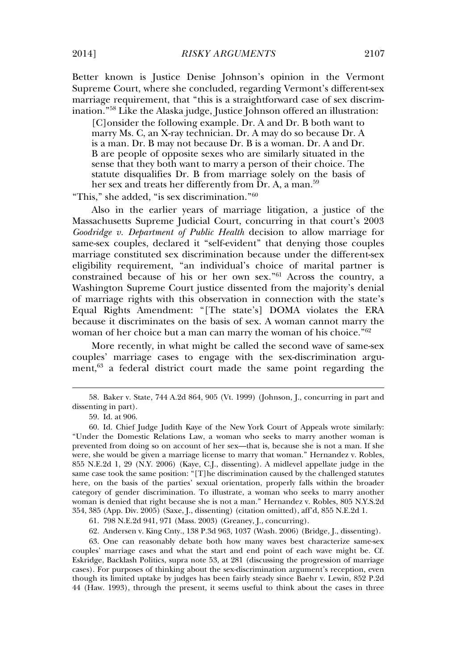Better known is Justice Denise Johnson's opinion in the Vermont Supreme Court, where she concluded, regarding Vermont's different-sex marriage requirement, that "this is a straightforward case of sex discrimination." <sup>58</sup> Like the Alaska judge, Justice Johnson offered an illustration:

[C]onsider the following example. Dr. A and Dr. B both want to marry Ms. C, an X-ray technician. Dr. A may do so because Dr. A is a man. Dr. B may not because Dr. B is a woman. Dr. A and Dr. B are people of opposite sexes who are similarly situated in the sense that they both want to marry a person of their choice. The statute disqualifies Dr. B from marriage solely on the basis of her sex and treats her differently from Dr. A, a man.<sup>59</sup>

"This," she added, "is sex discrimination." 60

Also in the earlier years of marriage litigation, a justice of the Massachusetts Supreme Judicial Court, concurring in that court's 2003 *Goodridge v. Department of Public Health* decision to allow marriage for same-sex couples, declared it "self-evident" that denying those couples marriage constituted sex discrimination because under the different-sex eligibility requirement, "an individual's choice of marital partner is constrained because of his or her own sex." <sup>61</sup> Across the country, a Washington Supreme Court justice dissented from the majority's denial of marriage rights with this observation in connection with the state's Equal Rights Amendment: "[The state's] DOMA violates the ERA because it discriminates on the basis of sex. A woman cannot marry the woman of her choice but a man can marry the woman of his choice." 62

More recently, in what might be called the second wave of same-sex couples' marriage cases to engage with the sex-discrimination argument,<sup>63</sup> a federal district court made the same point regarding the

63. One can reasonably debate both how many waves best characterize same-sex couples' marriage cases and what the start and end point of each wave might be. Cf. Eskridge, Backlash Politics, supra note 53, at 281 (discussing the progression of marriage cases). For purposes of thinking about the sex-discrimination argument's reception, even though its limited uptake by judges has been fairly steady since Baehr v. Lewin, 852 P.2d 44 (Haw. 1993), through the present, it seems useful to think about the cases in three

<sup>58.</sup> Baker v. State, 744 A.2d 864, 905 (Vt. 1999) (Johnson, J., concurring in part and dissenting in part).

<sup>59.</sup> Id. at 906.

<sup>60.</sup> Id. Chief Judge Judith Kaye of the New York Court of Appeals wrote similarly: "Under the Domestic Relations Law, a woman who seeks to marry another woman is prevented from doing so on account of her sex—that is, because she is not a man. If she were, she would be given a marriage license to marry that woman." Hernandez v. Robles, 855 N.E.2d 1, 29 (N.Y. 2006) (Kaye, C.J., dissenting). A midlevel appellate judge in the same case took the same position: "[T]he discrimination caused by the challenged statutes here, on the basis of the parties' sexual orientation, properly falls within the broader category of gender discrimination. To illustrate, a woman who seeks to marry another woman is denied that right because she is not a man." Hernandez v. Robles, 805 N.Y.S.2d 354, 385 (App. Div. 2005) (Saxe, J., dissenting) (citation omitted), aff'd, 855 N.E.2d 1.

<sup>61. 798</sup> N.E.2d 941, 971 (Mass. 2003) (Greaney, J., concurring).

<sup>62.</sup> Andersen v. King Cnty., 138 P.3d 963, 1037 (Wash. 2006) (Bridge, J., dissenting).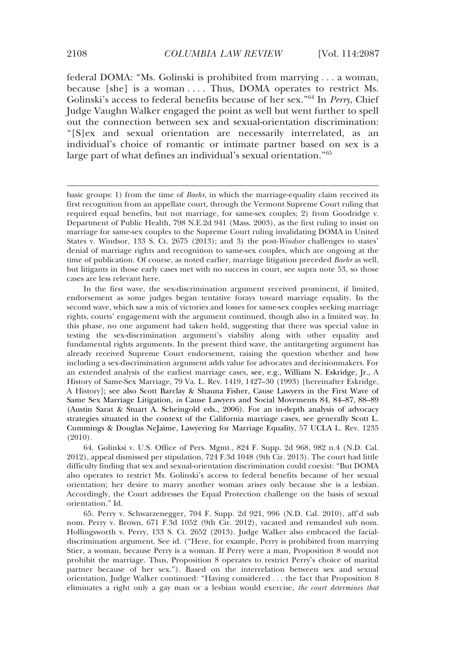federal DOMA: "Ms. Golinski is prohibited from marrying . . . a woman, because [she] is a woman . . . . Thus, DOMA operates to restrict Ms. Golinski's access to federal benefits because of her sex."64 In *Perry*, Chief Judge Vaughn Walker engaged the point as well but went further to spell out the connection between sex and sexual-orientation discrimination: "[S]ex and sexual orientation are necessarily interrelated, as an individual's choice of romantic or intimate partner based on sex is a large part of what defines an individual's sexual orientation."65

In the first wave, the sex-discrimination argument received prominent, if limited, endorsement as some judges began tentative forays toward marriage equality. In the second wave, which saw a mix of victories and losses for same-sex couples seeking marriage rights, courts' engagement with the argument continued, though also in a limited way. In this phase, no one argument had taken hold, suggesting that there was special value in testing the sex-discrimination argument's viability along with other equality and fundamental rights arguments. In the present third wave, the antitargeting argument has already received Supreme Court endorsement, raising the question whether and how including a sex-discrimination argument adds value for advocates and decisionmakers. For an extended analysis of the earliest marriage cases, see, e.g., William N. Eskridge, Jr., A History of Same-Sex Marriage, 79 Va. L. Rev. 1419, 1427–30 (1993) [hereinafter Eskridge, A History]; see also Scott Barclay & Shauna Fisher, Cause Lawyers in the First Wave of Same Sex Marriage Litigation, *in* Cause Lawyers and Social Movements 84, 84–87, 88–89 (Austin Sarat & Stuart A. Scheingold eds., 2006). For an in-depth analysis of advocacy strategies situated in the context of the California marriage cases, see generally Scott L. Cummings & Douglas NeJaime, Lawyering for Marriage Equality, 57 UCLA L. Rev. 1235 (2010).

64. Golinksi v. U.S. Office of Pers. Mgmt., 824 F. Supp. 2d 968, 982 n.4 (N.D. Cal. 2012), appeal dismissed per stipulation, 724 F.3d 1048 (9th Cir. 2013). The court had little difficulty finding that sex and sexual-orientation discrimination could coexist: "But DOMA also operates to restrict Ms. Golinski's access to federal benefits because of her sexual orientation; her desire to marry another woman arises only because she is a lesbian. Accordingly, the Court addresses the Equal Protection challenge on the basis of sexual orientation." Id.

65. Perry v. Schwarzenegger, 704 F. Supp. 2d 921, 996 (N.D. Cal. 2010), aff'd sub nom. Perry v. Brown, 671 F.3d 1052 (9th Cir. 2012), vacated and remanded sub nom. Hollingsworth v. Perry, 133 S. Ct. 2652 (2013). Judge Walker also embraced the facialdiscrimination argument. See id. ("Here, for example, Perry is prohibited from marrying Stier, a woman, because Perry is a woman. If Perry were a man, Proposition 8 would not prohibit the marriage. Thus, Proposition 8 operates to restrict Perry's choice of marital partner because of her sex."). Based on the interrelation between sex and sexual orientation, Judge Walker continued: "Having considered . . . the fact that Proposition 8 eliminates a right only a gay man or a lesbian would exercise, *the court determines that*

basic groups: 1) from the time of *Baehr*, in which the marriage-equality claim received its first recognition from an appellate court, through the Vermont Supreme Court ruling that required equal benefits, but not marriage, for same-sex couples; 2) from Goodridge v. Department of Public Health, 798 N.E.2d 941 (Mass. 2003), as the first ruling to insist on marriage for same-sex couples to the Supreme Court ruling invalidating DOMA in United States v. Windsor, 133 S. Ct. 2675 (2013); and 3) the post-*Windsor* challenges to states' denial of marriage rights and recognition to same-sex couples, which are ongoing at the time of publication. Of course, as noted earlier, marriage litigation preceded *Baehr* as well, but litigants in those early cases met with no success in court, see supra note 53, so those cases are less relevant here.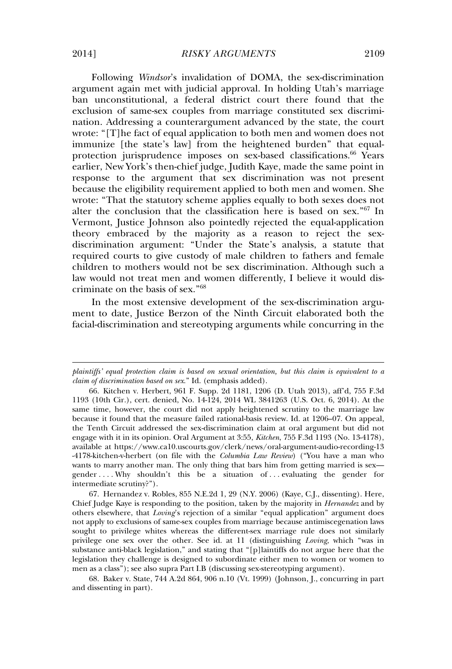Following *Windsor*'s invalidation of DOMA, the sex-discrimination argument again met with judicial approval. In holding Utah's marriage ban unconstitutional, a federal district court there found that the exclusion of same-sex couples from marriage constituted sex discrimination. Addressing a counterargument advanced by the state, the court wrote: "[T]he fact of equal application to both men and women does not immunize [the state's law] from the heightened burden" that equalprotection jurisprudence imposes on sex-based classifications.<sup>66</sup> Years earlier, New York's then-chief judge, Judith Kaye, made the same point in response to the argument that sex discrimination was not present because the eligibility requirement applied to both men and women. She wrote: "That the statutory scheme applies equally to both sexes does not alter the conclusion that the classification here is based on sex." <sup>67</sup> In Vermont, Justice Johnson also pointedly rejected the equal-application theory embraced by the majority as a reason to reject the sexdiscrimination argument: "Under the State's analysis, a statute that required courts to give custody of male children to fathers and female children to mothers would not be sex discrimination. Although such a law would not treat men and women differently, I believe it would discriminate on the basis of sex." 68

In the most extensive development of the sex-discrimination argument to date, Justice Berzon of the Ninth Circuit elaborated both the facial-discrimination and stereotyping arguments while concurring in the

67. Hernandez v. Robles, 855 N.E.2d 1, 29 (N.Y. 2006) (Kaye, C.J., dissenting). Here, Chief Judge Kaye is responding to the position, taken by the majority in *Hernandez* and by others elsewhere, that *Loving*'s rejection of a similar "equal application" argument does not apply to exclusions of same-sex couples from marriage because antimiscegenation laws sought to privilege whites whereas the different-sex marriage rule does not similarly privilege one sex over the other. See id. at 11 (distinguishing *Loving*, which "was in substance anti-black legislation," and stating that "[p]laintiffs do not argue here that the legislation they challenge is designed to subordinate either men to women or women to men as a class"); see also supra Part I.B (discussing sex-stereotyping argument).

68. Baker v. State, 744 A.2d 864, 906 n.10 (Vt. 1999) (Johnson, J., concurring in part and dissenting in part).

*plaintiffs' equal protection claim is based on sexual orientation, but this claim is equivalent to a claim of discrimination based on sex*." Id. (emphasis added).

<sup>66.</sup> Kitchen v. Herbert, 961 F. Supp. 2d 1181, 1206 (D. Utah 2013), aff'd, 755 F.3d 1193 (10th Cir.), cert. denied, No. 14-124, 2014 WL 3841263 (U.S. Oct. 6, 2014). At the same time, however, the court did not apply heightened scrutiny to the marriage law because it found that the measure failed rational-basis review. Id. at 1206–07. On appeal, the Tenth Circuit addressed the sex-discrimination claim at oral argument but did not engage with it in its opinion. Oral Argument at 3:55, *Kitchen*, 755 F.3d 1193 (No. 13-4178), available at https://www.ca10.uscourts.gov/clerk/news/oral-argument-audio-recording-13 -4178-kitchen-v-herbert (on file with the *Columbia Law Review*) ("You have a man who wants to marry another man. The only thing that bars him from getting married is sex gender ... . Why shouldn't this be a situation of ... evaluating the gender for intermediate scrutiny?").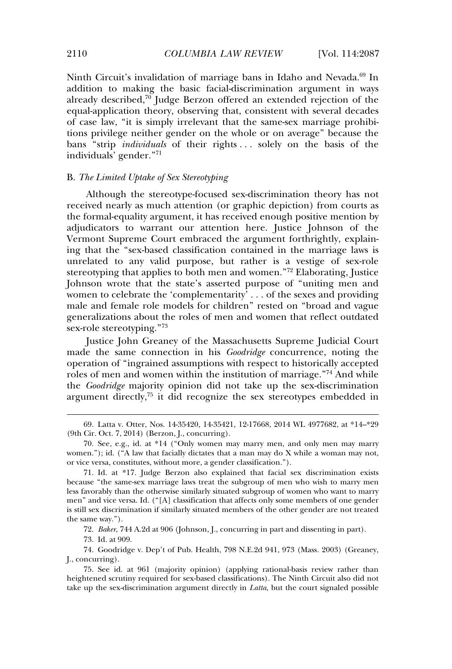Ninth Circuit's invalidation of marriage bans in Idaho and Nevada.<sup>69</sup> In addition to making the basic facial-discrimination argument in ways already described, $70$  Judge Berzon offered an extended rejection of the equal-application theory, observing that, consistent with several decades of case law, "it is simply irrelevant that the same-sex marriage prohibitions privilege neither gender on the whole or on average" because the bans "strip *individuals* of their rights . . . solely on the basis of the individuals' gender." 71

# B. *The Limited Uptake of Sex Stereotyping*

Although the stereotype-focused sex-discrimination theory has not received nearly as much attention (or graphic depiction) from courts as the formal-equality argument, it has received enough positive mention by adjudicators to warrant our attention here. Justice Johnson of the Vermont Supreme Court embraced the argument forthrightly, explaining that the "sex-based classification contained in the marriage laws is unrelated to any valid purpose, but rather is a vestige of sex-role stereotyping that applies to both men and women." <sup>72</sup> Elaborating, Justice Johnson wrote that the state's asserted purpose of "uniting men and women to celebrate the 'complementarity' . . . of the sexes and providing male and female role models for children" rested on "broad and vague generalizations about the roles of men and women that reflect outdated sex-role stereotyping." 73

Justice John Greaney of the Massachusetts Supreme Judicial Court made the same connection in his *Goodridge* concurrence, noting the operation of "ingrained assumptions with respect to historically accepted roles of men and women within the institution of marriage." <sup>74</sup> And while the *Goodridge* majority opinion did not take up the sex-discrimination argument directly, $75$  it did recognize the sex stereotypes embedded in

72. *Baker*, 744 A.2d at 906 (Johnson, J., concurring in part and dissenting in part).

73. Id. at 909.

74. Goodridge v. Dep't of Pub. Health, 798 N.E.2d 941, 973 (Mass. 2003) (Greaney, J., concurring).

<sup>69.</sup> Latta v. Otter, Nos. 14-35420, 14-35421, 12-17668, 2014 WL 4977682, at \*14–\*29 (9th Cir. Oct. 7, 2014) (Berzon, J., concurring).

<sup>70.</sup> See, e.g., id. at \*14 ("Only women may marry men, and only men may marry women."); id. ("A law that facially dictates that a man may do X while a woman may not, or vice versa, constitutes, without more, a gender classification.").

<sup>71.</sup> Id. at \*17. Judge Berzon also explained that facial sex discrimination exists because "the same-sex marriage laws treat the subgroup of men who wish to marry men less favorably than the otherwise similarly situated subgroup of women who want to marry men" and vice versa. Id. ("[A] classification that affects only some members of one gender is still sex discrimination if similarly situated members of the other gender are not treated the same way.").

<sup>75.</sup> See id. at 961 (majority opinion) (applying rational-basis review rather than heightened scrutiny required for sex-based classifications). The Ninth Circuit also did not take up the sex-discrimination argument directly in *Latta*, but the court signaled possible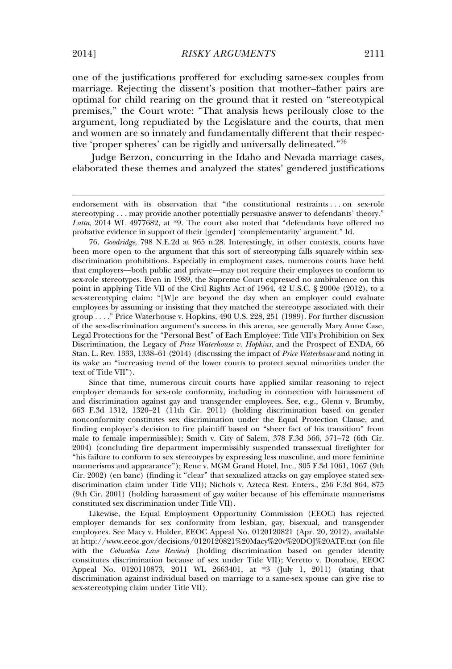one of the justifications proffered for excluding same-sex couples from marriage. Rejecting the dissent's position that mother–father pairs are optimal for child rearing on the ground that it rested on "stereotypical premises," the Court wrote: "That analysis hews perilously close to the argument, long repudiated by the Legislature and the courts, that men and women are so innately and fundamentally different that their respective 'proper spheres' can be rigidly and universally delineated." 76

Judge Berzon, concurring in the Idaho and Nevada marriage cases, elaborated these themes and analyzed the states' gendered justifications

76*. Goodridge*, 798 N.E.2d at 965 n.28. Interestingly, in other contexts, courts have been more open to the argument that this sort of stereotyping falls squarely within sexdiscrimination prohibitions. Especially in employment cases, numerous courts have held that employers—both public and private—may not require their employees to conform to sex-role stereotypes. Even in 1989, the Supreme Court expressed no ambivalence on this point in applying Title VII of the Civil Rights Act of 1964, 42 U.S.C. § 2000e (2012), to a sex-stereotyping claim: "[W]e are beyond the day when an employer could evaluate employees by assuming or insisting that they matched the stereotype associated with their group . . . ." Price Waterhouse v. Hopkins, 490 U.S. 228, 251 (1989). For further discussion of the sex-discrimination argument's success in this arena, see generally Mary Anne Case, Legal Protections for the "Personal Best" of Each Employee: Title VII's Prohibition on Sex Discrimination, the Legacy of *Price Waterhouse v. Hopkins*, and the Prospect of ENDA, 66 Stan. L. Rev. 1333, 1338–61 (2014) (discussing the impact of *Price Waterhouse* and noting in its wake an "increasing trend of the lower courts to protect sexual minorities under the text of Title VII").

Since that time, numerous circuit courts have applied similar reasoning to reject employer demands for sex-role conformity, including in connection with harassment of and discrimination against gay and transgender employees. See, e.g., Glenn v. Brumby, 663 F.3d 1312, 1320–21 (11th Cir. 2011) (holding discrimination based on gender nonconformity constitutes sex discrimination under the Equal Protection Clause, and finding employer's decision to fire plaintiff based on "sheer fact of his transition" from male to female impermissible); Smith v. City of Salem, 378 F.3d 566, 571–72 (6th Cir. 2004) (concluding fire department impermissibly suspended transsexual firefighter for "his failure to conform to sex stereotypes by expressing less masculine, and more feminine mannerisms and appearance"); Rene v. MGM Grand Hotel, Inc., 305 F.3d 1061, 1067 (9th Cir. 2002) (en banc) (finding it "clear" that sexualized attacks on gay employee stated sexdiscrimination claim under Title VII); Nichols v. Azteca Rest. Enters., 256 F.3d 864, 875 (9th Cir. 2001) (holding harassment of gay waiter because of his effeminate mannerisms constituted sex discrimination under Title VII).

Likewise, the Equal Employment Opportunity Commission (EEOC) has rejected employer demands for sex conformity from lesbian, gay, bisexual, and transgender employees. See Macy v. Holder, EEOC Appeal No. 0120120821 (Apr. 20, 2012), available at http://www.eeoc.gov/decisions/0120120821%20Macy%20v%20DOJ%20ATF.txt (on file with the *Columbia Law Review*) (holding discrimination based on gender identity constitutes discrimination because of sex under Title VII); Veretto v. Donahoe, EEOC Appeal No. 0120110873, 2011 WL 2663401, at \*3 (July 1, 2011) (stating that discrimination against individual based on marriage to a same-sex spouse can give rise to sex-stereotyping claim under Title VII).

endorsement with its observation that "the constitutional restraints . . . on sex-role stereotyping . . . may provide another potentially persuasive answer to defendants' theory." *Latta*, 2014 WL 4977682, at \*9. The court also noted that "defendants have offered no probative evidence in support of their [gender] 'complementarity' argument." Id.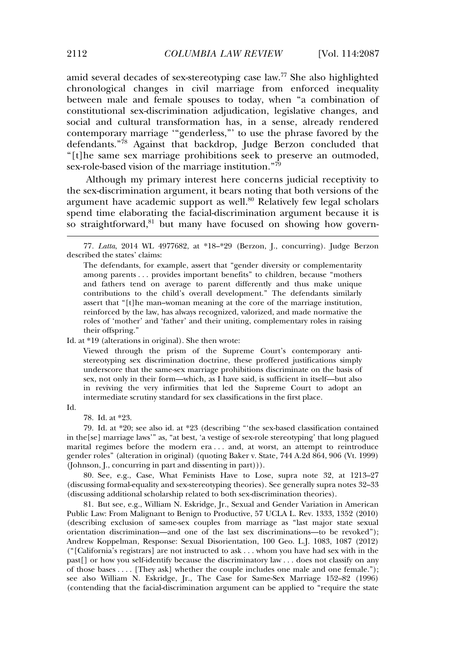amid several decades of sex-stereotyping case law.<sup>77</sup> She also highlighted chronological changes in civil marriage from enforced inequality between male and female spouses to today, when "a combination of constitutional sex-discrimination adjudication, legislative changes, and social and cultural transformation has, in a sense, already rendered contemporary marriage '"genderless,"' to use the phrase favored by the defendants." <sup>78</sup> Against that backdrop, Judge Berzon concluded that "[t]he same sex marriage prohibitions seek to preserve an outmoded, sex-role-based vision of the marriage institution." 79

Although my primary interest here concerns judicial receptivity to the sex-discrimination argument, it bears noting that both versions of the argument have academic support as well.<sup>80</sup> Relatively few legal scholars spend time elaborating the facial-discrimination argument because it is so straightforward,<sup>81</sup> but many have focused on showing how govern-

#### Id. at \*19 (alterations in original). She then wrote:

Viewed through the prism of the Supreme Court's contemporary antistereotyping sex discrimination doctrine, these proffered justifications simply underscore that the same-sex marriage prohibitions discriminate on the basis of sex, not only in their form—which, as I have said, is sufficient in itself—but also in reviving the very infirmities that led the Supreme Court to adopt an intermediate scrutiny standard for sex classifications in the first place.

Id.

78. Id. at \*23.

79. Id. at \*20; see also id. at \*23 (describing "'the sex-based classification contained in the[se] marriage laws'" as, "at best, 'a vestige of sex-role stereotyping' that long plagued marital regimes before the modern era . . . and, at worst, an attempt to reintroduce gender roles" (alteration in original) (quoting Baker v. State*,* 744 A.2d 864, 906 (Vt. 1999) (Johnson, J., concurring in part and dissenting in part))).

80. See, e.g., Case, What Feminists Have to Lose, supra note 32, at 1213–27 (discussing formal-equality and sex-stereotyping theories). See generally supra notes 32–33 (discussing additional scholarship related to both sex-discrimination theories).

81. But see, e.g., William N. Eskridge, Jr., Sexual and Gender Variation in American Public Law: From Malignant to Benign to Productive, 57 UCLA L. Rev. 1333, 1352 (2010) (describing exclusion of same-sex couples from marriage as "last major state sexual orientation discrimination—and one of the last sex discriminations—to be revoked"); Andrew Koppelman, Response: Sexual Disorientation, 100 Geo. L.J. 1083, 1087 (2012) ("[California's registrars] are not instructed to ask . . . whom you have had sex with in the past[] or how you self-identify because the discriminatory law . . . does not classify on any of those bases . . . . [They ask] whether the couple includes one male and one female."); see also William N. Eskridge, Jr., The Case for Same-Sex Marriage 152–82 (1996) (contending that the facial-discrimination argument can be applied to "require the state

<sup>77</sup>*. Latta*, 2014 WL 4977682, at \*18–\*29 (Berzon, J., concurring). Judge Berzon described the states' claims:

The defendants, for example, assert that "gender diversity or complementarity among parents . . . provides important benefits" to children, because "mothers and fathers tend on average to parent differently and thus make unique contributions to the child's overall development." The defendants similarly assert that "[t]he man–woman meaning at the core of the marriage institution, reinforced by the law, has always recognized, valorized, and made normative the roles of 'mother' and 'father' and their uniting, complementary roles in raising their offspring."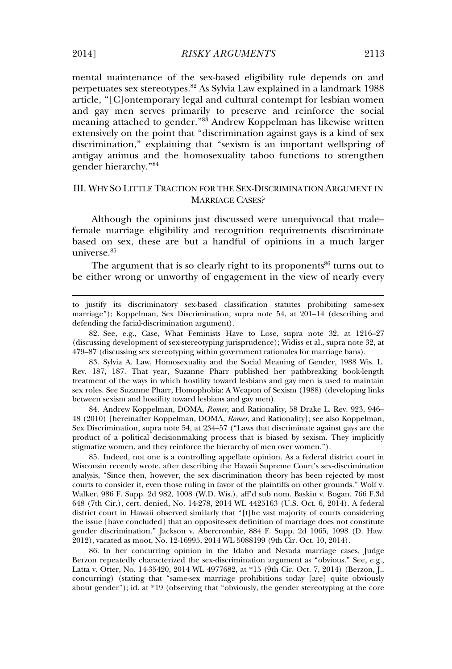mental maintenance of the sex-based eligibility rule depends on and perpetuates sex stereotypes.<sup>82</sup> As Sylvia Law explained in a landmark 1988 article, "[C]ontemporary legal and cultural contempt for lesbian women and gay men serves primarily to preserve and reinforce the social meaning attached to gender." <sup>83</sup> Andrew Koppelman has likewise written extensively on the point that "discrimination against gays is a kind of sex discrimination," explaining that "sexism is an important wellspring of antigay animus and the homosexuality taboo functions to strengthen gender hierarchy." 84

## III. WHY SO LITTLE TRACTION FOR THE SEX-DISCRIMINATION ARGUMENT IN MARRIAGE CASES?

Although the opinions just discussed were unequivocal that male– female marriage eligibility and recognition requirements discriminate based on sex, these are but a handful of opinions in a much larger universe.<sup>85</sup>

The argument that is so clearly right to its proponents<sup>86</sup> turns out to be either wrong or unworthy of engagement in the view of nearly every

83. Sylvia A. Law, Homosexuality and the Social Meaning of Gender, 1988 Wis. L. Rev. 187, 187. That year, Suzanne Pharr published her pathbreaking book-length treatment of the ways in which hostility toward lesbians and gay men is used to maintain sex roles. See Suzanne Pharr, Homophobia: A Weapon of Sexism (1988) (developing links between sexism and hostility toward lesbians and gay men).

84. Andrew Koppelman, DOMA, *Romer*, and Rationality, 58 Drake L. Rev. 923, 946– 48 (2010) [hereinafter Koppelman, DOMA, *Romer*, and Rationality]; see also Koppelman, Sex Discrimination, supra note 54, at 234–57 ("Laws that discriminate against gays are the product of a political decisionmaking process that is biased by sexism. They implicitly stigmatize women, and they reinforce the hierarchy of men over women.").

85. Indeed, not one is a controlling appellate opinion. As a federal district court in Wisconsin recently wrote, after describing the Hawaii Supreme Court's sex-discrimination analysis, "Since then, however, the sex discrimination theory has been rejected by most courts to consider it, even those ruling in favor of the plaintiffs on other grounds." Wolf v. Walker, 986 F. Supp. 2d 982, 1008 (W.D. Wis.), aff'd sub nom. Baskin v. Bogan, 766 F.3d 648 (7th Cir.), cert. denied, No. 14-278, 2014 WL 4425163 (U.S. Oct. 6, 2014). A federal district court in Hawaii observed similarly that "[t]he vast majority of courts considering the issue [have concluded] that an opposite-sex definition of marriage does not constitute gender discrimination." Jackson v. Abercrombie, 884 F. Supp. 2d 1065, 1098 (D. Haw. 2012), vacated as moot, No. 12-16995, 2014 WL 5088199 (9th Cir. Oct. 10, 2014).

86. In her concurring opinion in the Idaho and Nevada marriage cases, Judge Berzon repeatedly characterized the sex-discrimination argument as "obvious." See, e.g., Latta v. Otter, No. 14-35420, 2014 WL 4977682, at \*15 (9th Cir. Oct. 7, 2014) (Berzon, J., concurring) (stating that "same-sex marriage prohibitions today [are] quite obviously about gender"); id. at \*19 (observing that "obviously, the gender stereotyping at the core

to justify its discriminatory sex-based classification statutes prohibiting same-sex marriage"); Koppelman, Sex Discrimination, supra note 54, at 201–14 (describing and defending the facial-discrimination argument).

<sup>82.</sup> See, e.g., Case, What Feminists Have to Lose, supra note 32, at 1216–27 (discussing development of sex-stereotyping jurisprudence); Widiss et al., supra note 32, at 479–87 (discussing sex stereotyping within government rationales for marriage bans).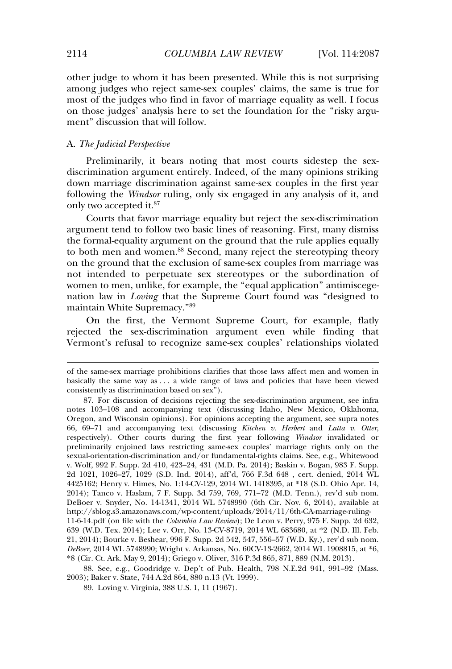other judge to whom it has been presented. While this is not surprising among judges who reject same-sex couples' claims, the same is true for most of the judges who find in favor of marriage equality as well. I focus on those judges' analysis here to set the foundation for the "risky argument" discussion that will follow.

#### A. *The Judicial Perspective*

Preliminarily, it bears noting that most courts sidestep the sexdiscrimination argument entirely. Indeed, of the many opinions striking down marriage discrimination against same-sex couples in the first year following the *Windsor* ruling, only six engaged in any analysis of it, and only two accepted it.<sup>87</sup>

Courts that favor marriage equality but reject the sex-discrimination argument tend to follow two basic lines of reasoning. First, many dismiss the formal-equality argument on the ground that the rule applies equally to both men and women.<sup>88</sup> Second, many reject the stereotyping theory on the ground that the exclusion of same-sex couples from marriage was not intended to perpetuate sex stereotypes or the subordination of women to men, unlike, for example, the "equal application" antimiscegenation law in *Loving* that the Supreme Court found was "designed to maintain White Supremacy." 89

On the first, the Vermont Supreme Court, for example, flatly rejected the sex-discrimination argument even while finding that Vermont's refusal to recognize same-sex couples' relationships violated

of the same-sex marriage prohibitions clarifies that those laws affect men and women in basically the same way as . . . a wide range of laws and policies that have been viewed consistently as discrimination based on sex").

<sup>87.</sup> For discussion of decisions rejecting the sex-discrimination argument, see infra notes 103–108 and accompanying text (discussing Idaho, New Mexico, Oklahoma, Oregon, and Wisconsin opinions). For opinions accepting the argument, see supra notes 66, 69–71 and accompanying text (discussing *Kitchen v. Herbert* and *Latta v. Otter*, respectively). Other courts during the first year following *Windsor* invalidated or preliminarily enjoined laws restricting same-sex couples' marriage rights only on the sexual-orientation-discrimination and/or fundamental-rights claims. See, e.g., Whitewood v. Wolf, 992 F. Supp. 2d 410, 423–24, 431 (M.D. Pa. 2014); Baskin v. Bogan, 983 F. Supp. 2d 1021, 1026–27, 1029 (S.D. Ind. 2014), aff'd, 766 F.3d 648 , cert. denied, 2014 WL 4425162; Henry v. Himes, No. 1:14-CV-129, 2014 WL 1418395, at \*18 (S.D. Ohio Apr. 14, 2014); Tanco v. Haslam, 7 F. Supp. 3d 759, 769, 771–72 (M.D. Tenn.), rev'd sub nom. DeBoer v. Snyder, No. 14-1341, 2014 WL 5748990 (6th Cir. Nov. 6, 2014), available at http://sblog.s3.amazonaws.com/wp-content/uploads/2014/11/6th-CA-marriage-ruling-11-6-14.pdf (on file with the *Columbia Law Review*); De Leon v. Perry, 975 F. Supp. 2d 632, 639 (W.D. Tex. 2014); Lee v. Orr, No. 13-CV-8719, 2014 WL 683680, at \*2 (N.D. Ill. Feb. 21, 2014); Bourke v. Beshear, 996 F. Supp. 2d 542, 547, 556–57 (W.D. Ky.), rev'd sub nom. *DeBoer*, 2014 WL 5748990; Wright v. Arkansas, No. 60CV-13-2662, 2014 WL 1908815, at \*6, \*8 (Cir. Ct. Ark. May 9, 2014); Griego v. Oliver, 316 P.3d 865, 871, 889 (N.M. 2013).

<sup>88.</sup> See, e.g., Goodridge v. Dep't of Pub. Health, 798 N.E.2d 941, 991–92 (Mass. 2003); Baker v. State, 744 A.2d 864, 880 n.13 (Vt. 1999).

<sup>89.</sup> Loving v. Virginia, 388 U.S. 1, 11 (1967).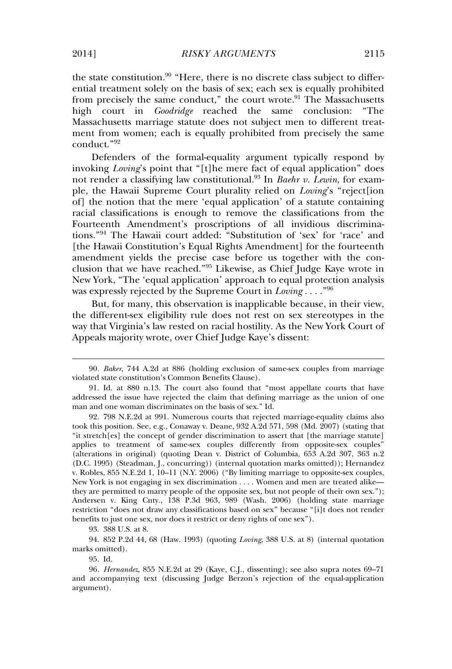the state constitution.<sup>90</sup> "Here, there is no discrete class subject to differential treatment solely on the basis of sex; each sex is equally prohibited from precisely the same conduct," the court wrote.<sup>91</sup> The Massachusetts high court in *Goodridge* reached the same conclusion: "The Massachusetts marriage statute does not subject men to different treatment from women; each is equally prohibited from precisely the same conduct." 92

Defenders of the formal-equality argument typically respond by invoking *Loving*'s point that "[t]he mere fact of equal application" does not render a classifying law constitutional.<sup>93</sup> In *Baehr v. Lewin*, for example, the Hawaii Supreme Court plurality relied on *Loving*'s "reject[ion of] the notion that the mere 'equal application' of a statute containing racial classifications is enough to remove the classifications from the Fourteenth Amendment's proscriptions of all invidious discriminations." <sup>94</sup> The Hawaii court added: "Substitution of 'sex' for 'race' and [the Hawaii Constitution's Equal Rights Amendment] for the fourteenth amendment yields the precise case before us together with the conclusion that we have reached." <sup>95</sup> Likewise, as Chief Judge Kaye wrote in New York, "The 'equal application' approach to equal protection analysis was expressly rejected by the Supreme Court in *Loving* . . . ." 96

But, for many, this observation is inapplicable because, in their view, the different-sex eligibility rule does not rest on sex stereotypes in the way that Virginia's law rested on racial hostility. As the New York Court of Appeals majority wrote, over Chief Judge Kaye's dissent:

93. 388 U.S. at 8.

94. 852 P.2d 44, 68 (Haw. 1993) (quoting *Loving*, 388 U.S. at 8) (internal quotation marks omitted).

95. Id.

<sup>90</sup>*. Baker*, 744 A.2d at 886 (holding exclusion of same-sex couples from marriage violated state constitution's Common Benefits Clause).

<sup>91.</sup> Id. at 880 n.13. The court also found that "most appellate courts that have addressed the issue have rejected the claim that defining marriage as the union of one man and one woman discriminates on the basis of sex." Id.

<sup>92. 798</sup> N.E.2d at 991. Numerous courts that rejected marriage-equality claims also took this position. See, e.g., Conaway v. Deane, 932 A.2d 571, 598 (Md. 2007) (stating that "it stretch[es] the concept of gender discrimination to assert that [the marriage statute] applies to treatment of same-sex couples differently from opposite-sex couples" (alterations in original) (quoting Dean v. District of Columbia, 653 A.2d 307, 363 n.2 (D.C. 1995) (Steadman, J., concurring)) (internal quotation marks omitted)); Hernandez v. Robles, 855 N.E.2d 1, 10–11 (N.Y. 2006) ("By limiting marriage to opposite-sex couples, New York is not engaging in sex discrimination . . . . Women and men are treated alike they are permitted to marry people of the opposite sex, but not people of their own sex."); Andersen v. King Cnty., 138 P.3d 963, 989 (Wash. 2006) (holding state marriage restriction "does not draw any classifications based on sex" because "[i]t does not render benefits to just one sex, nor does it restrict or deny rights of one sex").

<sup>96</sup>*. Hernandez*, 855 N.E.2d at 29 (Kaye, C.J., dissenting); see also supra notes 69–71 and accompanying text (discussing Judge Berzon's rejection of the equal-application argument).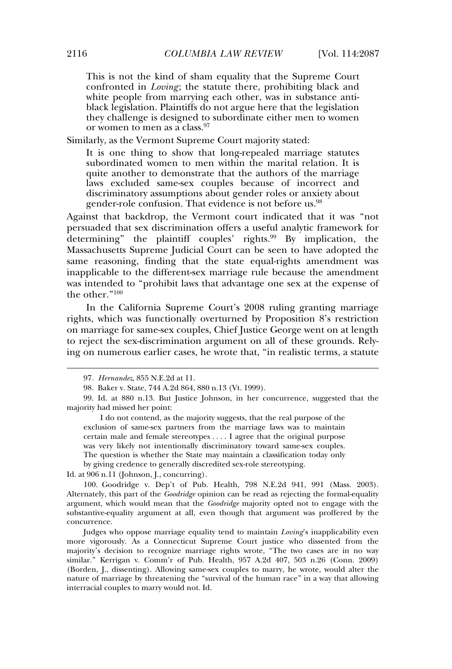This is not the kind of sham equality that the Supreme Court confronted in *Loving*; the statute there, prohibiting black and white people from marrying each other, was in substance antiblack legislation. Plaintiffs do not argue here that the legislation they challenge is designed to subordinate either men to women or women to men as a class.<sup>97</sup>

Similarly, as the Vermont Supreme Court majority stated:

It is one thing to show that long-repealed marriage statutes subordinated women to men within the marital relation. It is quite another to demonstrate that the authors of the marriage laws excluded same-sex couples because of incorrect and discriminatory assumptions about gender roles or anxiety about gender-role confusion. That evidence is not before us.<sup>98</sup>

Against that backdrop, the Vermont court indicated that it was "not persuaded that sex discrimination offers a useful analytic framework for determining" the plaintiff couples' rights. $99$  By implication, the Massachusetts Supreme Judicial Court can be seen to have adopted the same reasoning, finding that the state equal-rights amendment was inapplicable to the different-sex marriage rule because the amendment was intended to "prohibit laws that advantage one sex at the expense of the other." 100

In the California Supreme Court's 2008 ruling granting marriage rights, which was functionally overturned by Proposition 8's restriction on marriage for same-sex couples, Chief Justice George went on at length to reject the sex-discrimination argument on all of these grounds. Relying on numerous earlier cases, he wrote that, "in realistic terms, a statute

Id. at 906 n.11 (Johnson, J., concurring).

<sup>97</sup>*. Hernandez*, 855 N.E.2d at 11.

<sup>98.</sup> Baker v. State, 744 A.2d 864, 880 n.13 (Vt. 1999).

<sup>99.</sup> Id. at 880 n.13. But Justice Johnson, in her concurrence, suggested that the majority had missed her point:

I do not contend, as the majority suggests, that the real purpose of the exclusion of same-sex partners from the marriage laws was to maintain certain male and female stereotypes . . . . I agree that the original purpose was very likely not intentionally discriminatory toward same-sex couples. The question is whether the State may maintain a classification today only by giving credence to generally discredited sex-role stereotyping.

<sup>100.</sup> Goodridge v. Dep't of Pub. Health, 798 N.E.2d 941, 991 (Mass. 2003). Alternately, this part of the *Goodridge* opinion can be read as rejecting the formal-equality argument, which would mean that the *Goodridge* majority opted not to engage with the substantive-equality argument at all, even though that argument was proffered by the concurrence.

Judges who oppose marriage equality tend to maintain *Loving*'s inapplicability even more vigorously. As a Connecticut Supreme Court justice who dissented from the majority's decision to recognize marriage rights wrote, "The two cases are in no way similar." Kerrigan v. Comm'r of Pub. Health, 957 A.2d 407, 503 n.26 (Conn. 2009) (Borden, J., dissenting). Allowing same-sex couples to marry, he wrote, would alter the nature of marriage by threatening the "survival of the human race" in a way that allowing interracial couples to marry would not. Id.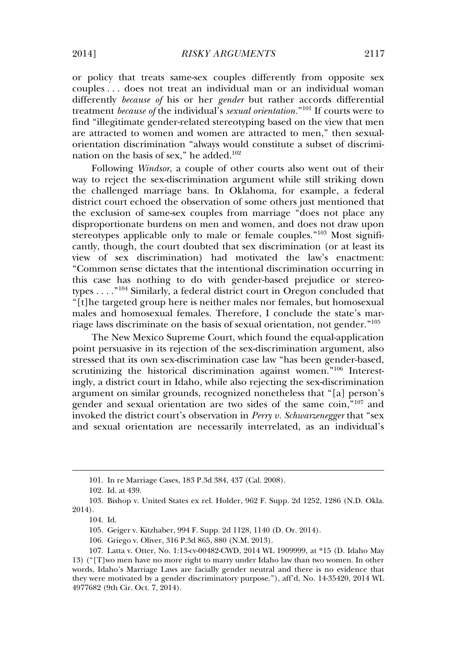or policy that treats same-sex couples differently from opposite sex couples . . . does not treat an individual man or an individual woman differently *because of* his or her *gender* but rather accords differential treatment *because of* the individual's *sexual orientation.*" <sup>101</sup> If courts were to find "illegitimate gender-related stereotyping based on the view that men are attracted to women and women are attracted to men," then sexualorientation discrimination "always would constitute a subset of discrimination on the basis of sex," he added. $102$ 

Following *Windsor*, a couple of other courts also went out of their way to reject the sex-discrimination argument while still striking down the challenged marriage bans. In Oklahoma, for example, a federal district court echoed the observation of some others just mentioned that the exclusion of same-sex couples from marriage "does not place any disproportionate burdens on men and women, and does not draw upon stereotypes applicable only to male or female couples."<sup>103</sup> Most significantly, though, the court doubted that sex discrimination (or at least its view of sex discrimination) had motivated the law's enactment: "Common sense dictates that the intentional discrimination occurring in this case has nothing to do with gender-based prejudice or stereotypes . . . ." <sup>104</sup> Similarly, a federal district court in Oregon concluded that "[t]he targeted group here is neither males nor females, but homosexual males and homosexual females. Therefore, I conclude the state's marriage laws discriminate on the basis of sexual orientation, not gender." 105

The New Mexico Supreme Court, which found the equal-application point persuasive in its rejection of the sex-discrimination argument, also stressed that its own sex-discrimination case law "has been gender-based, scrutinizing the historical discrimination against women." <sup>106</sup> Interestingly, a district court in Idaho, while also rejecting the sex-discrimination argument on similar grounds, recognized nonetheless that "[a] person's gender and sexual orientation are two sides of the same coin," <sup>107</sup> and invoked the district court's observation in *Perry v. Schwarzenegger* that "sex and sexual orientation are necessarily interrelated, as an individual's

106. Griego v. Oliver, 316 P.3d 865, 880 (N.M. 2013).

<sup>101.</sup> In re Marriage Cases, 183 P.3d 384, 437 (Cal. 2008).

<sup>102.</sup> Id. at 439.

<sup>103.</sup> Bishop v. United States ex rel. Holder, 962 F. Supp. 2d 1252, 1286 (N.D. Okla. 2014).

<sup>104.</sup> Id.

<sup>105.</sup> Geiger v. Kitzhaber, 994 F. Supp. 2d 1128, 1140 (D. Or. 2014).

<sup>107.</sup> Latta v. Otter, No. 1:13-cv-00482-CWD, 2014 WL 1909999, at \*15 (D. Idaho May 13) ("[T]wo men have no more right to marry under Idaho law than two women. In other words, Idaho's Marriage Laws are facially gender neutral and there is no evidence that they were motivated by a gender discriminatory purpose."), aff'd, No. 14-35420, 2014 WL 4977682 (9th Cir. Oct. 7, 2014).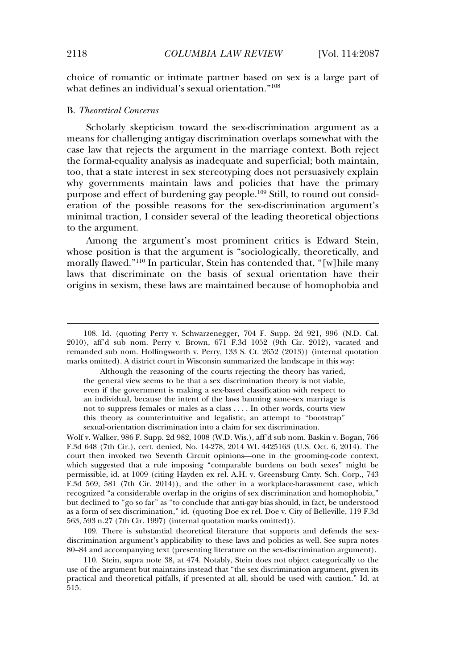choice of romantic or intimate partner based on sex is a large part of what defines an individual's sexual orientation." 108

## B. *Theoretical Concerns*

Scholarly skepticism toward the sex-discrimination argument as a means for challenging antigay discrimination overlaps somewhat with the case law that rejects the argument in the marriage context. Both reject the formal-equality analysis as inadequate and superficial; both maintain, too, that a state interest in sex stereotyping does not persuasively explain why governments maintain laws and policies that have the primary purpose and effect of burdening gay people.<sup>109</sup> Still, to round out consideration of the possible reasons for the sex-discrimination argument's minimal traction, I consider several of the leading theoretical objections to the argument.

Among the argument's most prominent critics is Edward Stein, whose position is that the argument is "sociologically, theoretically, and morally flawed." <sup>110</sup> In particular, Stein has contended that, "[w]hile many laws that discriminate on the basis of sexual orientation have their origins in sexism, these laws are maintained because of homophobia and

Although the reasoning of the courts rejecting the theory has varied, the general view seems to be that a sex discrimination theory is not viable, even if the government is making a sex-based classification with respect to an individual, because the intent of the laws banning same-sex marriage is not to suppress females or males as a class . . . . In other words, courts view this theory as counterintuitive and legalistic, an attempt to "bootstrap" sexual-orientation discrimination into a claim for sex discrimination.

Wolf v. Walker, 986 F. Supp. 2d 982, 1008 (W.D. Wis.), aff'd sub nom. Baskin v. Bogan, 766 F.3d 648 (7th Cir.), cert. denied, No. 14-278, 2014 WL 4425163 (U.S. Oct. 6, 2014). The court then invoked two Seventh Circuit opinions—one in the grooming-code context, which suggested that a rule imposing "comparable burdens on both sexes" might be permissible, id. at 1009 (citing Hayden ex rel. A.H. v. Greensburg Cmty. Sch. Corp., 743 F.3d 569, 581 (7th Cir. 2014)), and the other in a workplace-harassment case, which recognized "a considerable overlap in the origins of sex discrimination and homophobia," but declined to "go so far" as "to conclude that anti-gay bias should, in fact, be understood as a form of sex discrimination," id. (quoting Doe ex rel. Doe v. City of Belleville, 119 F.3d 563, 593 n.27 (7th Cir. 1997) (internal quotation marks omitted)).

109. There is substantial theoretical literature that supports and defends the sexdiscrimination argument's applicability to these laws and policies as well. See supra notes 80–84 and accompanying text (presenting literature on the sex-discrimination argument).

110. Stein, supra note 38, at 474. Notably, Stein does not object categorically to the use of the argument but maintains instead that "the sex discrimination argument, given its practical and theoretical pitfalls, if presented at all, should be used with caution." Id. at 515.

<sup>108.</sup> Id. (quoting Perry v. Schwarzenegger, 704 F. Supp. 2d 921, 996 (N.D. Cal. 2010), aff'd sub nom. Perry v. Brown, 671 F.3d 1052 (9th Cir. 2012), vacated and remanded sub nom. Hollingsworth v. Perry, 133 S. Ct. 2652 (2013)) (internal quotation marks omitted). A district court in Wisconsin summarized the landscape in this way: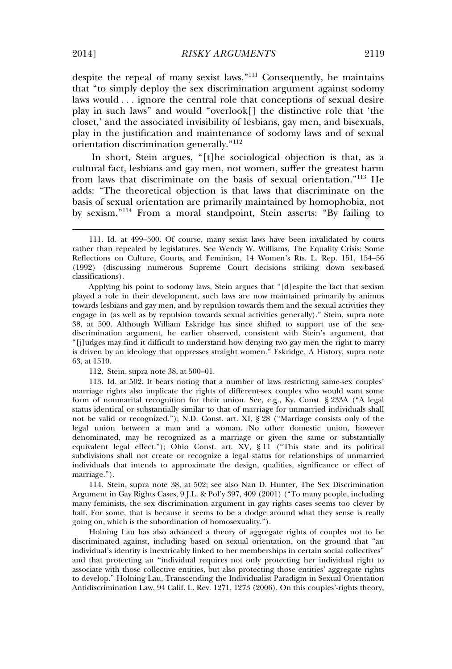despite the repeal of many sexist laws." <sup>111</sup> Consequently, he maintains that "to simply deploy the sex discrimination argument against sodomy laws would . . . ignore the central role that conceptions of sexual desire play in such laws" and would "overlook[] the distinctive role that 'the closet,' and the associated invisibility of lesbians, gay men, and bisexuals, play in the justification and maintenance of sodomy laws and of sexual orientation discrimination generally." 112

In short, Stein argues, "[t]he sociological objection is that, as a cultural fact, lesbians and gay men, not women, suffer the greatest harm from laws that discriminate on the basis of sexual orientation." <sup>113</sup> He adds: "The theoretical objection is that laws that discriminate on the basis of sexual orientation are primarily maintained by homophobia, not by sexism." <sup>114</sup> From a moral standpoint, Stein asserts: "By failing to

Applying his point to sodomy laws, Stein argues that "[d]espite the fact that sexism played a role in their development, such laws are now maintained primarily by animus towards lesbians and gay men, and by repulsion towards them and the sexual activities they engage in (as well as by repulsion towards sexual activities generally)." Stein, supra note 38, at 500. Although William Eskridge has since shifted to support use of the sexdiscrimination argument, he earlier observed, consistent with Stein's argument, that "[j]udges may find it difficult to understand how denying two gay men the right to marry is driven by an ideology that oppresses straight women." Eskridge, A History, supra note 63, at 1510.

112. Stein, supra note 38, at 500–01.

113. Id. at 502. It bears noting that a number of laws restricting same-sex couples' marriage rights also implicate the rights of different-sex couples who would want some form of nonmarital recognition for their union. See, e.g., Ky. Const. § 233A ("A legal status identical or substantially similar to that of marriage for unmarried individuals shall not be valid or recognized."); N.D. Const. art. XI, § 28 ("Marriage consists only of the legal union between a man and a woman. No other domestic union, however denominated, may be recognized as a marriage or given the same or substantially equivalent legal effect."); Ohio Const. art. XV, § 11 ("This state and its political subdivisions shall not create or recognize a legal status for relationships of unmarried individuals that intends to approximate the design, qualities, significance or effect of marriage.").

114. Stein, supra note 38, at 502; see also Nan D. Hunter, The Sex Discrimination Argument in Gay Rights Cases, 9 J.L. & Pol'y 397, 409 (2001) ("To many people, including many feminists, the sex discrimination argument in gay rights cases seems too clever by half. For some, that is because it seems to be a dodge around what they sense is really going on, which is the subordination of homosexuality.").

Holning Lau has also advanced a theory of aggregate rights of couples not to be discriminated against, including based on sexual orientation, on the ground that "an individual's identity is inextricably linked to her memberships in certain social collectives" and that protecting an "individual requires not only protecting her individual right to associate with those collective entities, but also protecting those entities' aggregate rights to develop." Holning Lau, Transcending the Individualist Paradigm in Sexual Orientation Antidiscrimination Law, 94 Calif. L. Rev. 1271, 1273 (2006). On this couples'-rights theory,

<sup>111.</sup> Id. at 499–500. Of course, many sexist laws have been invalidated by courts rather than repealed by legislatures. See Wendy W. Williams, The Equality Crisis: Some Reflections on Culture, Courts, and Feminism, 14 Women's Rts. L. Rep. 151, 154–56 (1992) (discussing numerous Supreme Court decisions striking down sex-based classifications).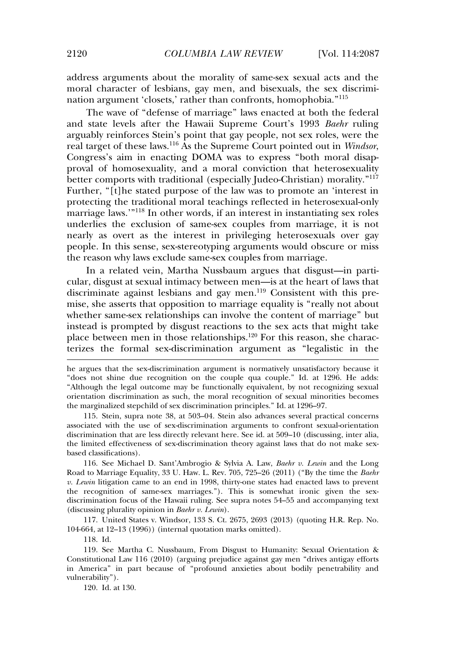address arguments about the morality of same-sex sexual acts and the moral character of lesbians, gay men, and bisexuals, the sex discrimination argument 'closets,' rather than confronts, homophobia."<sup>115</sup>

The wave of "defense of marriage" laws enacted at both the federal and state levels after the Hawaii Supreme Court's 1993 *Baehr* ruling arguably reinforces Stein's point that gay people, not sex roles, were the real target of these laws.<sup>116</sup> As the Supreme Court pointed out in *Windsor*, Congress's aim in enacting DOMA was to express "both moral disapproval of homosexuality, and a moral conviction that heterosexuality better comports with traditional (especially Judeo-Christian) morality."<sup>117</sup> Further, "[t]he stated purpose of the law was to promote an 'interest in protecting the traditional moral teachings reflected in heterosexual-only marriage laws.'" <sup>118</sup> In other words, if an interest in instantiating sex roles underlies the exclusion of same-sex couples from marriage, it is not nearly as overt as the interest in privileging heterosexuals over gay people. In this sense, sex-stereotyping arguments would obscure or miss the reason why laws exclude same-sex couples from marriage.

In a related vein, Martha Nussbaum argues that disgust—in particular, disgust at sexual intimacy between men—is at the heart of laws that discriminate against lesbians and gay men.<sup>119</sup> Consistent with this premise, she asserts that opposition to marriage equality is "really not about whether same-sex relationships can involve the content of marriage" but instead is prompted by disgust reactions to the sex acts that might take place between men in those relationships.<sup>120</sup> For this reason, she characterizes the formal sex-discrimination argument as "legalistic in the

115. Stein, supra note 38, at 503–04. Stein also advances several practical concerns associated with the use of sex-discrimination arguments to confront sexual-orientation discrimination that are less directly relevant here. See id. at 509–10 (discussing, inter alia, the limited effectiveness of sex-discrimination theory against laws that do not make sexbased classifications).

116. See Michael D. Sant'Ambrogio & Sylvia A. Law, *Baehr v. Lewin* and the Long Road to Marriage Equality, 33 U. Haw. L. Rev. 705, 725–26 (2011) ("By the time the *Baehr v. Lewin* litigation came to an end in 1998, thirty-one states had enacted laws to prevent the recognition of same-sex marriages."). This is somewhat ironic given the sexdiscrimination focus of the Hawaii ruling. See supra notes 54–55 and accompanying text (discussing plurality opinion in *Baehr v. Lewin*).

117. United States v. Windsor, 133 S. Ct. 2675, 2693 (2013) (quoting H.R. Rep. No. 104-664, at 12–13 (1996)) (internal quotation marks omitted).

118. Id.

119. See Martha C. Nussbaum, From Disgust to Humanity: Sexual Orientation & Constitutional Law 116 (2010) (arguing prejudice against gay men "drives antigay efforts in America" in part because of "profound anxieties about bodily penetrability and vulnerability").

120. Id. at 130.

he argues that the sex-discrimination argument is normatively unsatisfactory because it "does not shine due recognition on the couple qua couple." Id. at 1296. He adds: "Although the legal outcome may be functionally equivalent, by not recognizing sexual orientation discrimination as such, the moral recognition of sexual minorities becomes the marginalized stepchild of sex discrimination principles." Id. at 1296–97.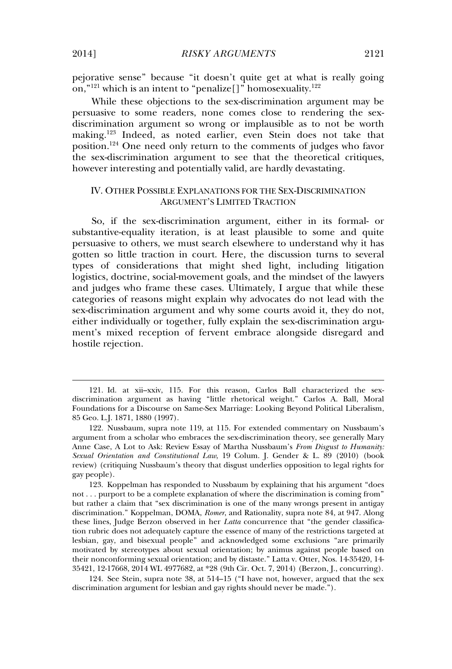pejorative sense" because "it doesn't quite get at what is really going on," $^{121}$  which is an intent to "penalize[]" homosexuality. $^{122}$ 

While these objections to the sex-discrimination argument may be persuasive to some readers, none comes close to rendering the sexdiscrimination argument so wrong or implausible as to not be worth making.<sup>123</sup> Indeed, as noted earlier, even Stein does not take that position.<sup>124</sup> One need only return to the comments of judges who favor the sex-discrimination argument to see that the theoretical critiques, however interesting and potentially valid, are hardly devastating.

## IV. OTHER POSSIBLE EXPLANATIONS FOR THE SEX-DISCRIMINATION ARGUMENT'S LIMITED TRACTION

So, if the sex-discrimination argument, either in its formal- or substantive-equality iteration, is at least plausible to some and quite persuasive to others, we must search elsewhere to understand why it has gotten so little traction in court. Here, the discussion turns to several types of considerations that might shed light, including litigation logistics, doctrine, social-movement goals, and the mindset of the lawyers and judges who frame these cases. Ultimately, I argue that while these categories of reasons might explain why advocates do not lead with the sex-discrimination argument and why some courts avoid it, they do not, either individually or together, fully explain the sex-discrimination argument's mixed reception of fervent embrace alongside disregard and hostile rejection.

123. Koppelman has responded to Nussbaum by explaining that his argument "does not . . . purport to be a complete explanation of where the discrimination is coming from" but rather a claim that "sex discrimination is one of the many wrongs present in antigay discrimination." Koppelman, DOMA, *Romer*, and Rationality, supra note 84, at 947. Along these lines, Judge Berzon observed in her *Latta* concurrence that "the gender classification rubric does not adequately capture the essence of many of the restrictions targeted at lesbian, gay, and bisexual people" and acknowledged some exclusions "are primarily motivated by stereotypes about sexual orientation; by animus against people based on their nonconforming sexual orientation; and by distaste." Latta v. Otter, Nos. 14-35420, 14- 35421, 12-17668, 2014 WL 4977682, at \*28 (9th Cir. Oct. 7, 2014) (Berzon, J., concurring).

124. See Stein, supra note 38, at 514–15 ("I have not, however, argued that the sex discrimination argument for lesbian and gay rights should never be made.").

<sup>121.</sup> Id. at xii–xxiv, 115. For this reason, Carlos Ball characterized the sexdiscrimination argument as having "little rhetorical weight." Carlos A. Ball, Moral Foundations for a Discourse on Same-Sex Marriage: Looking Beyond Political Liberalism, 85 Geo. L.J. 1871, 1880 (1997).

<sup>122.</sup> Nussbaum, supra note 119, at 115. For extended commentary on Nussbaum's argument from a scholar who embraces the sex-discrimination theory, see generally Mary Anne Case, A Lot to Ask: Review Essay of Martha Nussbaum's *From Disgust to Humanity: Sexual Orientation and Constitutional Law*, 19 Colum. J. Gender & L. 89 (2010) (book review) (critiquing Nussbaum's theory that disgust underlies opposition to legal rights for gay people).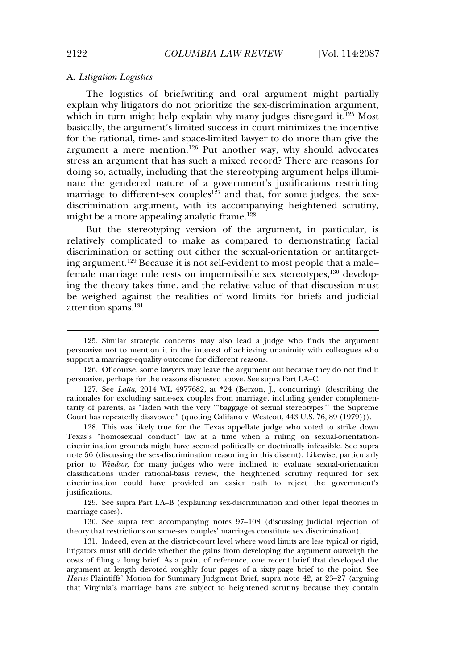#### A. *Litigation Logistics*

The logistics of briefwriting and oral argument might partially explain why litigators do not prioritize the sex-discrimination argument, which in turn might help explain why many judges disregard it.<sup>125</sup> Most basically, the argument's limited success in court minimizes the incentive for the rational, time- and space-limited lawyer to do more than give the argument a mere mention.<sup>126</sup> Put another way, why should advocates stress an argument that has such a mixed record? There are reasons for doing so, actually, including that the stereotyping argument helps illuminate the gendered nature of a government's justifications restricting marriage to different-sex couples<sup>127</sup> and that, for some judges, the sexdiscrimination argument, with its accompanying heightened scrutiny, might be a more appealing analytic frame.<sup>128</sup>

But the stereotyping version of the argument, in particular, is relatively complicated to make as compared to demonstrating facial discrimination or setting out either the sexual-orientation or antitargeting argument.<sup>129</sup> Because it is not self-evident to most people that a male– female marriage rule rests on impermissible sex stereotypes,<sup>130</sup> developing the theory takes time, and the relative value of that discussion must be weighed against the realities of word limits for briefs and judicial attention spans.<sup>131</sup>

129. See supra Part I.A–B (explaining sex-discrimination and other legal theories in marriage cases).

130. See supra text accompanying notes 97–108 (discussing judicial rejection of theory that restrictions on same-sex couples' marriages constitute sex discrimination).

131. Indeed, even at the district-court level where word limits are less typical or rigid, litigators must still decide whether the gains from developing the argument outweigh the costs of filing a long brief. As a point of reference, one recent brief that developed the argument at length devoted roughly four pages of a sixty-page brief to the point. See *Harris* Plaintiffs' Motion for Summary Judgment Brief, supra note 42, at 23–27 (arguing that Virginia's marriage bans are subject to heightened scrutiny because they contain

<sup>125.</sup> Similar strategic concerns may also lead a judge who finds the argument persuasive not to mention it in the interest of achieving unanimity with colleagues who support a marriage-equality outcome for different reasons.

<sup>126.</sup> Of course, some lawyers may leave the argument out because they do not find it persuasive, perhaps for the reasons discussed above. See supra Part I.A–C.

<sup>127.</sup> See *Latta*, 2014 WL 4977682, at \*24 (Berzon, J., concurring) (describing the rationales for excluding same-sex couples from marriage, including gender complementarity of parents, as "laden with the very '"baggage of sexual stereotypes"' the Supreme Court has repeatedly disavowed" (quoting Califano v. Westcott, 443 U.S. 76, 89 (1979))).

<sup>128.</sup> This was likely true for the Texas appellate judge who voted to strike down Texas's "homosexual conduct" law at a time when a ruling on sexual-orientationdiscrimination grounds might have seemed politically or doctrinally infeasible. See supra note 56 (discussing the sex-discrimination reasoning in this dissent). Likewise, particularly prior to *Windsor*, for many judges who were inclined to evaluate sexual-orientation classifications under rational-basis review, the heightened scrutiny required for sex discrimination could have provided an easier path to reject the government's justifications.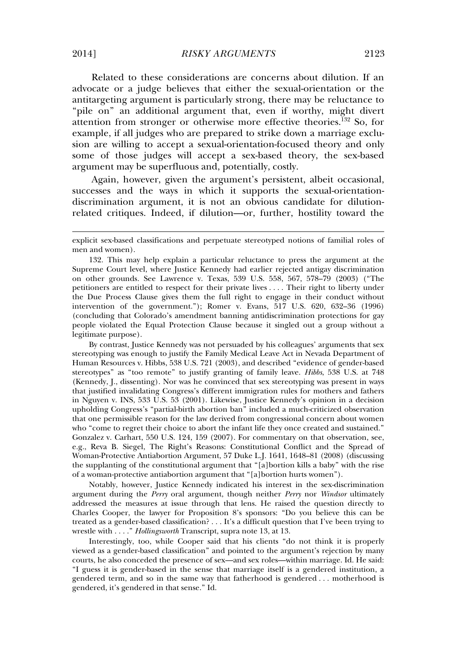Related to these considerations are concerns about dilution. If an advocate or a judge believes that either the sexual-orientation or the antitargeting argument is particularly strong, there may be reluctance to "pile on" an additional argument that, even if worthy, might divert attention from stronger or otherwise more effective theories.<sup>132</sup> So, for example, if all judges who are prepared to strike down a marriage exclusion are willing to accept a sexual-orientation-focused theory and only some of those judges will accept a sex-based theory, the sex-based argument may be superfluous and, potentially, costly.

Again, however, given the argument's persistent, albeit occasional, successes and the ways in which it supports the sexual-orientationdiscrimination argument, it is not an obvious candidate for dilutionrelated critiques. Indeed, if dilution—or, further, hostility toward the

By contrast, Justice Kennedy was not persuaded by his colleagues' arguments that sex stereotyping was enough to justify the Family Medical Leave Act in Nevada Department of Human Resources v. Hibbs, 538 U.S. 721 (2003), and described "evidence of gender-based stereotypes" as "too remote" to justify granting of family leave. *Hibbs*, 538 U.S. at 748 (Kennedy, J., dissenting). Nor was he convinced that sex stereotyping was present in ways that justified invalidating Congress's different immigration rules for mothers and fathers in Nguyen v. INS, 533 U.S. 53 (2001). Likewise, Justice Kennedy's opinion in a decision upholding Congress's "partial-birth abortion ban" included a much-criticized observation that one permissible reason for the law derived from congressional concern about women who "come to regret their choice to abort the infant life they once created and sustained." Gonzalez v. Carhart, 550 U.S. 124, 159 (2007). For commentary on that observation, see, e.g., Reva B. Siegel, The Right's Reasons: Constitutional Conflict and the Spread of Woman-Protective Antiabortion Argument, 57 Duke L.J. 1641, 1648–81 (2008) (discussing the supplanting of the constitutional argument that "[a]bortion kills a baby" with the rise of a woman-protective antiabortion argument that "[a]bortion hurts women").

Notably, however, Justice Kennedy indicated his interest in the sex-discrimination argument during the *Perry* oral argument, though neither *Perry* nor *Windsor* ultimately addressed the measures at issue through that lens. He raised the question directly to Charles Cooper, the lawyer for Proposition 8's sponsors: "Do you believe this can be treated as a gender-based classification? . . . It's a difficult question that I've been trying to wrestle with . . . ." *Hollingsworth* Transcript, supra note 13, at 13.

Interestingly, too, while Cooper said that his clients "do not think it is properly viewed as a gender-based classification" and pointed to the argument's rejection by many courts, he also conceded the presence of sex—and sex roles—within marriage. Id. He said: "I guess it is gender-based in the sense that marriage itself is a gendered institution, a gendered term, and so in the same way that fatherhood is gendered . . . motherhood is gendered, it's gendered in that sense." Id.

explicit sex-based classifications and perpetuate stereotyped notions of familial roles of men and women).

<sup>132.</sup> This may help explain a particular reluctance to press the argument at the Supreme Court level, where Justice Kennedy had earlier rejected antigay discrimination on other grounds. See Lawrence v. Texas, 539 U.S. 558, 567, 578–79 (2003) ("The petitioners are entitled to respect for their private lives . . . . Their right to liberty under the Due Process Clause gives them the full right to engage in their conduct without intervention of the government."); Romer v. Evans, 517 U.S. 620, 632–36 (1996) (concluding that Colorado's amendment banning antidiscrimination protections for gay people violated the Equal Protection Clause because it singled out a group without a legitimate purpose).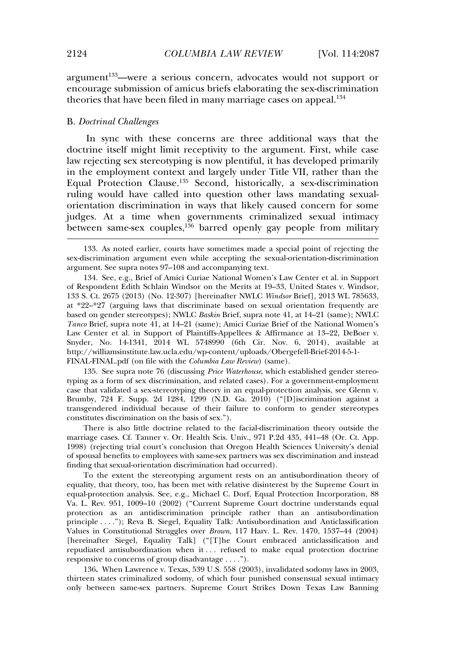$argument<sup>133</sup>$ —were a serious concern, advocates would not support or encourage submission of amicus briefs elaborating the sex-discrimination theories that have been filed in many marriage cases on appeal.<sup>134</sup>

#### B. *Doctrinal Challenges*

In sync with these concerns are three additional ways that the doctrine itself might limit receptivity to the argument. First, while case law rejecting sex stereotyping is now plentiful, it has developed primarily in the employment context and largely under Title VII, rather than the Equal Protection Clause.<sup>135</sup> Second, historically, a sex-discrimination ruling would have called into question other laws mandating sexualorientation discrimination in ways that likely caused concern for some judges. At a time when governments criminalized sexual intimacy between same-sex couples, $136$  barred openly gay people from military

135. See supra note 76 (discussing *Price Waterhouse*, which established gender stereotyping as a form of sex discrimination, and related cases). For a government-employment case that validated a sex-stereotyping theory in an equal-protection analysis, see Glenn v. Brumby, 724 F. Supp. 2d 1284, 1299 (N.D. Ga. 2010) ("[D]iscrimination against a transgendered individual because of their failure to conform to gender stereotypes constitutes discrimination on the basis of sex.").

There is also little doctrine related to the facial-discrimination theory outside the marriage cases. Cf. Tanner v. Or. Health Scis. Univ., 971 P.2d 435, 441–48 (Or. Ct. App. 1998) (rejecting trial court's conclusion that Oregon Health Sciences University's denial of spousal benefits to employees with same-sex partners was sex discrimination and instead finding that sexual-orientation discrimination had occurred).

To the extent the stereotyping argument rests on an antisubordination theory of equality, that theory, too, has been met with relative disinterest by the Supreme Court in equal-protection analysis. See, e.g., Michael C. Dorf, Equal Protection Incorporation, 88 Va. L. Rev. 951, 1009–10 (2002) ("Current Supreme Court doctrine understands equal protection as an antidiscrimination principle rather than an antisubordination principle . . . ."); Reva B. Siegel, Equality Talk: Antisubordination and Anticlassification Values in Constitutional Struggles over *Brown*, 117 Harv. L. Rev. 1470, 1537–44 (2004) [hereinafter Siegel, Equality Talk] ("[T]he Court embraced anticlassification and repudiated antisubordination when it . . . refused to make equal protection doctrine responsive to concerns of group disadvantage . . . .").

136**.** When Lawrence v. Texas, 539 U.S. 558 (2003), invalidated sodomy laws in 2003, thirteen states criminalized sodomy, of which four punished consensual sexual intimacy only between same-sex partners. Supreme Court Strikes Down Texas Law Banning

<sup>133.</sup> As noted earlier, courts have sometimes made a special point of rejecting the sex-discrimination argument even while accepting the sexual-orientation-discrimination argument. See supra notes 97–108 and accompanying text.

<sup>134.</sup> See, e.g., Brief of Amici Curiae National Women's Law Center et al. in Support of Respondent Edith Schlain Windsor on the Merits at 19–33, United States v. Windsor, 133 S. Ct. 2675 (2013) (No. 12-307) [hereinafter NWLC *Windsor* Brief], 2013 WL 785633, at \*22–\*27 (arguing laws that discriminate based on sexual orientation frequently are based on gender stereotypes); NWLC *Baskin* Brief, supra note 41, at 14–21 (same); NWLC *Tanco* Brief, supra note 41, at 14–21 (same); Amici Curiae Brief of the National Women's Law Center et al. in Support of Plaintiffs-Appellees & Affirmance at 13–22, DeBoer v. Snyder, No. 14-1341, 2014 WL 5748990 (6th Cir. Nov. 6, 2014), available at http://williamsinstitute.law.ucla.edu/wp-content/uploads/Obergefell-Brief-2014-5-1- FINAL-FINAL.pdf (on file with the *Columbia Law Review*) (same).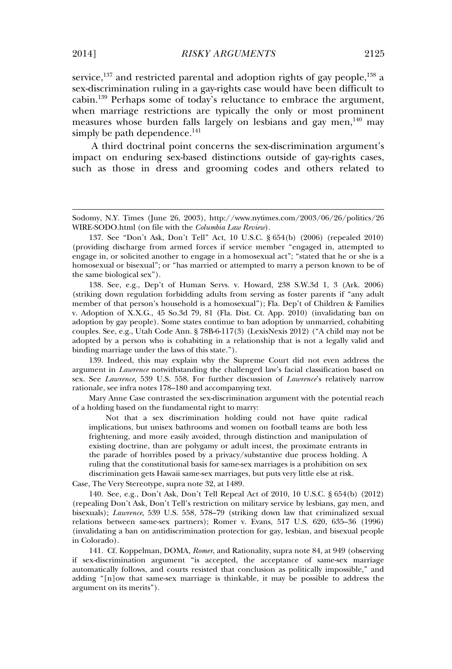service, $137$  and restricted parental and adoption rights of gay people,  $138$  a sex-discrimination ruling in a gay-rights case would have been difficult to cabin.<sup>139</sup> Perhaps some of today's reluctance to embrace the argument, when marriage restrictions are typically the only or most prominent measures whose burden falls largely on lesbians and gay men, <sup>140</sup> may simply be path dependence. $141$ 

A third doctrinal point concerns the sex-discrimination argument's impact on enduring sex-based distinctions outside of gay-rights cases, such as those in dress and grooming codes and others related to

138. See, e.g., Dep't of Human Servs. v. Howard, 238 S.W.3d 1, 3 (Ark. 2006) (striking down regulation forbidding adults from serving as foster parents if "any adult member of that person's household is a homosexual"); Fla. Dep't of Children & Families v. Adoption of X.X.G., 45 So.3d 79, 81 (Fla. Dist. Ct. App. 2010) (invalidating ban on adoption by gay people). Some states continue to ban adoption by unmarried, cohabiting couples. See, e.g., Utah Code Ann. § 78B-6-117(3) (LexisNexis 2012) ("A child may not be adopted by a person who is cohabiting in a relationship that is not a legally valid and binding marriage under the laws of this state.").

139. Indeed, this may explain why the Supreme Court did not even address the argument in *Lawrence* notwithstanding the challenged law's facial classification based on sex. See *Lawrence*, 539 U.S. 558. For further discussion of *Lawrence*'s relatively narrow rationale, see infra notes 178–180 and accompanying text.

Mary Anne Case contrasted the sex-discrimination argument with the potential reach of a holding based on the fundamental right to marry:

Not that a sex discrimination holding could not have quite radical implications, but unisex bathrooms and women on football teams are both less frightening, and more easily avoided, through distinction and manipulation of existing doctrine, than are polygamy or adult incest, the proximate entrants in the parade of horribles posed by a privacy/substantive due process holding. A ruling that the constitutional basis for same-sex marriages is a prohibition on sex discrimination gets Hawaii same-sex marriages, but puts very little else at risk.

Case, The Very Stereotype, supra note 32, at 1489.

140. See, e.g., Don't Ask, Don't Tell Repeal Act of 2010, 10 U.S.C. § 654(b) (2012) (repealing Don't Ask, Don't Tell's restriction on military service by lesbians, gay men, and bisexuals); *Lawrence*, 539 U.S. 558, 578–79 (striking down law that criminalized sexual relations between same-sex partners); Romer v. Evans, 517 U.S. 620, 635–36 (1996) (invalidating a ban on antidiscrimination protection for gay, lesbian, and bisexual people in Colorado).

141. Cf. Koppelman, DOMA, *Romer*, and Rationality, supra note 84, at 949 (observing if sex-discrimination argument "is accepted, the acceptance of same-sex marriage automatically follows, and courts resisted that conclusion as politically impossible," and adding "[n]ow that same-sex marriage is thinkable, it may be possible to address the argument on its merits").

Sodomy, N.Y. Times (June 26, 2003), http://www.nytimes.com/2003/06/26/politics/26 WIRE-SODO.html (on file with the *Columbia Law Review*).

<sup>137.</sup> See "Don't Ask, Don't Tell" Act, 10 U.S.C. § 654(b) (2006) (repealed 2010) (providing discharge from armed forces if service member "engaged in, attempted to engage in, or solicited another to engage in a homosexual act"; "stated that he or she is a homosexual or bisexual"; or "has married or attempted to marry a person known to be of the same biological sex").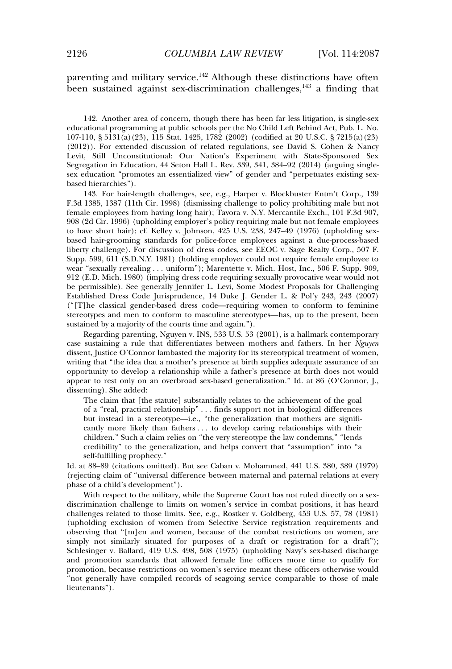parenting and military service.<sup>142</sup> Although these distinctions have often been sustained against sex-discrimination challenges,  $143$  a finding that

142. Another area of concern, though there has been far less litigation, is single-sex educational programming at public schools per the No Child Left Behind Act, Pub. L. No. 107-110, § 5131(a)(23), 115 Stat. 1425, 1782 (2002) (codified at 20 U.S.C. § 7215(a)(23) (2012)). For extended discussion of related regulations, see David S. Cohen & Nancy Levit, Still Unconstitutional: Our Nation's Experiment with State-Sponsored Sex Segregation in Education, 44 Seton Hall L. Rev. 339, 341, 384–92 (2014) (arguing singlesex education "promotes an essentialized view" of gender and "perpetuates existing sexbased hierarchies").

143. For hair-length challenges, see, e.g., Harper v. Blockbuster Entm't Corp., 139 F.3d 1385, 1387 (11th Cir. 1998) (dismissing challenge to policy prohibiting male but not female employees from having long hair); Tavora v. N.Y. Mercantile Exch., 101 F.3d 907, 908 (2d Cir. 1996) (upholding employer's policy requiring male but not female employees to have short hair); cf. Kelley v. Johnson, 425 U.S. 238, 247–49 (1976) (upholding sexbased hair-grooming standards for police-force employees against a due-process-based liberty challenge). For discussion of dress codes, see EEOC v. Sage Realty Corp., 507 F. Supp. 599, 611 (S.D.N.Y. 1981) (holding employer could not require female employee to wear "sexually revealing . . . uniform"); Marentette v. Mich. Host, Inc., 506 F. Supp. 909, 912 (E.D. Mich. 1980) (implying dress code requiring sexually provocative wear would not be permissible). See generally Jennifer L. Levi, Some Modest Proposals for Challenging Established Dress Code Jurisprudence, 14 Duke J. Gender L. & Pol'y 243, 243 (2007) ("[T]he classical gender-based dress code—requiring women to conform to feminine stereotypes and men to conform to masculine stereotypes—has, up to the present, been sustained by a majority of the courts time and again.").

Regarding parenting, Nguyen v. INS, 533 U.S. 53 (2001), is a hallmark contemporary case sustaining a rule that differentiates between mothers and fathers. In her *Nguyen* dissent, Justice O'Connor lambasted the majority for its stereotypical treatment of women, writing that "the idea that a mother's presence at birth supplies adequate assurance of an opportunity to develop a relationship while a father's presence at birth does not would appear to rest only on an overbroad sex-based generalization." Id. at 86 (O'Connor, J., dissenting). She added:

The claim that [the statute] substantially relates to the achievement of the goal of a "real, practical relationship" . . . finds support not in biological differences but instead in a stereotype—i.e., "the generalization that mothers are significantly more likely than fathers . . . to develop caring relationships with their children." Such a claim relies on "the very stereotype the law condemns," "lends credibility" to the generalization, and helps convert that "assumption" into "a self-fulfilling prophecy."

Id. at 88–89 (citations omitted). But see Caban v. Mohammed, 441 U.S. 380, 389 (1979) (rejecting claim of "universal difference between maternal and paternal relations at every phase of a child's development").

With respect to the military, while the Supreme Court has not ruled directly on a sexdiscrimination challenge to limits on women's service in combat positions, it has heard challenges related to those limits. See, e.g., Rostker v. Goldberg, 453 U.S. 57, 78 (1981) (upholding exclusion of women from Selective Service registration requirements and observing that "[m]en and women, because of the combat restrictions on women, are simply not similarly situated for purposes of a draft or registration for a draft"); Schlesinger v. Ballard, 419 U.S. 498, 508 (1975) (upholding Navy's sex-based discharge and promotion standards that allowed female line officers more time to qualify for promotion, because restrictions on women's service meant these officers otherwise would "not generally have compiled records of seagoing service comparable to those of male lieutenants").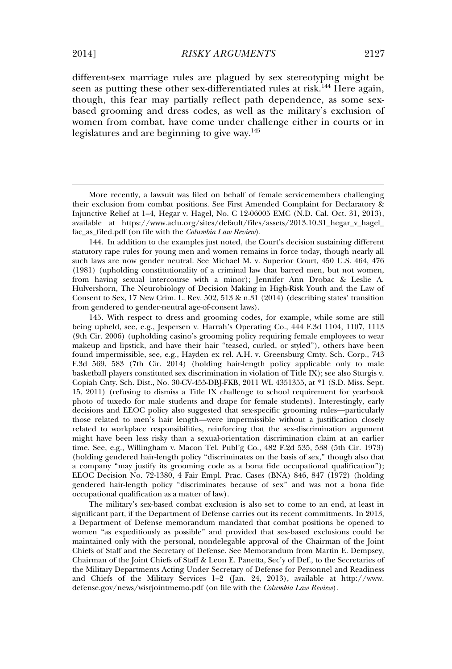different-sex marriage rules are plagued by sex stereotyping might be seen as putting these other sex-differentiated rules at risk.<sup>144</sup> Here again, though, this fear may partially reflect path dependence, as some sexbased grooming and dress codes, as well as the military's exclusion of women from combat, have come under challenge either in courts or in legislatures and are beginning to give way.<sup>145</sup>

144. In addition to the examples just noted, the Court's decision sustaining different statutory rape rules for young men and women remains in force today, though nearly all such laws are now gender neutral. See Michael M. v. Superior Court, 450 U.S. 464, 476 (1981) (upholding constitutionality of a criminal law that barred men, but not women, from having sexual intercourse with a minor); Jennifer Ann Drobac & Leslie A. Hulvershorn, The Neurobiology of Decision Making in High-Risk Youth and the Law of Consent to Sex, 17 New Crim. L. Rev. 502, 513 & n.31 (2014) (describing states' transition from gendered to gender-neutral age-of-consent laws).

145. With respect to dress and grooming codes, for example, while some are still being upheld, see, e.g., Jespersen v. Harrah's Operating Co., 444 F.3d 1104, 1107, 1113 (9th Cir. 2006) (upholding casino's grooming policy requiring female employees to wear makeup and lipstick, and have their hair "teased, curled, or styled"), others have been found impermissible, see, e.g., Hayden ex rel. A.H. v. Greensburg Cmty. Sch. Corp., 743 F.3d 569, 583 (7th Cir. 2014) (holding hair-length policy applicable only to male basketball players constituted sex discrimination in violation of Title IX); see also Sturgis v. Copiah Cnty. Sch. Dist., No. 30-CV-455-DBJ-FKB, 2011 WL 4351355, at \*1 (S.D. Miss. Sept. 15, 2011) (refusing to dismiss a Title IX challenge to school requirement for yearbook photo of tuxedo for male students and drape for female students). Interestingly, early decisions and EEOC policy also suggested that sex-specific grooming rules—particularly those related to men's hair length—were impermissible without a justification closely related to workplace responsibilities, reinforcing that the sex-discrimination argument might have been less risky than a sexual-orientation discrimination claim at an earlier time. See, e.g., Willingham v. Macon Tel. Publ'g Co., 482 F.2d 535, 538 (5th Cir. 1973) (holding gendered hair-length policy "discriminates on the basis of sex," though also that a company "may justify its grooming code as a bona fide occupational qualification"); EEOC Decision No. 72-1380, 4 Fair Empl. Prac. Cases (BNA) 846, 847 (1972) (holding gendered hair-length policy "discriminates because of sex" and was not a bona fide occupational qualification as a matter of law).

The military's sex-based combat exclusion is also set to come to an end, at least in significant part, if the Department of Defense carries out its recent commitments. In 2013, a Department of Defense memorandum mandated that combat positions be opened to women "as expeditiously as possible" and provided that sex-based exclusions could be maintained only with the personal, nondelegable approval of the Chairman of the Joint Chiefs of Staff and the Secretary of Defense. See Memorandum from Martin E. Dempsey, Chairman of the Joint Chiefs of Staff & Leon E. Panetta, Sec'y of Def., to the Secretaries of the Military Departments Acting Under Secretary of Defense for Personnel and Readiness and Chiefs of the Military Services 1–2 (Jan. 24, 2013), available at http://www. defense.gov/news/wisrjointmemo.pdf (on file with the *Columbia Law Review*).

More recently, a lawsuit was filed on behalf of female servicemembers challenging their exclusion from combat positions. See First Amended Complaint for Declaratory & Injunctive Relief at 1–4, Hegar v. Hagel, No. C 12-06005 EMC (N.D. Cal. Oct. 31, 2013), available at https://www.aclu.org/sites/default/files/assets/2013.10.31\_hegar\_v\_hagel\_ fac\_as\_filed.pdf (on file with the *Columbia Law Review*).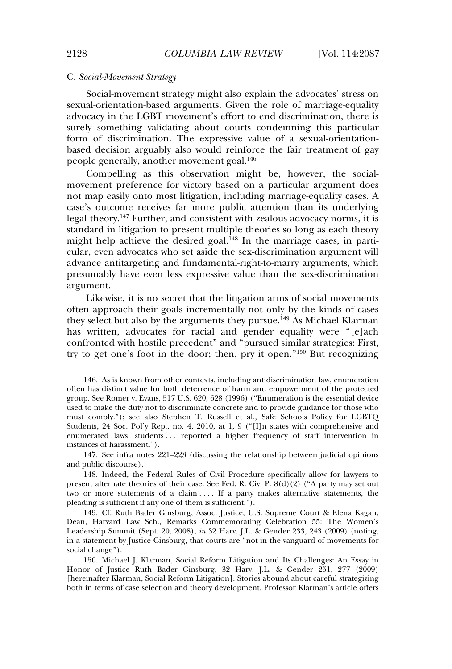## C. *Social-Movement Strategy*

Social-movement strategy might also explain the advocates' stress on sexual-orientation-based arguments. Given the role of marriage-equality advocacy in the LGBT movement's effort to end discrimination, there is surely something validating about courts condemning this particular form of discrimination. The expressive value of a sexual-orientationbased decision arguably also would reinforce the fair treatment of gay people generally, another movement goal.<sup>146</sup>

Compelling as this observation might be, however, the socialmovement preference for victory based on a particular argument does not map easily onto most litigation, including marriage-equality cases. A case's outcome receives far more public attention than its underlying legal theory.<sup>147</sup> Further, and consistent with zealous advocacy norms, it is standard in litigation to present multiple theories so long as each theory might help achieve the desired goal.<sup>148</sup> In the marriage cases, in particular, even advocates who set aside the sex-discrimination argument will advance antitargeting and fundamental-right-to-marry arguments, which presumably have even less expressive value than the sex-discrimination argument.

Likewise, it is no secret that the litigation arms of social movements often approach their goals incrementally not only by the kinds of cases they select but also by the arguments they pursue.<sup>149</sup> As Michael Klarman has written, advocates for racial and gender equality were "[e]ach confronted with hostile precedent" and "pursued similar strategies: First, try to get one's foot in the door; then, pry it open." <sup>150</sup> But recognizing

147. See infra notes 221–223 (discussing the relationship between judicial opinions and public discourse).

<sup>146.</sup> As is known from other contexts, including antidiscrimination law, enumeration often has distinct value for both deterrence of harm and empowerment of the protected group. See Romer v. Evans, 517 U.S. 620, 628 (1996) ("Enumeration is the essential device used to make the duty not to discriminate concrete and to provide guidance for those who must comply."); see also Stephen T. Russell et al., Safe Schools Policy for LGBTQ Students, 24 Soc. Pol'y Rep., no. 4, 2010, at 1, 9 ("[I]n states with comprehensive and enumerated laws, students . . . reported a higher frequency of staff intervention in instances of harassment.").

<sup>148.</sup> Indeed, the Federal Rules of Civil Procedure specifically allow for lawyers to present alternate theories of their case. See Fed. R. Civ. P. 8(d)(2) ("A party may set out two or more statements of a claim . . . . If a party makes alternative statements, the pleading is sufficient if any one of them is sufficient.").

<sup>149.</sup> Cf. Ruth Bader Ginsburg, Assoc. Justice, U.S. Supreme Court & Elena Kagan, Dean, Harvard Law Sch., Remarks Commemorating Celebration 55: The Women's Leadership Summit (Sept. 20, 2008), *in* 32 Harv. J.L. & Gender 233, 243 (2009) (noting, in a statement by Justice Ginsburg, that courts are "not in the vanguard of movements for social change").

<sup>150.</sup> Michael J. Klarman, Social Reform Litigation and Its Challenges: An Essay in Honor of Justice Ruth Bader Ginsburg, 32 Harv. J.L. & Gender 251, 277 (2009) [hereinafter Klarman, Social Reform Litigation]. Stories abound about careful strategizing both in terms of case selection and theory development. Professor Klarman's article offers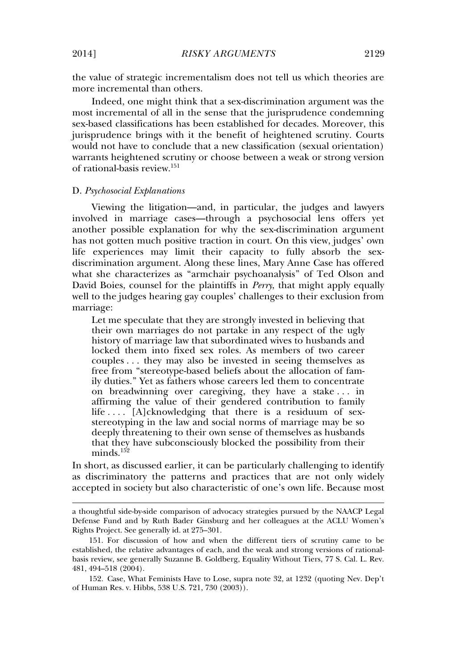the value of strategic incrementalism does not tell us which theories are more incremental than others.

Indeed, one might think that a sex-discrimination argument was the most incremental of all in the sense that the jurisprudence condemning sex-based classifications has been established for decades. Moreover, this jurisprudence brings with it the benefit of heightened scrutiny. Courts would not have to conclude that a new classification (sexual orientation) warrants heightened scrutiny or choose between a weak or strong version of rational-basis review.<sup>151</sup>

#### D. *Psychosocial Explanations*

Viewing the litigation—and, in particular, the judges and lawyers involved in marriage cases—through a psychosocial lens offers yet another possible explanation for why the sex-discrimination argument has not gotten much positive traction in court. On this view, judges' own life experiences may limit their capacity to fully absorb the sexdiscrimination argument. Along these lines, Mary Anne Case has offered what she characterizes as "armchair psychoanalysis" of Ted Olson and David Boies, counsel for the plaintiffs in *Perry*, that might apply equally well to the judges hearing gay couples' challenges to their exclusion from marriage:

Let me speculate that they are strongly invested in believing that their own marriages do not partake in any respect of the ugly history of marriage law that subordinated wives to husbands and locked them into fixed sex roles. As members of two career couples . . . they may also be invested in seeing themselves as free from "stereotype-based beliefs about the allocation of family duties." Yet as fathers whose careers led them to concentrate on breadwinning over caregiving, they have a stake . . . in affirming the value of their gendered contribution to family life  $\dots$  [A]cknowledging that there is a residuum of sexstereotyping in the law and social norms of marriage may be so deeply threatening to their own sense of themselves as husbands that they have subconsciously blocked the possibility from their  $minds.<sup>152</sup>$ 

In short, as discussed earlier, it can be particularly challenging to identify as discriminatory the patterns and practices that are not only widely accepted in society but also characteristic of one's own life. Because most

a thoughtful side-by-side comparison of advocacy strategies pursued by the NAACP Legal Defense Fund and by Ruth Bader Ginsburg and her colleagues at the ACLU Women's Rights Project. See generally id. at 275–301.

<sup>151.</sup> For discussion of how and when the different tiers of scrutiny came to be established, the relative advantages of each, and the weak and strong versions of rationalbasis review, see generally Suzanne B. Goldberg, Equality Without Tiers, 77 S. Cal. L. Rev. 481, 494–518 (2004).

<sup>152.</sup> Case, What Feminists Have to Lose, supra note 32, at 1232 (quoting Nev. Dep't of Human Res. v. Hibbs, 538 U.S. 721, 730 (2003)).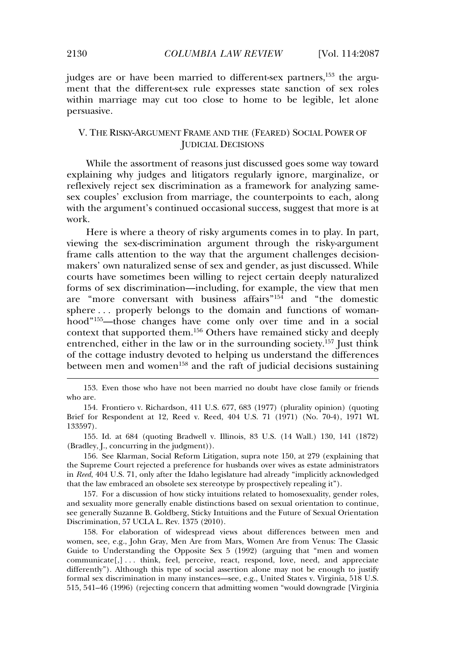judges are or have been married to different-sex partners,<sup>153</sup> the argument that the different-sex rule expresses state sanction of sex roles within marriage may cut too close to home to be legible, let alone persuasive.

# V. THE RISKY-ARGUMENT FRAME AND THE (FEARED) SOCIAL POWER OF JUDICIAL DECISIONS

While the assortment of reasons just discussed goes some way toward explaining why judges and litigators regularly ignore, marginalize, or reflexively reject sex discrimination as a framework for analyzing samesex couples' exclusion from marriage, the counterpoints to each, along with the argument's continued occasional success, suggest that more is at work.

Here is where a theory of risky arguments comes in to play. In part, viewing the sex-discrimination argument through the risky-argument frame calls attention to the way that the argument challenges decisionmakers' own naturalized sense of sex and gender, as just discussed. While courts have sometimes been willing to reject certain deeply naturalized forms of sex discrimination—including, for example, the view that men are "more conversant with business affairs" <sup>154</sup> and "the domestic sphere . . . properly belongs to the domain and functions of womanhood" <sup>155</sup>—those changes have come only over time and in a social context that supported them.<sup>156</sup> Others have remained sticky and deeply entrenched, either in the law or in the surrounding society.<sup>157</sup> Just think of the cottage industry devoted to helping us understand the differences between men and women<sup>158</sup> and the raft of judicial decisions sustaining

155. Id. at 684 (quoting Bradwell v. Illinois, 83 U.S. (14 Wall.) 130, 141 (1872) (Bradley, J., concurring in the judgment)).

156. See Klarman, Social Reform Litigation, supra note 150, at 279 (explaining that the Supreme Court rejected a preference for husbands over wives as estate administrators in *Reed*, 404 U.S. 71, only after the Idaho legislature had already "implicitly acknowledged that the law embraced an obsolete sex stereotype by prospectively repealing it").

157. For a discussion of how sticky intuitions related to homosexuality, gender roles, and sexuality more generally enable distinctions based on sexual orientation to continue, see generally Suzanne B. Goldberg, Sticky Intuitions and the Future of Sexual Orientation Discrimination, 57 UCLA L. Rev. 1375 (2010).

158. For elaboration of widespread views about differences between men and women, see, e.g., John Gray, Men Are from Mars, Women Are from Venus: The Classic Guide to Understanding the Opposite Sex 5 (1992) (arguing that "men and women communicate[,] . . . think, feel, perceive, react, respond, love, need, and appreciate differently"). Although this type of social assertion alone may not be enough to justify formal sex discrimination in many instances—see, e.g., United States v. Virginia, 518 U.S. 515, 541–46 (1996) (rejecting concern that admitting women "would downgrade [Virginia

<sup>153.</sup> Even those who have not been married no doubt have close family or friends who are.

<sup>154.</sup> Frontiero v. Richardson, 411 U.S. 677, 683 (1977) (plurality opinion) (quoting Brief for Respondent at 12, Reed v. Reed, 404 U.S. 71 (1971) (No. 70-4), 1971 WL 133597).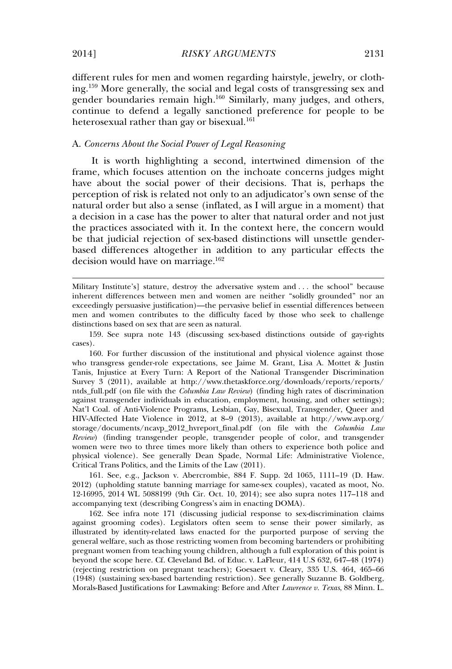different rules for men and women regarding hairstyle, jewelry, or clothing.<sup>159</sup> More generally, the social and legal costs of transgressing sex and gender boundaries remain high.<sup>160</sup> Similarly, many judges, and others, continue to defend a legally sanctioned preference for people to be heterosexual rather than gay or bisexual.<sup>161</sup>

# A. *Concerns About the Social Power of Legal Reasoning*

It is worth highlighting a second, intertwined dimension of the frame, which focuses attention on the inchoate concerns judges might have about the social power of their decisions. That is, perhaps the perception of risk is related not only to an adjudicator's own sense of the natural order but also a sense (inflated, as I will argue in a moment) that a decision in a case has the power to alter that natural order and not just the practices associated with it. In the context here, the concern would be that judicial rejection of sex-based distinctions will unsettle genderbased differences altogether in addition to any particular effects the decision would have on marriage.<sup>162</sup>

Military Institute's] stature, destroy the adversative system and . . . the school" because inherent differences between men and women are neither "solidly grounded" nor an exceedingly persuasive justification)—the pervasive belief in essential differences between men and women contributes to the difficulty faced by those who seek to challenge distinctions based on sex that are seen as natural.

160. For further discussion of the institutional and physical violence against those who transgress gender-role expectations, see Jaime M. Grant, Lisa A. Mottet & Justin Tanis, Injustice at Every Turn: A Report of the National Transgender Discrimination Survey 3 (2011), available at http://www.thetaskforce.org/downloads/reports/reports/ ntds\_full.pdf (on file with the *Columbia Law Review*) (finding high rates of discrimination against transgender individuals in education, employment, housing, and other settings); Nat'l Coal. of Anti-Violence Programs, Lesbian, Gay, Bisexual, Transgender, Queer and HIV-Affected Hate Violence in 2012, at 8–9 (2013), available at http://www.avp.org/ storage/documents/ncavp\_2012\_hvreport\_final.pdf (on file with the *Columbia Law Review*) (finding transgender people, transgender people of color, and transgender women were two to three times more likely than others to experience both police and physical violence). See generally Dean Spade, Normal Life: Administrative Violence, Critical Trans Politics, and the Limits of the Law (2011).

161. See, e.g., Jackson v. Abercrombie, 884 F. Supp. 2d 1065, 1111–19 (D. Haw. 2012) (upholding statute banning marriage for same-sex couples), vacated as moot, No. 12-16995, 2014 WL 5088199 (9th Cir. Oct. 10, 2014); see also supra notes 117–118 and accompanying text (describing Congress's aim in enacting DOMA).

162. See infra note 171 (discussing judicial response to sex-discrimination claims against grooming codes). Legislators often seem to sense their power similarly, as illustrated by identity-related laws enacted for the purported purpose of serving the general welfare, such as those restricting women from becoming bartenders or prohibiting pregnant women from teaching young children, although a full exploration of this point is beyond the scope here. Cf. Cleveland Bd. of Educ. v. LaFleur, 414 U.S 632, 647–48 (1974) (rejecting restriction on pregnant teachers); Goesaert v. Cleary, 335 U.S. 464, 465–66 (1948) (sustaining sex-based bartending restriction). See generally Suzanne B. Goldberg, Morals-Based Justifications for Lawmaking: Before and After *Lawrence v. Texas*, 88 Minn. L.

<sup>159.</sup> See supra note 143 (discussing sex-based distinctions outside of gay-rights cases).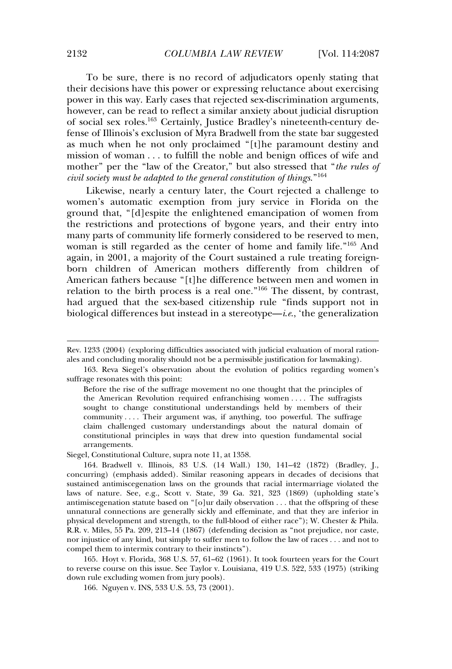To be sure, there is no record of adjudicators openly stating that their decisions have this power or expressing reluctance about exercising power in this way. Early cases that rejected sex-discrimination arguments, however, can be read to reflect a similar anxiety about judicial disruption of social sex roles.<sup>163</sup> Certainly, Justice Bradley's nineteenth-century defense of Illinois's exclusion of Myra Bradwell from the state bar suggested as much when he not only proclaimed "[t]he paramount destiny and mission of woman . . . to fulfill the noble and benign offices of wife and mother" per the "law of the Creator," but also stressed that "*the rules of civil society must be adapted to the general constitution of things*." 164

Likewise, nearly a century later, the Court rejected a challenge to women's automatic exemption from jury service in Florida on the ground that, "[d]espite the enlightened emancipation of women from the restrictions and protections of bygone years, and their entry into many parts of community life formerly considered to be reserved to men, woman is still regarded as the center of home and family life." <sup>165</sup> And again, in 2001, a majority of the Court sustained a rule treating foreignborn children of American mothers differently from children of American fathers because "[t]he difference between men and women in relation to the birth process is a real one." <sup>166</sup> The dissent, by contrast, had argued that the sex-based citizenship rule "finds support not in biological differences but instead in a stereotype—*i*.*e*., 'the generalization

Siegel, Constitutional Culture, supra note 11, at 1358.

165. Hoyt v. Florida, 368 U.S. 57, 61–62 (1961). It took fourteen years for the Court to reverse course on this issue. See Taylor v. Louisiana, 419 U.S. 522, 533 (1975) (striking down rule excluding women from jury pools).

166. Nguyen v. INS, 533 U.S. 53, 73 (2001).

Rev. 1233 (2004) (exploring difficulties associated with judicial evaluation of moral rationales and concluding morality should not be a permissible justification for lawmaking).

<sup>163.</sup> Reva Siegel's observation about the evolution of politics regarding women's suffrage resonates with this point:

Before the rise of the suffrage movement no one thought that the principles of the American Revolution required enfranchising women . . . . The suffragists sought to change constitutional understandings held by members of their community . . . . Their argument was, if anything, too powerful. The suffrage claim challenged customary understandings about the natural domain of constitutional principles in ways that drew into question fundamental social arrangements.

<sup>164.</sup> Bradwell v. Illinois, 83 U.S. (14 Wall.) 130, 141–42 (1872) (Bradley, J., concurring) (emphasis added). Similar reasoning appears in decades of decisions that sustained antimiscegenation laws on the grounds that racial intermarriage violated the laws of nature. See, e.g., Scott v. State, 39 Ga. 321, 323 (1869) (upholding state's antimiscegenation statute based on "[o]ur daily observation . . . that the offspring of these unnatural connections are generally sickly and effeminate, and that they are inferior in physical development and strength, to the full-blood of either race"); W. Chester & Phila. R.R. v. Miles, 55 Pa. 209, 213–14 (1867) (defending decision as "not prejudice, nor caste, nor injustice of any kind, but simply to suffer men to follow the law of races . . . and not to compel them to intermix contrary to their instincts").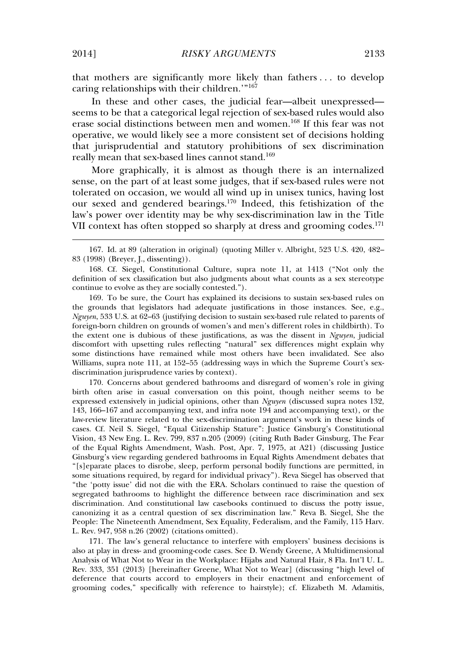that mothers are significantly more likely than fathers . . . to develop caring relationships with their children."<sup>167</sup>

In these and other cases, the judicial fear—albeit unexpressed seems to be that a categorical legal rejection of sex-based rules would also erase social distinctions between men and women.<sup>168</sup> If this fear was not operative, we would likely see a more consistent set of decisions holding that jurisprudential and statutory prohibitions of sex discrimination really mean that sex-based lines cannot stand.<sup>169</sup>

More graphically, it is almost as though there is an internalized sense, on the part of at least some judges, that if sex-based rules were not tolerated on occasion, we would all wind up in unisex tunics, having lost our sexed and gendered bearings.<sup>170</sup> Indeed, this fetishization of the law's power over identity may be why sex-discrimination law in the Title VII context has often stopped so sharply at dress and grooming codes.<sup>171</sup>

169. To be sure, the Court has explained its decisions to sustain sex-based rules on the grounds that legislators had adequate justifications in those instances. See, e.g., *Nguyen*, 533 U.S. at 62–63 (justifying decision to sustain sex-based rule related to parents of foreign-born children on grounds of women's and men's different roles in childbirth). To the extent one is dubious of these justifications, as was the dissent in *Nguyen*, judicial discomfort with upsetting rules reflecting "natural" sex differences might explain why some distinctions have remained while most others have been invalidated. See also Williams, supra note 111, at 152–55 (addressing ways in which the Supreme Court's sexdiscrimination jurisprudence varies by context).

170. Concerns about gendered bathrooms and disregard of women's role in giving birth often arise in casual conversation on this point, though neither seems to be expressed extensively in judicial opinions, other than *Nguyen* (discussed supra notes 132, 143, 166–167 and accompanying text, and infra note 194 and accompanying text), or the law-review literature related to the sex-discrimination argument's work in these kinds of cases. Cf. Neil S. Siegel, "Equal Citizenship Stature": Justice Ginsburg's Constitutional Vision, 43 New Eng. L. Rev. 799, 837 n.205 (2009) (citing Ruth Bader Ginsburg, The Fear of the Equal Rights Amendment, Wash. Post, Apr. 7, 1975, at A21) (discussing Justice Ginsburg's view regarding gendered bathrooms in Equal Rights Amendment debates that "[s]eparate places to disrobe, sleep, perform personal bodily functions are permitted, in some situations required, by regard for individual privacy"). Reva Siegel has observed that "the 'potty issue' did not die with the ERA. Scholars continued to raise the question of segregated bathrooms to highlight the difference between race discrimination and sex discrimination. And constitutional law casebooks continued to discuss the potty issue, canonizing it as a central question of sex discrimination law." Reva B. Siegel, She the People: The Nineteenth Amendment, Sex Equality, Federalism, and the Family, 115 Harv. L. Rev. 947, 958 n.26 (2002) (citations omitted).

171. The law's general reluctance to interfere with employers' business decisions is also at play in dress- and grooming-code cases. See D. Wendy Greene, A Multidimensional Analysis of What Not to Wear in the Workplace: Hijabs and Natural Hair, 8 Fla. Int'l U. L. Rev. 333, 351 (2013) [hereinafter Greene, What Not to Wear] (discussing "high level of deference that courts accord to employers in their enactment and enforcement of grooming codes," specifically with reference to hairstyle); cf. Elizabeth M. Adamitis,

<sup>167.</sup> Id. at 89 (alteration in original) (quoting Miller v. Albright, 523 U.S. 420, 482– 83 (1998) (Breyer, J., dissenting)).

<sup>168.</sup> Cf. Siegel, Constitutional Culture, supra note 11, at 1413 ("Not only the definition of sex classification but also judgments about what counts as a sex stereotype continue to evolve as they are socially contested.").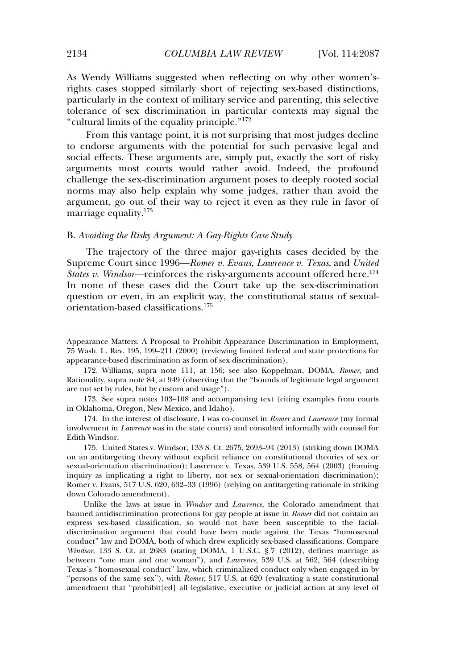As Wendy Williams suggested when reflecting on why other women'srights cases stopped similarly short of rejecting sex-based distinctions, particularly in the context of military service and parenting, this selective tolerance of sex discrimination in particular contexts may signal the "cultural limits of the equality principle." 172

From this vantage point, it is not surprising that most judges decline to endorse arguments with the potential for such pervasive legal and social effects. These arguments are, simply put, exactly the sort of risky arguments most courts would rather avoid. Indeed, the profound challenge the sex-discrimination argument poses to deeply rooted social norms may also help explain why some judges, rather than avoid the argument, go out of their way to reject it even as they rule in favor of marriage equality.<sup>173</sup>

#### B. *Avoiding the Risky Argument: A Gay-Rights Case Study*

The trajectory of the three major gay-rights cases decided by the Supreme Court since 1996—*Romer v. Evans*, *Lawrence v. Texas*, and *United States v. Windsor*—reinforces the risky-arguments account offered here.<sup>174</sup> In none of these cases did the Court take up the sex-discrimination question or even, in an explicit way, the constitutional status of sexualorientation-based classifications.<sup>175</sup>

175. United States v. Windsor, 133 S. Ct. 2675, 2693–94 (2013) (striking down DOMA on an antitargeting theory without explicit reliance on constitutional theories of sex or sexual-orientation discrimination); Lawrence v. Texas, 539 U.S. 558, 564 (2003) (framing inquiry as implicating a right to liberty, not sex or sexual-orientation discrimination); Romer v. Evans, 517 U.S. 620, 632–33 (1996) (relying on antitargeting rationale in striking down Colorado amendment).

Unlike the laws at issue in *Windsor* and *Lawrence*, the Colorado amendment that banned antidiscrimination protections for gay people at issue in *Romer* did not contain an express sex-based classification, so would not have been susceptible to the facialdiscrimination argument that could have been made against the Texas "homosexual conduct" law and DOMA, both of which drew explicitly sex-based classifications. Compare *Windsor*, 133 S. Ct. at 2683 (stating DOMA, 1 U.S.C. § 7 (2012), defines marriage as between "one man and one woman"), and *Lawrence*, 539 U.S. at 562, 564 (describing Texas's "homosexual conduct" law, which criminalized conduct only when engaged in by "persons of the same sex"), with *Romer*, 517 U.S. at 620 (evaluating a state constitutional amendment that "prohibit[ed] all legislative, executive or judicial action at any level of

Appearance Matters: A Proposal to Prohibit Appearance Discrimination in Employment, 75 Wash. L. Rev. 195, 199–211 (2000) (reviewing limited federal and state protections for appearance-based discrimination as form of sex discrimination).

<sup>172.</sup> Williams, supra note 111, at 156; see also Koppelman, DOMA, *Romer*, and Rationality, supra note 84, at 949 (observing that the "bounds of legitimate legal argument are not set by rules, but by custom and usage").

<sup>173.</sup> See supra notes 103–108 and accompanying text (citing examples from courts in Oklahoma, Oregon, New Mexico, and Idaho).

<sup>174.</sup> In the interest of disclosure, I was co-counsel in *Romer* and *Lawrence* (my formal involvement in *Lawrence* was in the state courts) and consulted informally with counsel for Edith Windsor.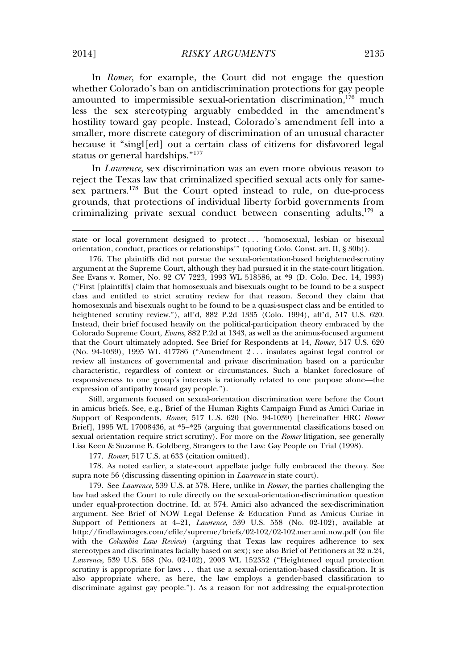In *Romer*, for example, the Court did not engage the question whether Colorado's ban on antidiscrimination protections for gay people amounted to impermissible sexual-orientation discrimination,  $176$  much less the sex stereotyping arguably embedded in the amendment's hostility toward gay people. Instead, Colorado's amendment fell into a smaller, more discrete category of discrimination of an unusual character because it "singl[ed] out a certain class of citizens for disfavored legal status or general hardships." 177

In *Lawrence*, sex discrimination was an even more obvious reason to reject the Texas law that criminalized specified sexual acts only for samesex partners.<sup>178</sup> But the Court opted instead to rule, on due-process grounds, that protections of individual liberty forbid governments from criminalizing private sexual conduct between consenting adults,<sup>179</sup> a

Still, arguments focused on sexual-orientation discrimination were before the Court in amicus briefs. See, e.g., Brief of the Human Rights Campaign Fund as Amici Curiae in Support of Respondents, *Romer*, 517 U.S. 620 (No. 94-1039) [hereinafter HRC *Romer* Brief], 1995 WL 17008436, at \*5–\*25 (arguing that governmental classifications based on sexual orientation require strict scrutiny). For more on the *Romer* litigation, see generally Lisa Keen & Suzanne B. Goldberg, Strangers to the Law: Gay People on Trial (1998).

177*. Romer*, 517 U.S. at 633 (citation omitted).

178. As noted earlier, a state-court appellate judge fully embraced the theory. See supra note 56 (discussing dissenting opinion in *Lawrence* in state court).

179. See *Lawrence*, 539 U.S. at 578. Here, unlike in *Romer*, the parties challenging the law had asked the Court to rule directly on the sexual-orientation-discrimination question under equal-protection doctrine. Id. at 574. Amici also advanced the sex-discrimination argument. See Brief of NOW Legal Defense & Education Fund as Amicus Curiae in Support of Petitioners at 4–21, *Lawrence*, 539 U.S. 558 (No. 02-102), available at http://findlawimages.com/efile/supreme/briefs/02-102/02-102.mer.ami.now.pdf (on file with the *Columbia Law Review*) (arguing that Texas law requires adherence to sex stereotypes and discriminates facially based on sex); see also Brief of Petitioners at 32 n.24, *Lawrence*, 539 U.S. 558 (No. 02-102), 2003 WL 152352 ("Heightened equal protection scrutiny is appropriate for laws . . . that use a sexual-orientation-based classification. It is also appropriate where, as here, the law employs a gender-based classification to discriminate against gay people."). As a reason for not addressing the equal-protection

state or local government designed to protect . . . 'homosexual, lesbian or bisexual orientation, conduct, practices or relationships'" (quoting Colo. Const. art. II, § 30b)).

<sup>176.</sup> The plaintiffs did not pursue the sexual-orientation-based heightened-scrutiny argument at the Supreme Court, although they had pursued it in the state-court litigation. See Evans v. Romer, No. 92 CV 7223, 1993 WL 518586, at \*9 (D. Colo. Dec. 14, 1993) ("First [plaintiffs] claim that homosexuals and bisexuals ought to be found to be a suspect class and entitled to strict scrutiny review for that reason. Second they claim that homosexuals and bisexuals ought to be found to be a quasi-suspect class and be entitled to heightened scrutiny review."), aff'd, 882 P.2d 1335 (Colo. 1994), aff'd, 517 U.S. 620. Instead, their brief focused heavily on the political-participation theory embraced by the Colorado Supreme Court, *Evans*, 882 P.2d at 1343, as well as the animus-focused argument that the Court ultimately adopted. See Brief for Respondents at 14, *Romer*, 517 U.S. 620 (No. 94-1039), 1995 WL 417786 ("Amendment 2 . . . insulates against legal control or review all instances of governmental and private discrimination based on a particular characteristic, regardless of context or circumstances. Such a blanket foreclosure of responsiveness to one group's interests is rationally related to one purpose alone—the expression of antipathy toward gay people.").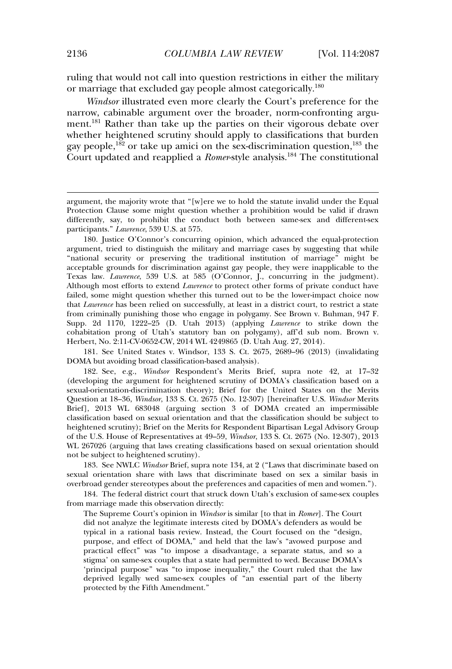ruling that would not call into question restrictions in either the military or marriage that excluded gay people almost categorically.<sup>180</sup>

*Windsor* illustrated even more clearly the Court's preference for the narrow, cabinable argument over the broader, norm-confronting argument.<sup>181</sup> Rather than take up the parties on their vigorous debate over whether heightened scrutiny should apply to classifications that burden gay people,<sup>182</sup> or take up amici on the sex-discrimination question,<sup>183</sup> the Court updated and reapplied a *Romer*-style analysis.<sup>184</sup> The constitutional

181. See United States v. Windsor, 133 S. Ct. 2675, 2689–96 (2013) (invalidating DOMA but avoiding broad classification-based analysis).

182. See, e.g., *Windsor* Respondent's Merits Brief, supra note 42, at 17–32 (developing the argument for heightened scrutiny of DOMA's classification based on a sexual-orientation-discrimination theory); Brief for the United States on the Merits Question at 18–36, *Windsor*, 133 S. Ct. 2675 (No. 12-307) [hereinafter U.S. *Windsor* Merits Brief], 2013 WL 683048 (arguing section 3 of DOMA created an impermissible classification based on sexual orientation and that the classification should be subject to heightened scrutiny); Brief on the Merits for Respondent Bipartisan Legal Advisory Group of the U.S. House of Representatives at 49–59, *Windsor*, 133 S. Ct. 2675 (No. 12-307), 2013 WL 267026 (arguing that laws creating classifications based on sexual orientation should not be subject to heightened scrutiny).

183. See NWLC *Windsor* Brief, supra note 134, at 2 ("Laws that discriminate based on sexual orientation share with laws that discriminate based on sex a similar basis in overbroad gender stereotypes about the preferences and capacities of men and women.").

184. The federal district court that struck down Utah's exclusion of same-sex couples from marriage made this observation directly:

The Supreme Court's opinion in *Windsor* is similar [to that in *Romer*]. The Court did not analyze the legitimate interests cited by DOMA's defenders as would be typical in a rational basis review. Instead, the Court focused on the "design, purpose, and effect of DOMA," and held that the law's "avowed purpose and practical effect" was "to impose a disadvantage, a separate status, and so a stigma' on same-sex couples that a state had permitted to wed. Because DOMA's 'principal purpose" was "to impose inequality," the Court ruled that the law deprived legally wed same-sex couples of "an essential part of the liberty protected by the Fifth Amendment."

argument, the majority wrote that "[w]ere we to hold the statute invalid under the Equal Protection Clause some might question whether a prohibition would be valid if drawn differently, say, to prohibit the conduct both between same-sex and different-sex participants." *Lawrence*, 539 U.S. at 575.

<sup>180.</sup> Justice O'Connor's concurring opinion, which advanced the equal-protection argument, tried to distinguish the military and marriage cases by suggesting that while "national security or preserving the traditional institution of marriage" might be acceptable grounds for discrimination against gay people, they were inapplicable to the Texas law. *Lawrence*, 539 U.S. at 585 (O'Connor, J., concurring in the judgment). Although most efforts to extend *Lawrence* to protect other forms of private conduct have failed, some might question whether this turned out to be the lower-impact choice now that *Lawrence* has been relied on successfully, at least in a district court, to restrict a state from criminally punishing those who engage in polygamy. See Brown v. Buhman, 947 F. Supp. 2d 1170, 1222–25 (D. Utah 2013) (applying *Lawrence* to strike down the cohabitation prong of Utah's statutory ban on polygamy), aff'd sub nom. Brown v. Herbert, No. 2:11-CV-0652-CW, 2014 WL 4249865 (D. Utah Aug. 27, 2014).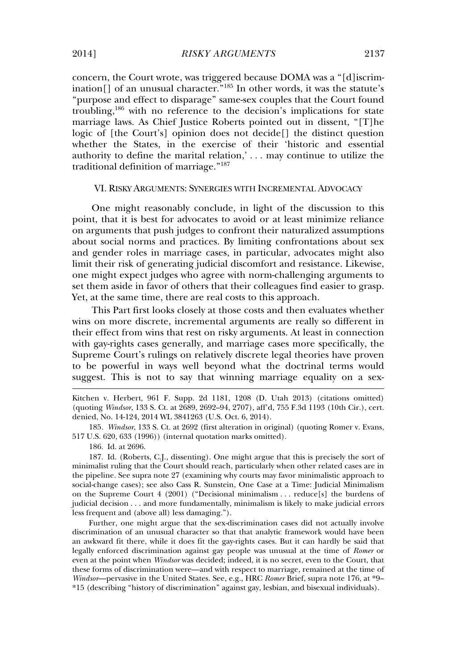concern, the Court wrote, was triggered because DOMA was a "[d]iscrimination[] of an unusual character." <sup>185</sup> In other words, it was the statute's "purpose and effect to disparage" same-sex couples that the Court found troubling,<sup>186</sup> with no reference to the decision's implications for state marriage laws. As Chief Justice Roberts pointed out in dissent, "[T]he logic of [the Court's] opinion does not decide[] the distinct question whether the States, in the exercise of their 'historic and essential authority to define the marital relation,' . . . may continue to utilize the traditional definition of marriage." 187

# VI. RISKY ARGUMENTS: SYNERGIES WITH INCREMENTAL ADVOCACY

One might reasonably conclude, in light of the discussion to this point, that it is best for advocates to avoid or at least minimize reliance on arguments that push judges to confront their naturalized assumptions about social norms and practices. By limiting confrontations about sex and gender roles in marriage cases, in particular, advocates might also limit their risk of generating judicial discomfort and resistance. Likewise, one might expect judges who agree with norm-challenging arguments to set them aside in favor of others that their colleagues find easier to grasp. Yet, at the same time, there are real costs to this approach.

This Part first looks closely at those costs and then evaluates whether wins on more discrete, incremental arguments are really so different in their effect from wins that rest on risky arguments. At least in connection with gay-rights cases generally, and marriage cases more specifically, the Supreme Court's rulings on relatively discrete legal theories have proven to be powerful in ways well beyond what the doctrinal terms would suggest. This is not to say that winning marriage equality on a sex-

Kitchen v. Herbert, 961 F. Supp. 2d 1181, 1208 (D. Utah 2013) (citations omitted) (quoting *Windsor*, 133 S. Ct. at 2689, 2692–94, 2707), aff'd, 755 F.3d 1193 (10th Cir.), cert. denied, No. 14-124, 2014 WL 3841263 (U.S. Oct. 6, 2014).

185*. Windsor*, 133 S. Ct. at 2692 (first alteration in original) (quoting Romer v. Evans, 517 U.S. 620, 633 (1996)) (internal quotation marks omitted).

186. Id. at 2696.

187. Id. (Roberts, C.J., dissenting). One might argue that this is precisely the sort of minimalist ruling that the Court should reach, particularly when other related cases are in the pipeline. See supra note 27 (examining why courts may favor minimalistic approach to social-change cases); see also Cass R. Sunstein, One Case at a Time: Judicial Minimalism on the Supreme Court 4 (2001) ("Decisional minimalism . . . reduce[s] the burdens of judicial decision . . . and more fundamentally, minimalism is likely to make judicial errors less frequent and (above all) less damaging.").

Further, one might argue that the sex-discrimination cases did not actually involve discrimination of an unusual character so that that analytic framework would have been an awkward fit there, while it does fit the gay-rights cases. But it can hardly be said that legally enforced discrimination against gay people was unusual at the time of *Romer* or even at the point when *Windsor* was decided; indeed, it is no secret, even to the Court, that these forms of discrimination were—and with respect to marriage, remained at the time of *Windsor*—pervasive in the United States. See, e.g., HRC *Romer* Brief, supra note 176, at \*9– \*15 (describing "history of discrimination" against gay, lesbian, and bisexual individuals).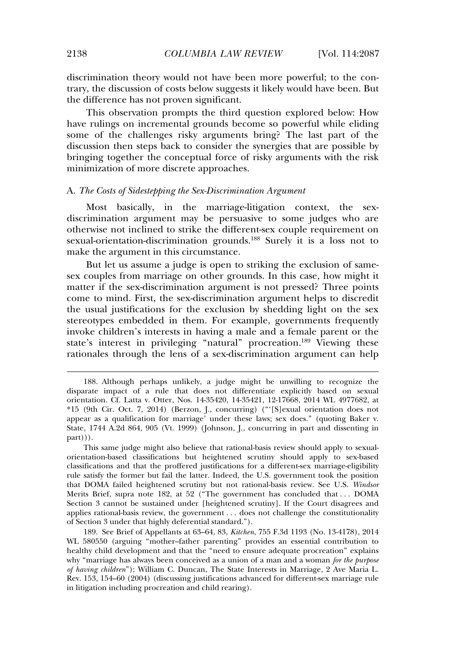discrimination theory would not have been more powerful; to the contrary, the discussion of costs below suggests it likely would have been. But the difference has not proven significant.

This observation prompts the third question explored below: How have rulings on incremental grounds become so powerful while eliding some of the challenges risky arguments bring? The last part of the discussion then steps back to consider the synergies that are possible by bringing together the conceptual force of risky arguments with the risk minimization of more discrete approaches.

#### A. *The Costs of Sidestepping the Sex-Discrimination Argument*

Most basically, in the marriage-litigation context, the sexdiscrimination argument may be persuasive to some judges who are otherwise not inclined to strike the different-sex couple requirement on sexual-orientation-discrimination grounds.<sup>188</sup> Surely it is a loss not to make the argument in this circumstance.

But let us assume a judge is open to striking the exclusion of samesex couples from marriage on other grounds. In this case, how might it matter if the sex-discrimination argument is not pressed? Three points come to mind. First, the sex-discrimination argument helps to discredit the usual justifications for the exclusion by shedding light on the sex stereotypes embedded in them. For example, governments frequently invoke children's interests in having a male and a female parent or the state's interest in privileging "natural" procreation.<sup>189</sup> Viewing these rationales through the lens of a sex-discrimination argument can help

This same judge might also believe that rational-basis review should apply to sexualorientation-based classifications but heightened scrutiny should apply to sex-based classifications and that the proffered justifications for a different-sex marriage-eligibility rule satisfy the former but fail the latter. Indeed, the U.S. government took the position that DOMA failed heightened scrutiny but not rational-basis review. See U.S. *Windsor* Merits Brief, supra note 182, at 52 ("The government has concluded that . . . DOMA Section 3 cannot be sustained under [heightened scrutiny]. If the Court disagrees and applies rational-basis review, the government . . . does not challenge the constitutionality of Section 3 under that highly deferential standard.").

189. See Brief of Appellants at 63–64, 83, *Kitchen*, 755 F.3d 1193 (No. 13-4178), 2014 WL 580550 (arguing "mother–father parenting" provides an essential contribution to healthy child development and that the "need to ensure adequate procreation" explains why "marriage has always been conceived as a union of a man and a woman *for the purpose of having children*"); William C. Duncan, The State Interests in Marriage, 2 Ave Maria L. Rev. 153, 154–60 (2004) (discussing justifications advanced for different-sex marriage rule in litigation including procreation and child rearing).

<sup>188.</sup> Although perhaps unlikely, a judge might be unwilling to recognize the disparate impact of a rule that does not differentiate explicitly based on sexual orientation. Cf. Latta v. Otter, Nos. 14-35420, 14-35421, 12-17668, 2014 WL 4977682, at \*15 (9th Cir. Oct. 7, 2014) (Berzon, J., concurring) ("'[S]exual orientation does not appear as a qualification for marriage' under these laws; sex does." (quoting Baker v. State*,* 1744 A.2d 864, 905 (Vt. 1999) (Johnson, J., concurring in part and dissenting in part))).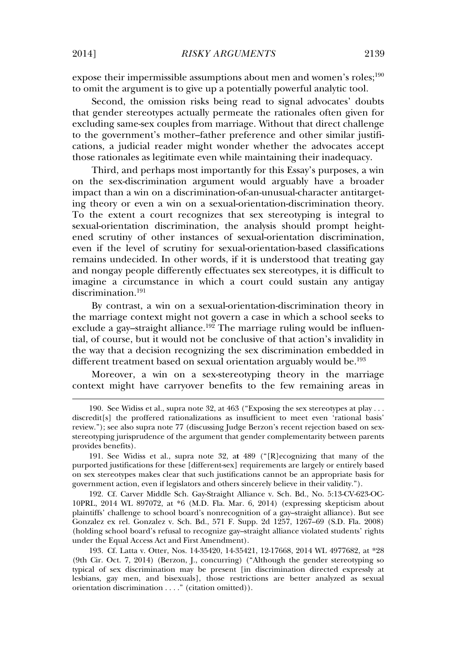expose their impermissible assumptions about men and women's roles;<sup>190</sup> to omit the argument is to give up a potentially powerful analytic tool.

Second, the omission risks being read to signal advocates' doubts that gender stereotypes actually permeate the rationales often given for excluding same-sex couples from marriage. Without that direct challenge to the government's mother–father preference and other similar justifications, a judicial reader might wonder whether the advocates accept those rationales as legitimate even while maintaining their inadequacy.

Third, and perhaps most importantly for this Essay's purposes, a win on the sex-discrimination argument would arguably have a broader impact than a win on a discrimination-of-an-unusual-character antitargeting theory or even a win on a sexual-orientation-discrimination theory. To the extent a court recognizes that sex stereotyping is integral to sexual-orientation discrimination, the analysis should prompt heightened scrutiny of other instances of sexual-orientation discrimination, even if the level of scrutiny for sexual-orientation-based classifications remains undecided. In other words, if it is understood that treating gay and nongay people differently effectuates sex stereotypes, it is difficult to imagine a circumstance in which a court could sustain any antigay discrimination.<sup>191</sup>

By contrast, a win on a sexual-orientation-discrimination theory in the marriage context might not govern a case in which a school seeks to exclude a gay–straight alliance.<sup>192</sup> The marriage ruling would be influential, of course, but it would not be conclusive of that action's invalidity in the way that a decision recognizing the sex discrimination embedded in different treatment based on sexual orientation arguably would be.<sup>193</sup>

Moreover, a win on a sex-stereotyping theory in the marriage context might have carryover benefits to the few remaining areas in

192. Cf. Carver Middle Sch. Gay-Straight Alliance v. Sch. Bd., No. 5:13-CV-623-OC-10PRL, 2014 WL 897072, at \*6 (M.D. Fla. Mar. 6, 2014) (expressing skepticism about plaintiffs' challenge to school board's nonrecognition of a gay–straight alliance). But see Gonzalez ex rel. Gonzalez v. Sch. Bd., 571 F. Supp. 2d 1257, 1267–69 (S.D. Fla. 2008) (holding school board's refusal to recognize gay–straight alliance violated students' rights under the Equal Access Act and First Amendment).

193. Cf. Latta v. Otter, Nos. 14-35420, 14-35421, 12-17668, 2014 WL 4977682, at \*28 (9th Cir. Oct. 7, 2014) (Berzon, J., concurring) ("Although the gender stereotyping so typical of sex discrimination may be present [in discrimination directed expressly at lesbians, gay men, and bisexuals], those restrictions are better analyzed as sexual orientation discrimination . . . ." (citation omitted)).

<sup>190.</sup> See Widiss et al., supra note 32, at 463 ("Exposing the sex stereotypes at play . . . discredit[s] the proffered rationalizations as insufficient to meet even 'rational basis' review."); see also supra note 77 (discussing Judge Berzon's recent rejection based on sexstereotyping jurisprudence of the argument that gender complementarity between parents provides benefits).

<sup>191.</sup> See Widiss et al., supra note 32, a**t** 489 ("[R]ecognizing that many of the purported justifications for these [different-sex] requirements are largely or entirely based on sex stereotypes makes clear that such justifications cannot be an appropriate basis for government action, even if legislators and others sincerely believe in their validity.").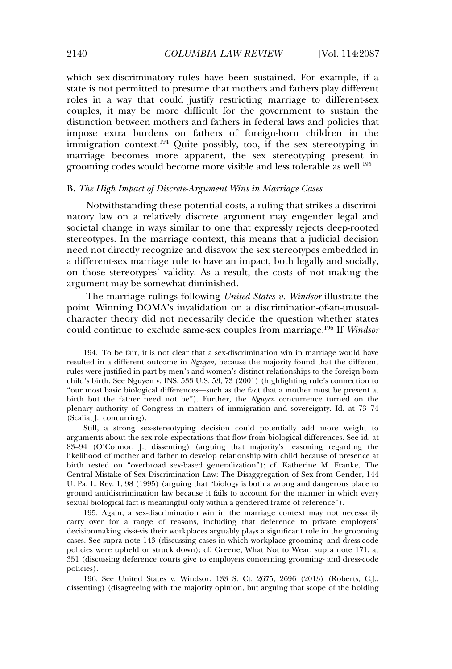which sex-discriminatory rules have been sustained. For example, if a state is not permitted to presume that mothers and fathers play different roles in a way that could justify restricting marriage to different-sex couples, it may be more difficult for the government to sustain the distinction between mothers and fathers in federal laws and policies that impose extra burdens on fathers of foreign-born children in the immigration context.<sup>194</sup> Quite possibly, too, if the sex stereotyping in marriage becomes more apparent, the sex stereotyping present in grooming codes would become more visible and less tolerable as well.<sup>195</sup>

## B. *The High Impact of Discrete-Argument Wins in Marriage Cases*

Notwithstanding these potential costs, a ruling that strikes a discriminatory law on a relatively discrete argument may engender legal and societal change in ways similar to one that expressly rejects deep-rooted stereotypes. In the marriage context, this means that a judicial decision need not directly recognize and disavow the sex stereotypes embedded in a different-sex marriage rule to have an impact, both legally and socially, on those stereotypes' validity. As a result, the costs of not making the argument may be somewhat diminished.

The marriage rulings following *United States v. Windsor* illustrate the point. Winning DOMA's invalidation on a discrimination-of-an-unusualcharacter theory did not necessarily decide the question whether states could continue to exclude same-sex couples from marriage.<sup>196</sup> If *Windsor*

195. Again, a sex-discrimination win in the marriage context may not necessarily carry over for a range of reasons, including that deference to private employers' decisionmaking vis-à-vis their workplaces arguably plays a significant role in the grooming cases. See supra note 143 (discussing cases in which workplace grooming- and dress-code policies were upheld or struck down); cf. Greene, What Not to Wear, supra note 171, at 351 (discussing deference courts give to employers concerning grooming- and dress-code policies).

196. See United States v. Windsor, 133 S. Ct. 2675, 2696 (2013) (Roberts, C.J., dissenting) (disagreeing with the majority opinion, but arguing that scope of the holding

<sup>194.</sup> To be fair, it is not clear that a sex-discrimination win in marriage would have resulted in a different outcome in *Nguyen*, because the majority found that the different rules were justified in part by men's and women's distinct relationships to the foreign-born child's birth. See Nguyen v. INS, 533 U.S. 53, 73 (2001) (highlighting rule's connection to "our most basic biological differences—such as the fact that a mother must be present at birth but the father need not be"). Further, the *Nguyen* concurrence turned on the plenary authority of Congress in matters of immigration and sovereignty. Id. at 73–74 (Scalia, J., concurring).

Still, a strong sex-stereotyping decision could potentially add more weight to arguments about the sex-role expectations that flow from biological differences. See id. at 83–94 (O'Connor, J., dissenting) (arguing that majority's reasoning regarding the likelihood of mother and father to develop relationship with child because of presence at birth rested on "overbroad sex-based generalization"); cf. Katherine M. Franke, The Central Mistake of Sex Discrimination Law: The Disaggregation of Sex from Gender, 144 U. Pa. L. Rev. 1, 98 (1995) (arguing that "biology is both a wrong and dangerous place to ground antidiscrimination law because it fails to account for the manner in which every sexual biological fact is meaningful only within a gendered frame of reference").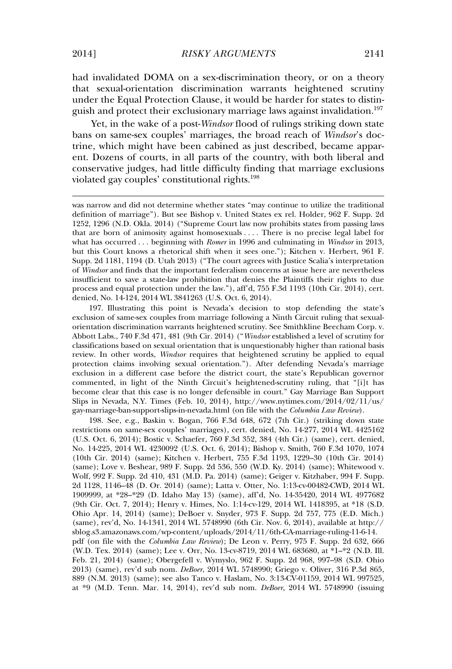had invalidated DOMA on a sex-discrimination theory, or on a theory that sexual-orientation discrimination warrants heightened scrutiny under the Equal Protection Clause, it would be harder for states to distinguish and protect their exclusionary marriage laws against invalidation.<sup>197</sup>

Yet, in the wake of a post-*Windsor* flood of rulings striking down state bans on same-sex couples' marriages, the broad reach of *Windsor*'s doctrine, which might have been cabined as just described, became apparent. Dozens of courts, in all parts of the country, with both liberal and conservative judges, had little difficulty finding that marriage exclusions violated gay couples' constitutional rights.<sup>198</sup>

197. Illustrating this point is Nevada's decision to stop defending the state's exclusion of same-sex couples from marriage following a Ninth Circuit ruling that sexualorientation discrimination warrants heightened scrutiny. See Smithkline Beecham Corp. v. Abbott Labs., 740 F.3d 471, 481 (9th Cir. 2014) ("*Windsor* established a level of scrutiny for classifications based on sexual orientation that is unquestionably higher than rational basis review. In other words, *Windsor* requires that heightened scrutiny be applied to equal protection claims involving sexual orientation."). After defending Nevada's marriage exclusion in a different case before the district court, the state's Republican governor commented, in light of the Ninth Circuit's heightened-scrutiny ruling, that "[i]t has become clear that this case is no longer defensible in court." Gay Marriage Ban Support Slips in Nevada, N.Y. Times (Feb. 10, 2014), http://www.nytimes.com/2014/02/11/us/ gay-marriage-ban-support-slips-in-nevada.html (on file with the *Columbia Law Review*).

198. See, e.g., Baskin v. Bogan, 766 F.3d 648, 672 (7th Cir.) (striking down state restrictions on same-sex couples' marriages), cert. denied, No. 14-277, 2014 WL 4425162 (U.S. Oct. 6, 2014); Bostic v. Schaefer, 760 F.3d 352, 384 (4th Cir.) (same), cert. denied, No. 14-225, 2014 WL 4230092 (U.S. Oct. 6, 2014); Bishop v. Smith, 760 F.3d 1070, 1074 (10th Cir. 2014) (same); Kitchen v. Herbert, 755 F.3d 1193, 1229–30 (10th Cir. 2014) (same); Love v. Beshear, 989 F. Supp. 2d 536, 550 (W.D. Ky. 2014) (same); Whitewood v. Wolf, 992 F. Supp. 2d 410, 431 (M.D. Pa. 2014) (same); Geiger v. Kitzhaber, 994 F. Supp. 2d 1128, 1146–48 (D. Or. 2014) (same); Latta v. Otter*,* No. 1:13-cv-00482-CWD, 2014 WL 1909999, at \*28–\*29 (D. Idaho May 13) (same), aff'd, No. 14-35420, 2014 WL 4977682 (9th Cir. Oct. 7, 2014); Henry v. Himes, No. 1:14-cv-129, 2014 WL 1418395, at \*18 (S.D. Ohio Apr. 14, 2014) (same); DeBoer v. Snyder*,* 973 F. Supp. 2d 757, 775 (E.D. Mich.) (same), rev'd, No. 14-1341, 2014 WL 5748990 (6th Cir. Nov. 6, 2014), available at http:// sblog.s3.amazonaws.com/wp-content/uploads/2014/11/6th-CA-marriage-ruling-11-6-14. pdf (on file with the *Columbia Law Review*); De Leon v. Perry*,* 975 F. Supp. 2d 632, 666 (W.D. Tex. 2014) (same); Lee v. Orr, No. 13-cv-8719, 2014 WL 683680, at \*1–\*2 (N.D. Ill. Feb. 21, 2014) (same); Obergefell v. Wymyslo, 962 F. Supp. 2d 968, 997–98 (S.D. Ohio 2013) (same), rev'd sub nom. *DeBoer*, 2014 WL 5748990; Griego v. Oliver, 316 P.3d 865, 889 (N.M. 2013) (same); see also Tanco v. Haslam, No. 3:13-CV-01159, 2014 WL 997525, at \*9 (M.D. Tenn. Mar. 14, 2014), rev'd sub nom. *DeBoer*, 2014 WL 5748990 (issuing

was narrow and did not determine whether states "may continue to utilize the traditional definition of marriage"). But see Bishop v. United States ex rel. Holder, 962 F. Supp. 2d 1252, 1296 (N.D. Okla. 2014) ("Supreme Court law now prohibits states from passing laws that are born of animosity against homosexuals . . . . There is no precise legal label for what has occurred . . . beginning with *Romer* in 1996 and culminating in *Windsor* in 2013, but this Court knows a rhetorical shift when it sees one."); Kitchen v. Herbert, 961 F. Supp. 2d 1181, 1194 (D. Utah 2013) ("The court agrees with Justice Scalia's interpretation of *Windsor* and finds that the important federalism concerns at issue here are nevertheless insufficient to save a state-law prohibition that denies the Plaintiffs their rights to due process and equal protection under the law."), aff'd, 755 F.3d 1193 (10th Cir. 2014), cert. denied, No. 14-124, 2014 WL 3841263 (U.S. Oct. 6, 2014).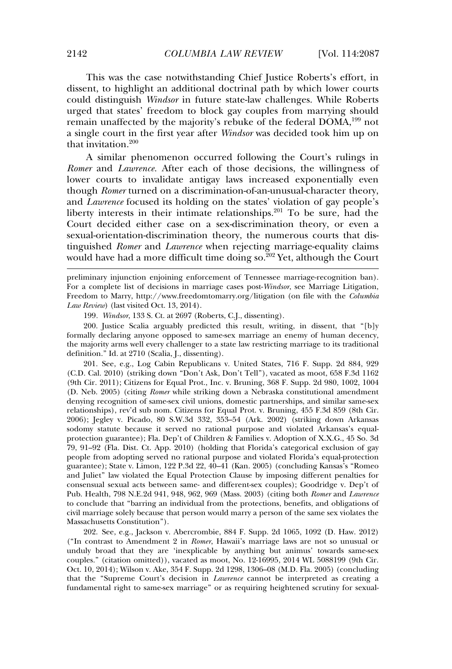This was the case notwithstanding Chief Justice Roberts's effort, in dissent, to highlight an additional doctrinal path by which lower courts could distinguish *Windsor* in future state-law challenges. While Roberts urged that states' freedom to block gay couples from marrying should remain unaffected by the majority's rebuke of the federal DOMA,<sup>199</sup> not a single court in the first year after *Windsor* was decided took him up on that invitation.<sup>200</sup>

A similar phenomenon occurred following the Court's rulings in *Romer* and *Lawrence.* After each of those decisions, the willingness of lower courts to invalidate antigay laws increased exponentially even though *Romer* turned on a discrimination-of-an-unusual-character theory, and *Lawrence* focused its holding on the states' violation of gay people's liberty interests in their intimate relationships.<sup>201</sup> To be sure, had the Court decided either case on a sex-discrimination theory, or even a sexual-orientation-discrimination theory, the numerous courts that distinguished *Romer* and *Lawrence* when rejecting marriage-equality claims would have had a more difficult time doing so.<sup>202</sup> Yet, although the Court

preliminary injunction enjoining enforcement of Tennessee marriage-recognition ban). For a complete list of decisions in marriage cases post-*Windsor*, see Marriage Litigation, Freedom to Marry, http://www.freedomtomarry.org/litigation (on file with the *Columbia Law Review*) (last visited Oct. 13, 2014).

199*. Windsor*, 133 S. Ct. at 2697 (Roberts, C.J., dissenting).

200. Justice Scalia arguably predicted this result, writing, in dissent, that "[b]y formally declaring anyone opposed to same-sex marriage an enemy of human decency, the majority arms well every challenger to a state law restricting marriage to its traditional definition." Id. at 2710 (Scalia, J., dissenting).

201. See, e.g., Log Cabin Republicans v. United States, 716 F. Supp. 2d 884, 929 (C.D. Cal. 2010) (striking down "Don't Ask, Don't Tell"), vacated as moot, 658 F.3d 1162 (9th Cir. 2011); Citizens for Equal Prot., Inc. v. Bruning, 368 F. Supp. 2d 980, 1002, 1004 (D. Neb. 2005) (citing *Romer* while striking down a Nebraska constitutional amendment denying recognition of same-sex civil unions, domestic partnerships, and similar same-sex relationships), rev'd sub nom. Citizens for Equal Prot. v. Bruning, 455 F.3d 859 (8th Cir. 2006); Jegley v. Picado, 80 S.W.3d 332, 353–54 (Ark. 2002) (striking down Arkansas sodomy statute because it served no rational purpose and violated Arkansas's equalprotection guarantee); Fla. Dep't of Children & Families v. Adoption of X.X.G., 45 So. 3d 79, 91–92 (Fla. Dist. Ct. App. 2010) (holding that Florida's categorical exclusion of gay people from adopting served no rational purpose and violated Florida's equal-protection guarantee); State v. Limon, 122 P.3d 22, 40–41 (Kan. 2005) (concluding Kansas's "Romeo and Juliet" law violated the Equal Protection Clause by imposing different penalties for consensual sexual acts between same- and different-sex couples); Goodridge v. Dep't of Pub. Health, 798 N.E.2d 941, 948, 962, 969 (Mass. 2003) (citing both *Romer* and *Lawrence* to conclude that "barring an individual from the protections, benefits, and obligations of civil marriage solely because that person would marry a person of the same sex violates the Massachusetts Constitution").

202. See, e.g., Jackson v. Abercrombie, 884 F. Supp. 2d 1065, 1092 (D. Haw. 2012) ("In contrast to Amendment 2 in *Romer*, Hawaii's marriage laws are not so unusual or unduly broad that they are 'inexplicable by anything but animus' towards same-sex couples." (citation omitted)), vacated as moot, No. 12-16995, 2014 WL 5088199 (9th Cir. Oct. 10, 2014); Wilson v. Ake, 354 F. Supp. 2d 1298, 1306–08 (M.D. Fla. 2005) (concluding that the "Supreme Court's decision in *Lawrence* cannot be interpreted as creating a fundamental right to same-sex marriage" or as requiring heightened scrutiny for sexual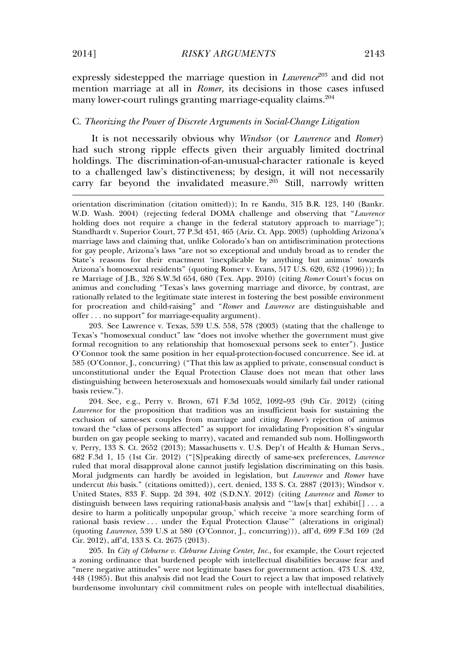expressly sidestepped the marriage question in *Lawrence*<sup>203</sup> and did not mention marriage at all in *Romer*, its decisions in those cases infused many lower-court rulings granting marriage-equality claims.<sup>204</sup>

## C. *Theorizing the Power of Discrete Arguments in Social-Change Litigation*

It is not necessarily obvious why *Windsor* (or *Lawrence* and *Romer*) had such strong ripple effects given their arguably limited doctrinal holdings. The discrimination-of-an-unusual-character rationale is keyed to a challenged law's distinctiveness; by design, it will not necessarily carry far beyond the invalidated measure. $2^{05}$  Still, narrowly written

203. See Lawrence v. Texas, 539 U.S. 558, 578 (2003) (stating that the challenge to Texas's "homosexual conduct" law "does not involve whether the government must give formal recognition to any relationship that homosexual persons seek to enter"). Justice O'Connor took the same position in her equal-protection-focused concurrence. See id. at 585 (O'Connor, J., concurring) ("That this law as applied to private, consensual conduct is unconstitutional under the Equal Protection Clause does not mean that other laws distinguishing between heterosexuals and homosexuals would similarly fail under rational basis review.").

204. See, e.g., Perry v. Brown, 671 F.3d 1052, 1092–93 (9th Cir. 2012) (citing *Lawrence* for the proposition that tradition was an insufficient basis for sustaining the exclusion of same-sex couples from marriage and citing *Romer's* rejection of animus toward the "class of persons affected" as support for invalidating Proposition 8's singular burden on gay people seeking to marry), vacated and remanded sub nom. Hollingsworth v. Perry, 133 S. Ct. 2652 (2013); Massachusetts v. U.S. Dep't of Health & Human Servs., 682 F.3d 1, 15 (1st Cir. 2012) ("[S]peaking directly of same-sex preferences, *Lawrence* ruled that moral disapproval alone cannot justify legislation discriminating on this basis. Moral judgments can hardly be avoided in legislation, but *Lawrence* and *Romer* have undercut *this* basis." (citations omitted)), cert. denied, 133 S. Ct. 2887 (2013); Windsor v. United States, 833 F. Supp. 2d 394, 402 (S.D.N.Y. 2012) (citing *Lawrence* and *Romer* to distinguish between laws requiring rational-basis analysis and "'law[s that] exhibit[] . . . a desire to harm a politically unpopular group,' which receive 'a more searching form of rational basis review . . . under the Equal Protection Clause'" (alterations in original) (quoting *Lawrence*, 539 U.S at 580 (O'Connor, J., concurring))), aff'd, 699 F.3d 169 (2d Cir. 2012), aff'd, 133 S. Ct. 2675 (2013).

205. In *City of Cleburne v. Cleburne Living Center, Inc.*, for example, the Court rejected a zoning ordinance that burdened people with intellectual disabilities because fear and "mere negative attitudes" were not legitimate bases for government action. 473 U.S. 432, 448 (1985). But this analysis did not lead the Court to reject a law that imposed relatively burdensome involuntary civil commitment rules on people with intellectual disabilities,

orientation discrimination (citation omitted)); In re Kandu, 315 B.R. 123, 140 (Bankr. W.D. Wash. 2004) (rejecting federal DOMA challenge and observing that "*Lawrence* holding does not require a change in the federal statutory approach to marriage"); Standhardt v. Superior Court, 77 P.3d 451, 465 (Ariz. Ct. App. 2003) (upholding Arizona's marriage laws and claiming that, unlike Colorado's ban on antidiscrimination protections for gay people, Arizona's laws "are not so exceptional and unduly broad as to render the State's reasons for their enactment 'inexplicable by anything but animus' towards Arizona's homosexual residents" (quoting Romer v. Evans, 517 U.S. 620, 632 (1996))); In re Marriage of J.B., 326 S.W.3d 654, 680 (Tex. App. 2010) (citing *Romer* Court's focus on animus and concluding "Texas's laws governing marriage and divorce, by contrast, are rationally related to the legitimate state interest in fostering the best possible environment for procreation and child-raising" and "*Romer* and *Lawrence* are distinguishable and offer . . . no support" for marriage-equality argument).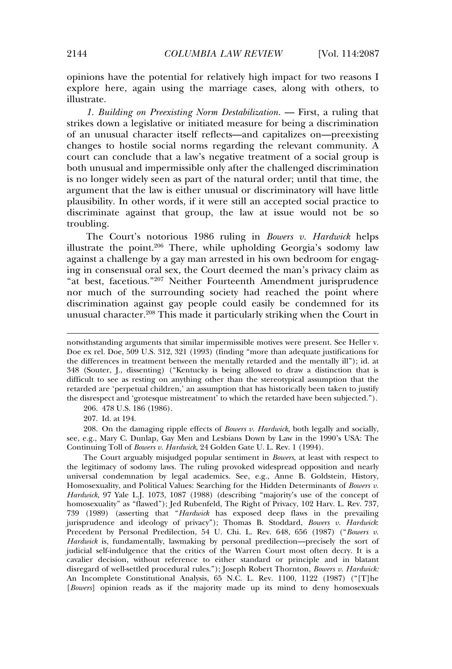opinions have the potential for relatively high impact for two reasons I explore here, again using the marriage cases, along with others, to illustrate.

*1. Building on Preexisting Norm Destabilization.* — First, a ruling that strikes down a legislative or initiated measure for being a discrimination of an unusual character itself reflects—and capitalizes on—preexisting changes to hostile social norms regarding the relevant community. A court can conclude that a law's negative treatment of a social group is both unusual and impermissible only after the challenged discrimination is no longer widely seen as part of the natural order; until that time, the argument that the law is either unusual or discriminatory will have little plausibility. In other words, if it were still an accepted social practice to discriminate against that group, the law at issue would not be so troubling.

The Court's notorious 1986 ruling in *Bowers v. Hardwick* helps illustrate the point.<sup>206</sup> There, while upholding Georgia's sodomy law against a challenge by a gay man arrested in his own bedroom for engaging in consensual oral sex, the Court deemed the man's privacy claim as "at best, facetious." <sup>207</sup> Neither Fourteenth Amendment jurisprudence nor much of the surrounding society had reached the point where discrimination against gay people could easily be condemned for its unusual character.<sup>208</sup> This made it particularly striking when the Court in

206. 478 U.S. 186 (1986).

207. Id. at 194.

208. On the damaging ripple effects of *Bowers v. Hardwick,* both legally and socially, see, e.g., Mary C. Dunlap, Gay Men and Lesbians Down by Law in the 1990's USA: The Continuing Toll of *Bowers v. Hardwick*, 24 Golden Gate U. L. Rev. 1 (1994).

The Court arguably misjudged popular sentiment in *Bowers*, at least with respect to the legitimacy of sodomy laws. The ruling provoked widespread opposition and nearly universal condemnation by legal academics. See, e.g., Anne B. Goldstein, History, Homosexuality, and Political Values: Searching for the Hidden Determinants of *Bowers v. Hardwick*, 97 Yale L.J. 1073, 1087 (1988) (describing "majority's use of the concept of homosexuality" as "flawed"); Jed Rubenfeld, The Right of Privacy, 102 Harv. L. Rev. 737, 739 (1989) (asserting that "*Hardwick* has exposed deep flaws in the prevailing jurisprudence and ideology of privacy"); Thomas B. Stoddard, *Bowers v. Hardwick*: Precedent by Personal Predilection, 54 U. Chi. L. Rev. 648, 656 (1987) ("*Bowers v. Hardwick* is, fundamentally, lawmaking by personal predilection—precisely the sort of judicial self-indulgence that the critics of the Warren Court most often decry. It is a cavalier decision, without reference to either standard or principle and in blatant disregard of well-settled procedural rules."); Joseph Robert Thornton, *Bowers v. Hardwick:* An Incomplete Constitutional Analysis, 65 N.C. L. Rev. 1100, 1122 (1987) ("[T]he [*Bowers*] opinion reads as if the majority made up its mind to deny homosexuals

notwithstanding arguments that similar impermissible motives were present. See Heller v. Doe ex rel. Doe, 509 U.S. 312, 321 (1993) (finding "more than adequate justifications for the differences in treatment between the mentally retarded and the mentally ill"); id. at 348 (Souter, J., dissenting) ("Kentucky is being allowed to draw a distinction that is difficult to see as resting on anything other than the stereotypical assumption that the retarded are 'perpetual children,' an assumption that has historically been taken to justify the disrespect and 'grotesque mistreatment' to which the retarded have been subjected.").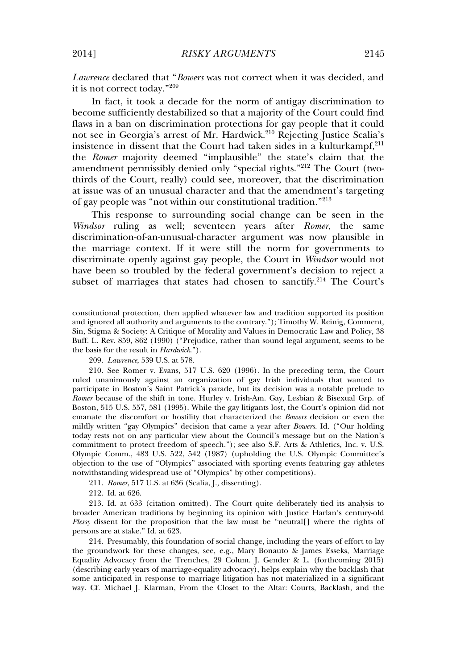*Lawrence* declared that "*Bowers* was not correct when it was decided, and it is not correct today." 209

In fact, it took a decade for the norm of antigay discrimination to become sufficiently destabilized so that a majority of the Court could find flaws in a ban on discrimination protections for gay people that it could not see in Georgia's arrest of Mr. Hardwick.<sup>210</sup> Rejecting Justice Scalia's insistence in dissent that the Court had taken sides in a kulturkampf, $211$ the *Romer* majority deemed "implausible" the state's claim that the amendment permissibly denied only "special rights." <sup>212</sup> The Court (twothirds of the Court, really) could see, moreover, that the discrimination at issue was of an unusual character and that the amendment's targeting of gay people was "not within our constitutional tradition." 213

This response to surrounding social change can be seen in the *Windsor* ruling as well; seventeen years after *Romer*, the same discrimination-of-an-unusual-character argument was now plausible in the marriage context. If it were still the norm for governments to discriminate openly against gay people, the Court in *Windsor* would not have been so troubled by the federal government's decision to reject a subset of marriages that states had chosen to sanctify.<sup>214</sup> The Court's

209. *Lawrence*, 539 U.S. at 578.

210. See Romer v. Evans, 517 U.S. 620 (1996). In the preceding term, the Court ruled unanimously against an organization of gay Irish individuals that wanted to participate in Boston's Saint Patrick's parade, but its decision was a notable prelude to *Romer* because of the shift in tone. Hurley v. Irish-Am. Gay, Lesbian & Bisexual Grp. of Boston, 515 U.S. 557, 581 (1995). While the gay litigants lost, the Court's opinion did not emanate the discomfort or hostility that characterized the *Bowers* decision or even the mildly written "gay Olympics" decision that came a year after *Bowers.* Id. ("Our holding today rests not on any particular view about the Council's message but on the Nation's commitment to protect freedom of speech."); see also S.F. Arts & Athletics, Inc. v. U.S. Olympic Comm., 483 U.S. 522, 542 (1987) (upholding the U.S. Olympic Committee's objection to the use of "Olympics" associated with sporting events featuring gay athletes notwithstanding widespread use of "Olympics" by other competitions).

211. *Romer*, 517 U.S. at 636 (Scalia, J., dissenting).

212. Id. at 626.

213. Id. at 633 (citation omitted). The Court quite deliberately tied its analysis to broader American traditions by beginning its opinion with Justice Harlan's century-old *Plessy* dissent for the proposition that the law must be "neutral[] where the rights of persons are at stake." Id. at 623.

214. Presumably, this foundation of social change, including the years of effort to lay the groundwork for these changes, see, e.g., Mary Bonauto & James Esseks, Marriage Equality Advocacy from the Trenches, 29 Colum. J. Gender & L. (forthcoming 2015) (describing early years of marriage-equality advocacy), helps explain why the backlash that some anticipated in response to marriage litigation has not materialized in a significant way. Cf. Michael J. Klarman, From the Closet to the Altar: Courts, Backlash, and the

constitutional protection, then applied whatever law and tradition supported its position and ignored all authority and arguments to the contrary."); Timothy W. Reinig, Comment, Sin, Stigma & Society: A Critique of Morality and Values in Democratic Law and Policy, 38 Buff. L. Rev. 859, 862 (1990) ("Prejudice, rather than sound legal argument, seems to be the basis for the result in *Hardwick*.").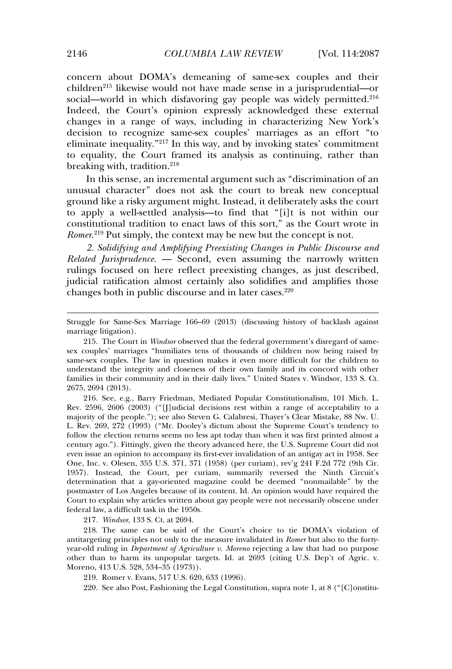concern about DOMA's demeaning of same-sex couples and their children<sup>215</sup> likewise would not have made sense in a jurisprudential—or social—world in which disfavoring gay people was widely permitted. $2^{16}$ Indeed, the Court's opinion expressly acknowledged these external changes in a range of ways, including in characterizing New York's decision to recognize same-sex couples' marriages as an effort "to eliminate inequality." <sup>217</sup> In this way, and by invoking states' commitment to equality, the Court framed its analysis as continuing, rather than breaking with, tradition.<sup>218</sup>

In this sense, an incremental argument such as "discrimination of an unusual character" does not ask the court to break new conceptual ground like a risky argument might. Instead, it deliberately asks the court to apply a well-settled analysis—to find that "[i]t is not within our constitutional tradition to enact laws of this sort," as the Court wrote in *Romer*. <sup>219</sup> Put simply, the context may be new but the concept is not.

*2. Solidifying and Amplifying Preexisting Changes in Public Discourse and Related Jurisprudence.* — Second, even assuming the narrowly written rulings focused on here reflect preexisting changes, as just described, judicial ratification almost certainly also solidifies and amplifies those changes both in public discourse and in later cases. $220$ 

216. See, e.g., Barry Friedman, Mediated Popular Constitutionalism, 101 Mich. L. Rev. 2596, 2606 (2003) ("[J]udicial decisions rest within a range of acceptability to a majority of the people."); see also Steven G. Calabresi, Thayer's Clear Mistake, 88 Nw. U. L. Rev. 269, 272 (1993) ("Mr. Dooley's dictum about the Supreme Court's tendency to follow the election returns seems no less apt today than when it was first printed almost a century ago."). Fittingly, given the theory advanced here, the U.S. Supreme Court did not even issue an opinion to accompany its first-ever invalidation of an antigay act in 1958. See One, Inc. v. Olesen, 355 U.S. 371, 371 (1958) (per curiam), rev'g 241 F.2d 772 (9th Cir. 1957). Instead, the Court, per curiam, summarily reversed the Ninth Circuit's determination that a gay-oriented magazine could be deemed "nonmailable" by the postmaster of Los Angeles because of its content. Id. An opinion would have required the Court to explain why articles written about gay people were not necessarily obscene under federal law, a difficult task in the 1950s.

217*. Windsor*, 133 S. Ct. at 2694.

218. The same can be said of the Court's choice to tie DOMA's violation of antitargeting principles not only to the measure invalidated in *Romer* but also to the fortyyear-old ruling in *Department of Agriculture v. Moreno* rejecting a law that had no purpose other than to harm its unpopular targets. Id. at 2693 (citing U.S. Dep't of Agric. v. Moreno, 413 U.S. 528, 534–35 (1973)).

219. Romer v. Evans, 517 U.S. 620, 633 (1996).

220. See also Post, Fashioning the Legal Constitution, supra note 1, at 8 ("[C]onstitu-

Struggle for Same-Sex Marriage 166–69 (2013) (discussing history of backlash against marriage litigation).

<sup>215.</sup> The Court in *Windsor* observed that the federal government's disregard of samesex couples' marriages "humiliates tens of thousands of children now being raised by same-sex couples. The law in question makes it even more difficult for the children to understand the integrity and closeness of their own family and its concord with other families in their community and in their daily lives." United States v. Windsor, 133 S. Ct. 2675, 2694 (2013).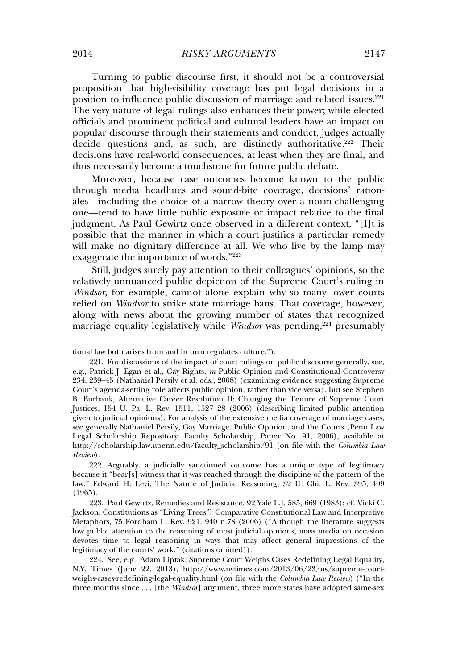Turning to public discourse first, it should not be a controversial proposition that high-visibility coverage has put legal decisions in a position to influence public discussion of marriage and related issues. $221$ The very nature of legal rulings also enhances their power; while elected officials and prominent political and cultural leaders have an impact on popular discourse through their statements and conduct, judges actually decide questions and, as such, are distinctly authoritative.<sup>222</sup> Their decisions have real-world consequences, at least when they are final, and thus necessarily become a touchstone for future public debate.

Moreover, because case outcomes become known to the public through media headlines and sound-bite coverage, decisions' rationales—including the choice of a narrow theory over a norm-challenging one—tend to have little public exposure or impact relative to the final judgment. As Paul Gewirtz once observed in a different context, "[I]t is possible that the manner in which a court justifies a particular remedy will make no dignitary difference at all. We who live by the lamp may exaggerate the importance of words." 223

Still, judges surely pay attention to their colleagues' opinions, so the relatively unnuanced public depiction of the Supreme Court's ruling in *Windsor*, for example, cannot alone explain why so many lower courts relied on *Windsor* to strike state marriage bans. That coverage, however, along with news about the growing number of states that recognized marriage equality legislatively while *Windsor* was pending,<sup>224</sup> presumably

tional law both arises from and in turn regulates culture.").

<sup>221.</sup> For discussions of the impact of court rulings on public discourse generally, see, e.g., Patrick J. Egan et al., Gay Rights, *in* Public Opinion and Constitutional Controversy 234, 239–45 (Nathaniel Persily et al. eds., 2008) (examining evidence suggesting Supreme Court's agenda-setting role affects public opinion, rather than vice versa). But see Stephen B. Burbank, Alternative Career Resolution II: Changing the Tenure of Supreme Court Justices, 154 U. Pa. L. Rev. 1511, 1527–28 (2006) (describing limited public attention given to judicial opinions). For analysis of the extensive media coverage of marriage cases, see generally Nathaniel Persily, Gay Marriage, Public Opinion, and the Courts (Penn Law Legal Scholarship Repository, Faculty Scholarship, Paper No. 91, 2006), available at http://scholarship.law.upenn.edu/faculty\_scholarship/91 (on file with the *Columbia Law Review*).

<sup>222.</sup> Arguably, a judicially sanctioned outcome has a unique type of legitimacy because it "bear[s] witness that it was reached through the discipline of the pattern of the law." Edward H. Levi, The Nature of Judicial Reasoning, 32 U. Chi. L. Rev. 395, 409 (1965).

<sup>223.</sup> Paul Gewirtz, Remedies and Resistance, 92 Yale L.J. 585, 669 (1983); cf. Vicki C. Jackson, Constitutions as "Living Trees"? Comparative Constitutional Law and Interpretive Metaphors, 75 Fordham L. Rev. 921, 940 n.78 (2006) ("Although the literature suggests low public attention to the reasoning of most judicial opinions, mass media on occasion devotes time to legal reasoning in ways that may affect general impressions of the legitimacy of the courts' work." (citations omitted)).

<sup>224.</sup> See, e.g., Adam Liptak, Supreme Court Weighs Cases Redefining Legal Equality, N.Y. Times (June 22, 2013), http://www.nytimes.com/2013/06/23/us/supreme-courtweighs-cases-redefining-legal-equality.html (on file with the *Columbia Law Review*) ("In the three months since . . . [the *Windsor*] argument, three more states have adopted same-sex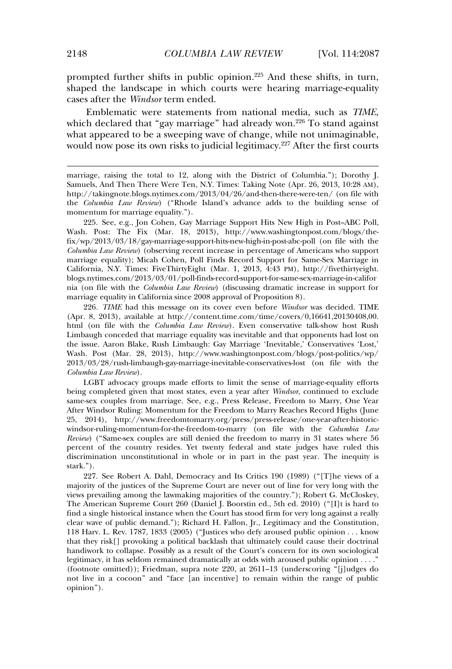prompted further shifts in public opinion.<sup>225</sup> And these shifts, in turn, shaped the landscape in which courts were hearing marriage-equality cases after the *Windsor* term ended.

Emblematic were statements from national media, such as *TIME*, which declared that "gay marriage" had already won.<sup>226</sup> To stand against what appeared to be a sweeping wave of change, while not unimaginable, would now pose its own risks to judicial legitimacy.<sup>227</sup> After the first courts

marriage, raising the total to 12, along with the District of Columbia."); Dorothy J. Samuels, And Then There Were Ten, N.Y. Times: Taking Note (Apr. 26, 2013, 10:28 AM), http://takingnote.blogs.nytimes.com/2013/04/26/and-then-there-were-ten/ (on file with the *Columbia Law Review*) ("Rhode Island's advance adds to the building sense of momentum for marriage equality.").

225. See, e.g., Jon Cohen, Gay Marriage Support Hits New High in Post–ABC Poll, Wash. Post: The Fix (Mar. 18, 2013), http://www.washingtonpost.com/blogs/thefix/wp/2013/03/18/gay-marriage-support-hits-new-high-in-post-abc-poll (on file with the *Columbia Law Review*) (observing recent increase in percentage of Americans who support marriage equality); Micah Cohen, Poll Finds Record Support for Same-Sex Marriage in California, N.Y. Times: FiveThirtyEight (Mar. 1, 2013, 4:43 PM), http://fivethirtyeight. blogs.nytimes.com/2013/03/01/poll-finds-record-support-for-same-sex-marriage-in-califor nia (on file with the *Columbia Law Review*) (discussing dramatic increase in support for marriage equality in California since 2008 approval of Proposition 8).

226*. TIME* had this message on its cover even before *Windsor* was decided. TIME (Apr. 8, 2013), available at http://content.time.com/time/covers/0,16641,20130408,00. html (on file with the *Columbia Law Review*). Even conservative talk-show host Rush Limbaugh conceded that marriage equality was inevitable and that opponents had lost on the issue. Aaron Blake, Rush Limbaugh: Gay Marriage 'Inevitable,' Conservatives 'Lost,' Wash. Post (Mar. 28, 2013), http://www.washingtonpost.com/blogs/post-politics/wp/ 2013/03/28/rush-limbaugh-gay-marriage-inevitable-conservatives-lost (on file with the *Columbia Law Review*).

LGBT advocacy groups made efforts to limit the sense of marriage-equality efforts being completed given that most states, even a year after *Windsor*, continued to exclude same-sex couples from marriage. See, e.g., Press Release, Freedom to Marry, One Year After Windsor Ruling: Momentum for the Freedom to Marry Reaches Record Highs (June 25, 2014), http://www.freedomtomarry.org/press/press-release/one-year-after-historicwindsor-ruling-momentum-for-the-freedom-to-marry (on file with the *Columbia Law Review*) ("Same-sex couples are still denied the freedom to marry in 31 states where 56 percent of the country resides. Yet twenty federal and state judges have ruled this discrimination unconstitutional in whole or in part in the past year. The inequity is stark.").

227. See Robert A. Dahl, Democracy and Its Critics 190 (1989) ("[T]he views of a majority of the justices of the Supreme Court are never out of line for very long with the views prevailing among the lawmaking majorities of the country."); Robert G. McCloskey, The American Supreme Court 260 (Daniel J. Boorstin ed., 5th ed. 2010) ("[I]t is hard to find a single historical instance when the Court has stood firm for very long against a really clear wave of public demand."); Richard H. Fallon, Jr., Legitimacy and the Constitution, 118 Harv. L. Rev. 1787, 1833 (2005) ("Justices who defy aroused public opinion . . . know that they risk[] provoking a political backlash that ultimately could cause their doctrinal handiwork to collapse. Possibly as a result of the Court's concern for its own sociological legitimacy, it has seldom remained dramatically at odds with aroused public opinion . . . ." (footnote omitted)); Friedman, supra note 220, at 2611–13 (underscoring "[j]udges do not live in a cocoon" and "face [an incentive] to remain within the range of public opinion").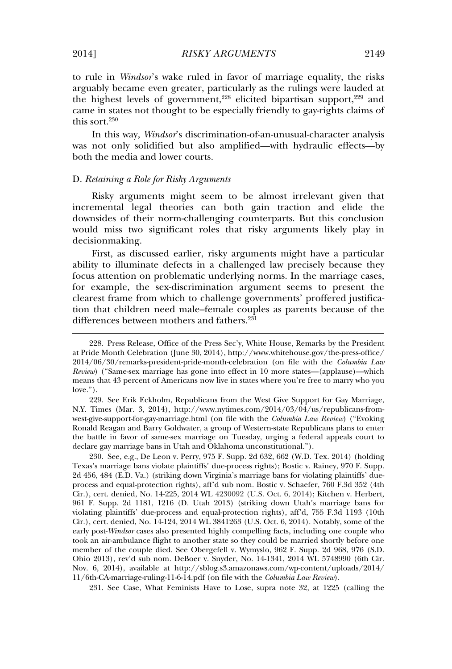to rule in *Windsor*'s wake ruled in favor of marriage equality, the risks arguably became even greater, particularly as the rulings were lauded at the highest levels of government,<sup>228</sup> elicited bipartisan support,<sup>229</sup> and came in states not thought to be especially friendly to gay-rights claims of this sort.<sup>230</sup>

In this way, *Windsor*'s discrimination-of-an-unusual-character analysis was not only solidified but also amplified—with hydraulic effects—by both the media and lower courts.

#### D. *Retaining a Role for Risky Arguments*

Risky arguments might seem to be almost irrelevant given that incremental legal theories can both gain traction and elide the downsides of their norm-challenging counterparts. But this conclusion would miss two significant roles that risky arguments likely play in decisionmaking.

First, as discussed earlier, risky arguments might have a particular ability to illuminate defects in a challenged law precisely because they focus attention on problematic underlying norms. In the marriage cases, for example, the sex-discrimination argument seems to present the clearest frame from which to challenge governments' proffered justification that children need male–female couples as parents because of the differences between mothers and fathers.<sup>231</sup>

229. See Erik Eckholm, Republicans from the West Give Support for Gay Marriage, N.Y. Times (Mar. 3, 2014), http://www.nytimes.com/2014/03/04/us/republicans-fromwest-give-support-for-gay-marriage.html (on file with the *Columbia Law Review*) ("Evoking Ronald Reagan and Barry Goldwater, a group of Western-state Republicans plans to enter the battle in favor of same-sex marriage on Tuesday, urging a federal appeals court to declare gay marriage bans in Utah and Oklahoma unconstitutional.").

230. See, e.g., De Leon v. Perry, 975 F. Supp. 2d 632, 662 (W.D. Tex. 2014) (holding Texas's marriage bans violate plaintiffs' due-process rights); Bostic v. Rainey, 970 F. Supp. 2d 456, 484 (E.D. Va.) (striking down Virginia's marriage bans for violating plaintiffs' dueprocess and equal-protection rights), aff'd sub nom. Bostic v. Schaefer, 760 F.3d 352 (4th Cir.), cert. denied, No. 14-225, 2014 WL 4230092 (U.S. Oct. 6, 2014); Kitchen v. Herbert, 961 F. Supp. 2d 1181, 1216 (D. Utah 2013) (striking down Utah's marriage bans for violating plaintiffs' due-process and equal-protection rights), aff'd, 755 F.3d 1193 (10th Cir.), cert. denied, No. 14-124, 2014 WL 3841263 (U.S. Oct. 6, 2014). Notably, some of the early post-*Windsor* cases also presented highly compelling facts, including one couple who took an air-ambulance flight to another state so they could be married shortly before one member of the couple died. See Obergefell v. Wymyslo, 962 F. Supp. 2d 968, 976 (S.D. Ohio 2013), rev'd sub nom. DeBoer v. Snyder, No. 14-1341, 2014 WL 5748990 (6th Cir. Nov. 6, 2014), available at http://sblog.s3.amazonaws.com/wp-content/uploads/2014/ 11/6th-CA-marriage-ruling-11-6-14.pdf (on file with the *Columbia Law Review*).

231. See Case, What Feminists Have to Lose, supra note 32, at 1225 (calling the

<sup>228.</sup> Press Release, Office of the Press Sec'y, White House, Remarks by the President at Pride Month Celebration (June 30, 2014), http://www.whitehouse.gov/the-press-office/ 2014/06/30/remarks-president-pride-month-celebration (on file with the *Columbia Law Review*) ("Same-sex marriage has gone into effect in 10 more states—(applause)—which means that 43 percent of Americans now live in states where you're free to marry who you love.").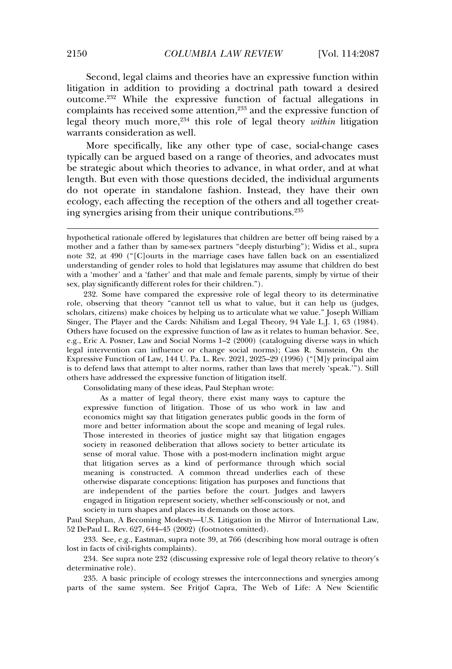Second, legal claims and theories have an expressive function within litigation in addition to providing a doctrinal path toward a desired outcome.<sup>232</sup> While the expressive function of factual allegations in complaints has received some attention,<sup>233</sup> and the expressive function of legal theory much more,<sup>234</sup> this role of legal theory *within* litigation warrants consideration as well.

More specifically, like any other type of case, social-change cases typically can be argued based on a range of theories, and advocates must be strategic about which theories to advance, in what order, and at what length. But even with those questions decided, the individual arguments do not operate in standalone fashion. Instead, they have their own ecology, each affecting the reception of the others and all together creating synergies arising from their unique contributions.<sup>235</sup>

232. Some have compared the expressive role of legal theory to its determinative role, observing that theory "cannot tell us what to value, but it can help us (judges, scholars, citizens) make choices by helping us to articulate what we value." Joseph William Singer, The Player and the Cards: Nihilism and Legal Theory, 94 Yale L.J. 1, 63 (1984). Others have focused on the expressive function of law as it relates to human behavior. See, e.g., Eric A. Posner, Law and Social Norms 1–2 (2000) (cataloguing diverse ways in which legal intervention can influence or change social norms); Cass R. Sunstein, On the Expressive Function of Law, 144 U. Pa. L. Rev. 2021, 2025–29 (1996) ("[M]y principal aim is to defend laws that attempt to alter norms, rather than laws that merely 'speak.'"). Still others have addressed the expressive function of litigation itself.

Consolidating many of these ideas, Paul Stephan wrote:

As a matter of legal theory, there exist many ways to capture the expressive function of litigation. Those of us who work in law and economics might say that litigation generates public goods in the form of more and better information about the scope and meaning of legal rules. Those interested in theories of justice might say that litigation engages society in reasoned deliberation that allows society to better articulate its sense of moral value. Those with a post-modern inclination might argue that litigation serves as a kind of performance through which social meaning is constructed. A common thread underlies each of these otherwise disparate conceptions: litigation has purposes and functions that are independent of the parties before the court. Judges and lawyers engaged in litigation represent society, whether self-consciously or not, and society in turn shapes and places its demands on those actors.

Paul Stephan, A Becoming Modesty—U.S. Litigation in the Mirror of International Law, 52 DePaul L. Rev. 627, 644–45 (2002) (footnotes omitted).

233. See, e.g., Eastman, supra note 39, at 766 (describing how moral outrage is often lost in facts of civil-rights complaints).

234. See supra note 232 (discussing expressive role of legal theory relative to theory's determinative role).

235. A basic principle of ecology stresses the interconnections and synergies among parts of the same system. See Fritjof Capra, The Web of Life: A New Scientific

hypothetical rationale offered by legislatures that children are better off being raised by a mother and a father than by same-sex partners "deeply disturbing"); Widiss et al., supra note 32, at 490 ("[C]ourts in the marriage cases have fallen back on an essentialized understanding of gender roles to hold that legislatures may assume that children do best with a 'mother' and a 'father' and that male and female parents, simply by virtue of their sex, play significantly different roles for their children.").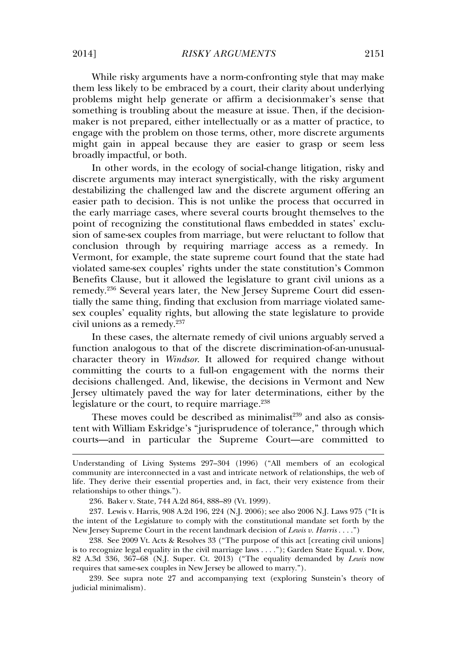While risky arguments have a norm-confronting style that may make them less likely to be embraced by a court, their clarity about underlying problems might help generate or affirm a decisionmaker's sense that something is troubling about the measure at issue. Then, if the decisionmaker is not prepared, either intellectually or as a matter of practice, to engage with the problem on those terms, other, more discrete arguments might gain in appeal because they are easier to grasp or seem less broadly impactful, or both.

In other words, in the ecology of social-change litigation, risky and discrete arguments may interact synergistically, with the risky argument destabilizing the challenged law and the discrete argument offering an easier path to decision. This is not unlike the process that occurred in the early marriage cases, where several courts brought themselves to the point of recognizing the constitutional flaws embedded in states' exclusion of same-sex couples from marriage, but were reluctant to follow that conclusion through by requiring marriage access as a remedy. In Vermont, for example, the state supreme court found that the state had violated same-sex couples' rights under the state constitution's Common Benefits Clause, but it allowed the legislature to grant civil unions as a remedy.<sup>236</sup> Several years later, the New Jersey Supreme Court did essentially the same thing, finding that exclusion from marriage violated samesex couples' equality rights, but allowing the state legislature to provide civil unions as a remedy.<sup>237</sup>

In these cases, the alternate remedy of civil unions arguably served a function analogous to that of the discrete discrimination-of-an-unusualcharacter theory in *Windsor*. It allowed for required change without committing the courts to a full-on engagement with the norms their decisions challenged. And, likewise, the decisions in Vermont and New Jersey ultimately paved the way for later determinations, either by the legislature or the court, to require marriage.<sup>238</sup>

These moves could be described as minimalist $2^{39}$  and also as consistent with William Eskridge's "jurisprudence of tolerance," through which courts—and in particular the Supreme Court—are committed to

238. See 2009 Vt. Acts & Resolves 33 ("The purpose of this act [creating civil unions] is to recognize legal equality in the civil marriage laws . . . ."); Garden State Equal. v. Dow, 82 A.3d 336, 367–68 (N.J. Super. Ct. 2013) ("The equality demanded by *Lewis* now requires that same-sex couples in New Jersey be allowed to marry.").

239. See supra note 27 and accompanying text (exploring Sunstein's theory of judicial minimalism).

Understanding of Living Systems 297–304 (1996) ("All members of an ecological community are interconnected in a vast and intricate network of relationships, the web of life. They derive their essential properties and, in fact, their very existence from their relationships to other things.").

<sup>236.</sup> Baker v. State, 744 A.2d 864, 888–89 (Vt. 1999).

<sup>237.</sup> Lewis v. Harris, 908 A.2d 196, 224 (N.J. 2006); see also 2006 N.J. Laws 975 ("It is the intent of the Legislature to comply with the constitutional mandate set forth by the New Jersey Supreme Court in the recent landmark decision of *Lewis v. Harris* . . . .")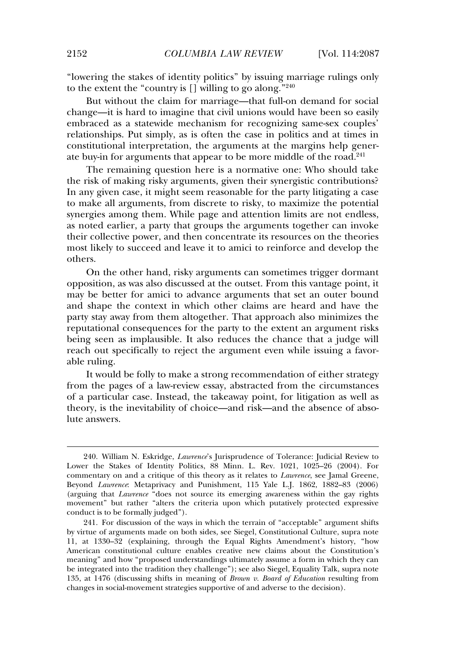"lowering the stakes of identity politics" by issuing marriage rulings only to the extent the "country is [] willing to go along." 240

But without the claim for marriage—that full-on demand for social change—it is hard to imagine that civil unions would have been so easily embraced as a statewide mechanism for recognizing same-sex couples' relationships. Put simply, as is often the case in politics and at times in constitutional interpretation, the arguments at the margins help generate buy-in for arguments that appear to be more middle of the road.<sup>241</sup>

The remaining question here is a normative one: Who should take the risk of making risky arguments, given their synergistic contributions? In any given case, it might seem reasonable for the party litigating a case to make all arguments, from discrete to risky, to maximize the potential synergies among them. While page and attention limits are not endless, as noted earlier, a party that groups the arguments together can invoke their collective power, and then concentrate its resources on the theories most likely to succeed and leave it to amici to reinforce and develop the others.

On the other hand, risky arguments can sometimes trigger dormant opposition, as was also discussed at the outset. From this vantage point, it may be better for amici to advance arguments that set an outer bound and shape the context in which other claims are heard and have the party stay away from them altogether. That approach also minimizes the reputational consequences for the party to the extent an argument risks being seen as implausible. It also reduces the chance that a judge will reach out specifically to reject the argument even while issuing a favorable ruling.

It would be folly to make a strong recommendation of either strategy from the pages of a law-review essay, abstracted from the circumstances of a particular case. Instead, the takeaway point, for litigation as well as theory, is the inevitability of choice—and risk—and the absence of absolute answers.

<sup>240.</sup> William N. Eskridge, *Lawrence*'s Jurisprudence of Tolerance: Judicial Review to Lower the Stakes of Identity Politics, 88 Minn. L. Rev. 1021, 1025–26 (2004). For commentary on and a critique of this theory as it relates to *Lawrence*, see Jamal Greene, Beyond *Lawrence*: Metaprivacy and Punishment, 115 Yale L.J. 1862, 1882–83 (2006) (arguing that *Lawrence* "does not source its emerging awareness within the gay rights movement" but rather "alters the criteria upon which putatively protected expressive conduct is to be formally judged").

<sup>241.</sup> For discussion of the ways in which the terrain of "acceptable" argument shifts by virtue of arguments made on both sides, see Siegel, Constitutional Culture, supra note 11, at 1330–32 (explaining, through the Equal Rights Amendment's history, "how American constitutional culture enables creative new claims about the Constitution's meaning" and how "proposed understandings ultimately assume a form in which they can be integrated into the tradition they challenge"); see also Siegel, Equality Talk, supra note 135, at 1476 (discussing shifts in meaning of *Brown v. Board of Education* resulting from changes in social-movement strategies supportive of and adverse to the decision).